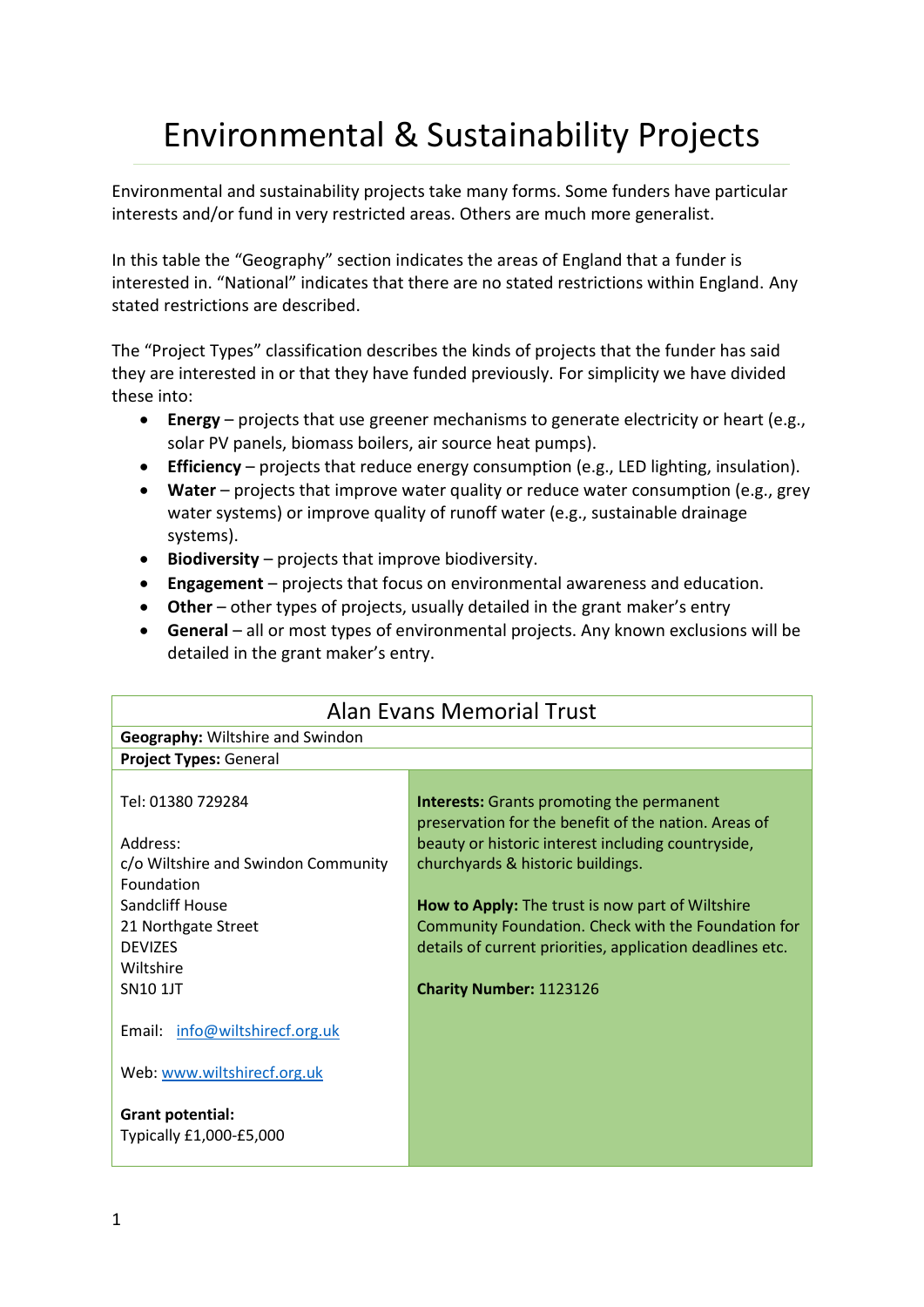## Environmental & Sustainability Projects

Environmental and sustainability projects take many forms. Some funders have particular interests and/or fund in very restricted areas. Others are much more generalist.

In this table the "Geography" section indicates the areas of England that a funder is interested in. "National" indicates that there are no stated restrictions within England. Any stated restrictions are described.

The "Project Types" classification describes the kinds of projects that the funder has said they are interested in or that they have funded previously. For simplicity we have divided these into:

- **Energy** projects that use greener mechanisms to generate electricity or heart (e.g., solar PV panels, biomass boilers, air source heat pumps).
- **Efficiency** projects that reduce energy consumption (e.g., LED lighting, insulation).
- **Water** projects that improve water quality or reduce water consumption (e.g., grey water systems) or improve quality of runoff water (e.g., sustainable drainage systems).
- **Biodiversity** projects that improve biodiversity.
- **Engagement**  projects that focus on environmental awareness and education.
- **Other** other types of projects, usually detailed in the grant maker's entry
- **General** all or most types of environmental projects. Any known exclusions will be detailed in the grant maker's entry.

| <b>Alan Evans Memorial Trust</b>                   |                                                                                                                                                                |  |
|----------------------------------------------------|----------------------------------------------------------------------------------------------------------------------------------------------------------------|--|
| <b>Geography:</b> Wiltshire and Swindon            |                                                                                                                                                                |  |
| <b>Project Types: General</b>                      |                                                                                                                                                                |  |
| Tel: 01380 729284<br>Address:                      | <b>Interests:</b> Grants promoting the permanent<br>preservation for the benefit of the nation. Areas of<br>beauty or historic interest including countryside, |  |
| c/o Wiltshire and Swindon Community<br>Foundation  | churchyards & historic buildings.                                                                                                                              |  |
| Sandcliff House                                    | <b>How to Apply:</b> The trust is now part of Wiltshire                                                                                                        |  |
| 21 Northgate Street                                | Community Foundation. Check with the Foundation for                                                                                                            |  |
| <b>DEVIZES</b>                                     | details of current priorities, application deadlines etc.                                                                                                      |  |
| Wiltshire                                          |                                                                                                                                                                |  |
| <b>SN101JT</b>                                     | <b>Charity Number: 1123126</b>                                                                                                                                 |  |
| Email: info@wiltshirecf.org.uk                     |                                                                                                                                                                |  |
| Web: www.wiltshirecf.org.uk                        |                                                                                                                                                                |  |
| <b>Grant potential:</b><br>Typically £1,000-£5,000 |                                                                                                                                                                |  |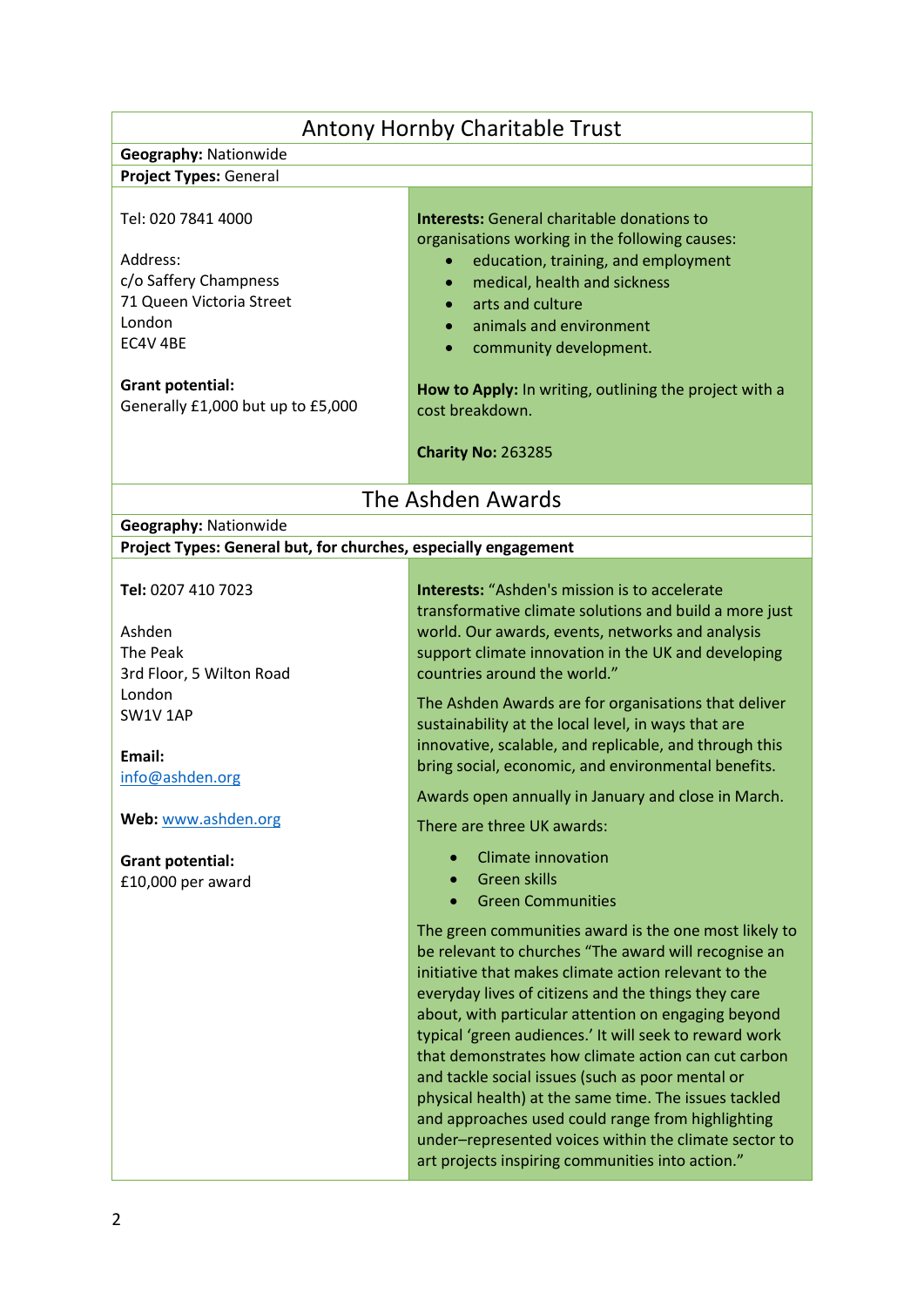| <b>Antony Hornby Charitable Trust</b>                                                                                                                                     |                                                                                                                                                                                                                                                                                                                                                                                                                                                                                                                                                                                                                                                                                     |  |
|---------------------------------------------------------------------------------------------------------------------------------------------------------------------------|-------------------------------------------------------------------------------------------------------------------------------------------------------------------------------------------------------------------------------------------------------------------------------------------------------------------------------------------------------------------------------------------------------------------------------------------------------------------------------------------------------------------------------------------------------------------------------------------------------------------------------------------------------------------------------------|--|
| <b>Geography: Nationwide</b>                                                                                                                                              |                                                                                                                                                                                                                                                                                                                                                                                                                                                                                                                                                                                                                                                                                     |  |
| Project Types: General                                                                                                                                                    |                                                                                                                                                                                                                                                                                                                                                                                                                                                                                                                                                                                                                                                                                     |  |
| Tel: 020 7841 4000<br>Address:<br>c/o Saffery Champness<br>71 Queen Victoria Street<br>London<br>EC4V 4BE<br><b>Grant potential:</b><br>Generally £1,000 but up to £5,000 | <b>Interests:</b> General charitable donations to<br>organisations working in the following causes:<br>education, training, and employment<br>medical, health and sickness<br>arts and culture<br>animals and environment<br>community development.<br>How to Apply: In writing, outlining the project with a<br>cost breakdown.<br><b>Charity No: 263285</b>                                                                                                                                                                                                                                                                                                                       |  |
|                                                                                                                                                                           | The Ashden Awards                                                                                                                                                                                                                                                                                                                                                                                                                                                                                                                                                                                                                                                                   |  |
| Geography: Nationwide                                                                                                                                                     |                                                                                                                                                                                                                                                                                                                                                                                                                                                                                                                                                                                                                                                                                     |  |
| Project Types: General but, for churches, especially engagement                                                                                                           |                                                                                                                                                                                                                                                                                                                                                                                                                                                                                                                                                                                                                                                                                     |  |
|                                                                                                                                                                           |                                                                                                                                                                                                                                                                                                                                                                                                                                                                                                                                                                                                                                                                                     |  |
| Tel: 0207 410 7023<br>Ashden<br>The Peak<br>3rd Floor, 5 Wilton Road<br>London<br>SW1V1AP<br>Email:<br>info@ashden.org<br>Web: www.ashden.org<br><b>Grant potential:</b>  | <b>Interests: "Ashden's mission is to accelerate</b><br>transformative climate solutions and build a more just<br>world. Our awards, events, networks and analysis<br>support climate innovation in the UK and developing<br>countries around the world."<br>The Ashden Awards are for organisations that deliver<br>sustainability at the local level, in ways that are<br>innovative, scalable, and replicable, and through this<br>bring social, economic, and environmental benefits.<br>Awards open annually in January and close in March.<br>There are three UK awards:<br><b>Climate innovation</b>                                                                         |  |
| £10,000 per award                                                                                                                                                         | <b>Green skills</b><br><b>Green Communities</b>                                                                                                                                                                                                                                                                                                                                                                                                                                                                                                                                                                                                                                     |  |
|                                                                                                                                                                           | The green communities award is the one most likely to<br>be relevant to churches "The award will recognise an<br>initiative that makes climate action relevant to the<br>everyday lives of citizens and the things they care<br>about, with particular attention on engaging beyond<br>typical 'green audiences.' It will seek to reward work<br>that demonstrates how climate action can cut carbon<br>and tackle social issues (such as poor mental or<br>physical health) at the same time. The issues tackled<br>and approaches used could range from highlighting<br>under-represented voices within the climate sector to<br>art projects inspiring communities into action." |  |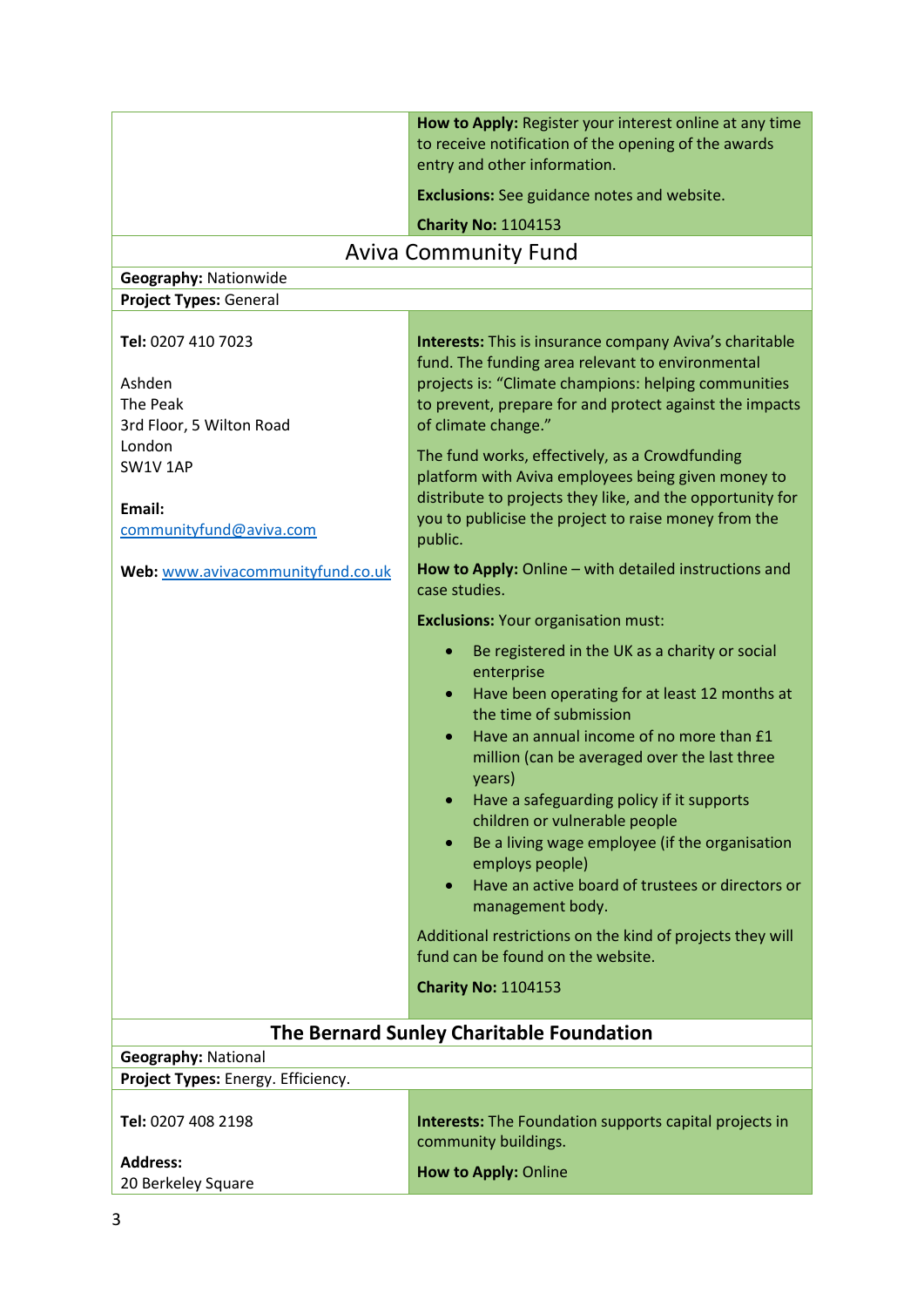|                                                                        | How to Apply: Register your interest online at any time<br>to receive notification of the opening of the awards<br>entry and other information.                                                                                                                                                                                                                                                                                                                                                                                                                                                                   |  |
|------------------------------------------------------------------------|-------------------------------------------------------------------------------------------------------------------------------------------------------------------------------------------------------------------------------------------------------------------------------------------------------------------------------------------------------------------------------------------------------------------------------------------------------------------------------------------------------------------------------------------------------------------------------------------------------------------|--|
|                                                                        | <b>Exclusions:</b> See guidance notes and website.                                                                                                                                                                                                                                                                                                                                                                                                                                                                                                                                                                |  |
|                                                                        | <b>Charity No: 1104153</b>                                                                                                                                                                                                                                                                                                                                                                                                                                                                                                                                                                                        |  |
| <b>Aviva Community Fund</b>                                            |                                                                                                                                                                                                                                                                                                                                                                                                                                                                                                                                                                                                                   |  |
| Geography: Nationwide                                                  |                                                                                                                                                                                                                                                                                                                                                                                                                                                                                                                                                                                                                   |  |
| <b>Project Types: General</b>                                          |                                                                                                                                                                                                                                                                                                                                                                                                                                                                                                                                                                                                                   |  |
| Tel: 0207 410 7023<br>Ashden<br>The Peak<br>3rd Floor, 5 Wilton Road   | <b>Interests:</b> This is insurance company Aviva's charitable<br>fund. The funding area relevant to environmental<br>projects is: "Climate champions: helping communities<br>to prevent, prepare for and protect against the impacts<br>of climate change."                                                                                                                                                                                                                                                                                                                                                      |  |
| London                                                                 | The fund works, effectively, as a Crowdfunding                                                                                                                                                                                                                                                                                                                                                                                                                                                                                                                                                                    |  |
| SW1V1AP<br>Email:<br>communityfund@aviva.com                           | platform with Aviva employees being given money to<br>distribute to projects they like, and the opportunity for<br>you to publicise the project to raise money from the<br>public.                                                                                                                                                                                                                                                                                                                                                                                                                                |  |
| Web: www.avivacommunityfund.co.uk                                      | How to Apply: Online - with detailed instructions and<br>case studies.                                                                                                                                                                                                                                                                                                                                                                                                                                                                                                                                            |  |
|                                                                        | <b>Exclusions: Your organisation must:</b>                                                                                                                                                                                                                                                                                                                                                                                                                                                                                                                                                                        |  |
|                                                                        | Be registered in the UK as a charity or social<br>enterprise<br>Have been operating for at least 12 months at<br>$\bullet$<br>the time of submission<br>Have an annual income of no more than £1<br>million (can be averaged over the last three<br>years)<br>Have a safeguarding policy if it supports<br>children or vulnerable people<br>Be a living wage employee (if the organisation<br>$\bullet$<br>employs people)<br>Have an active board of trustees or directors or<br>$\bullet$<br>management body.<br>Additional restrictions on the kind of projects they will<br>fund can be found on the website. |  |
|                                                                        | <b>Charity No: 1104153</b>                                                                                                                                                                                                                                                                                                                                                                                                                                                                                                                                                                                        |  |
|                                                                        |                                                                                                                                                                                                                                                                                                                                                                                                                                                                                                                                                                                                                   |  |
| The Bernard Sunley Charitable Foundation<br><b>Geography: National</b> |                                                                                                                                                                                                                                                                                                                                                                                                                                                                                                                                                                                                                   |  |
| Project Types: Energy. Efficiency.                                     |                                                                                                                                                                                                                                                                                                                                                                                                                                                                                                                                                                                                                   |  |
| Tel: 0207 408 2198                                                     | <b>Interests:</b> The Foundation supports capital projects in<br>community buildings.                                                                                                                                                                                                                                                                                                                                                                                                                                                                                                                             |  |
| <b>Address:</b><br>20 Berkeley Square                                  | How to Apply: Online                                                                                                                                                                                                                                                                                                                                                                                                                                                                                                                                                                                              |  |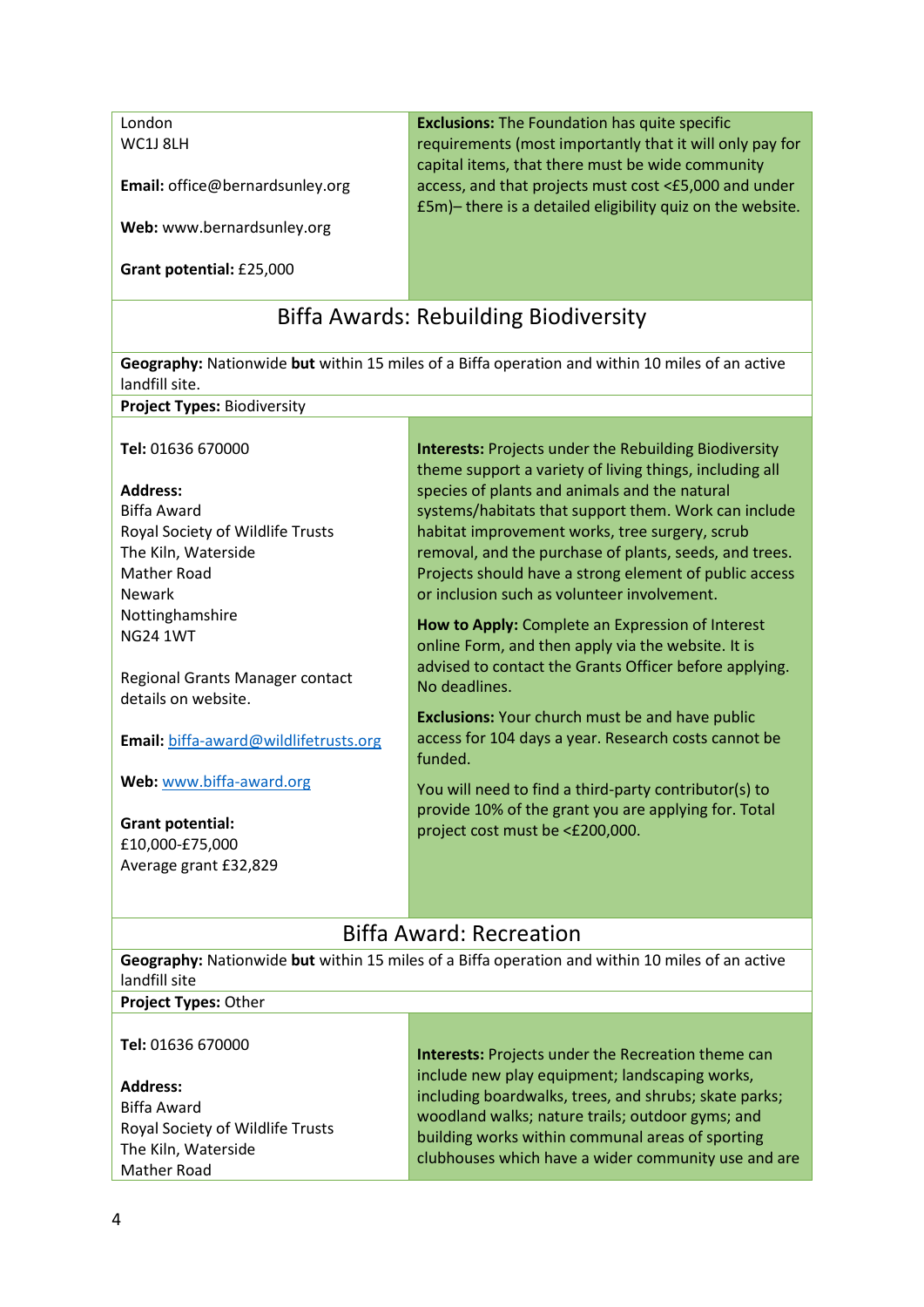London WC1J 8LH

**Email:** office@bernardsunley.org

**Web:** www.bernardsunley.org

**Grant potential:** £25,000

**Exclusions:** The Foundation has quite specific requirements (most importantly that it will only pay for capital items, that there must be wide community access, and that projects must cost <£5,000 and under £5m)– there is a detailed eligibility quiz on the website.

## Biffa Awards: Rebuilding Biodiversity

**Geography:** Nationwide **but** within 15 miles of a Biffa operation and within 10 miles of an active landfill site.

**Project Types:** Biodiversity

**Tel:** 01636 670000

#### **Address:**

Biffa Award Royal Society of Wildlife Trusts The Kiln, Waterside Mather Road Newark Nottinghamshire NG24 1WT

Regional Grants Manager contact details on website.

**Email:** biffa-award@wildlifetrusts.org

**Web:** [www.biffa-award.org](http://www.biffa-award.org/)

**Grant potential:** £10,000-£75,000 Average grant £32,829 **Interests:** Projects under the Rebuilding Biodiversity theme support a variety of living things, including all species of plants and animals and the natural systems/habitats that support them. Work can include habitat improvement works, tree surgery, scrub removal, and the purchase of plants, seeds, and trees. Projects should have a strong element of public access or inclusion such as volunteer involvement.

**How to Apply:** Complete an Expression of Interest online Form, and then apply via the website. It is advised to contact the Grants Officer before applying. No deadlines.

**Exclusions:** Your church must be and have public access for 104 days a year. Research costs cannot be funded.

You will need to find a third-party contributor(s) to provide 10% of the grant you are applying for. Total project cost must be <£200,000.

## Biffa Award: Recreation

| Geography: Nationwide but within 15 miles of a Biffa operation and within 10 miles of an active<br>landfill site |                                                                                                                                                                                                                                                                        |  |
|------------------------------------------------------------------------------------------------------------------|------------------------------------------------------------------------------------------------------------------------------------------------------------------------------------------------------------------------------------------------------------------------|--|
| Project Types: Other                                                                                             |                                                                                                                                                                                                                                                                        |  |
| Tel: 01636 670000                                                                                                | <b>Interests:</b> Projects under the Recreation theme can                                                                                                                                                                                                              |  |
| <b>Address:</b><br>Biffa Award<br>Royal Society of Wildlife Trusts<br>The Kiln, Waterside<br>Mather Road         | include new play equipment; landscaping works,<br>including boardwalks, trees, and shrubs; skate parks;<br>woodland walks; nature trails; outdoor gyms; and<br>building works within communal areas of sporting<br>clubhouses which have a wider community use and are |  |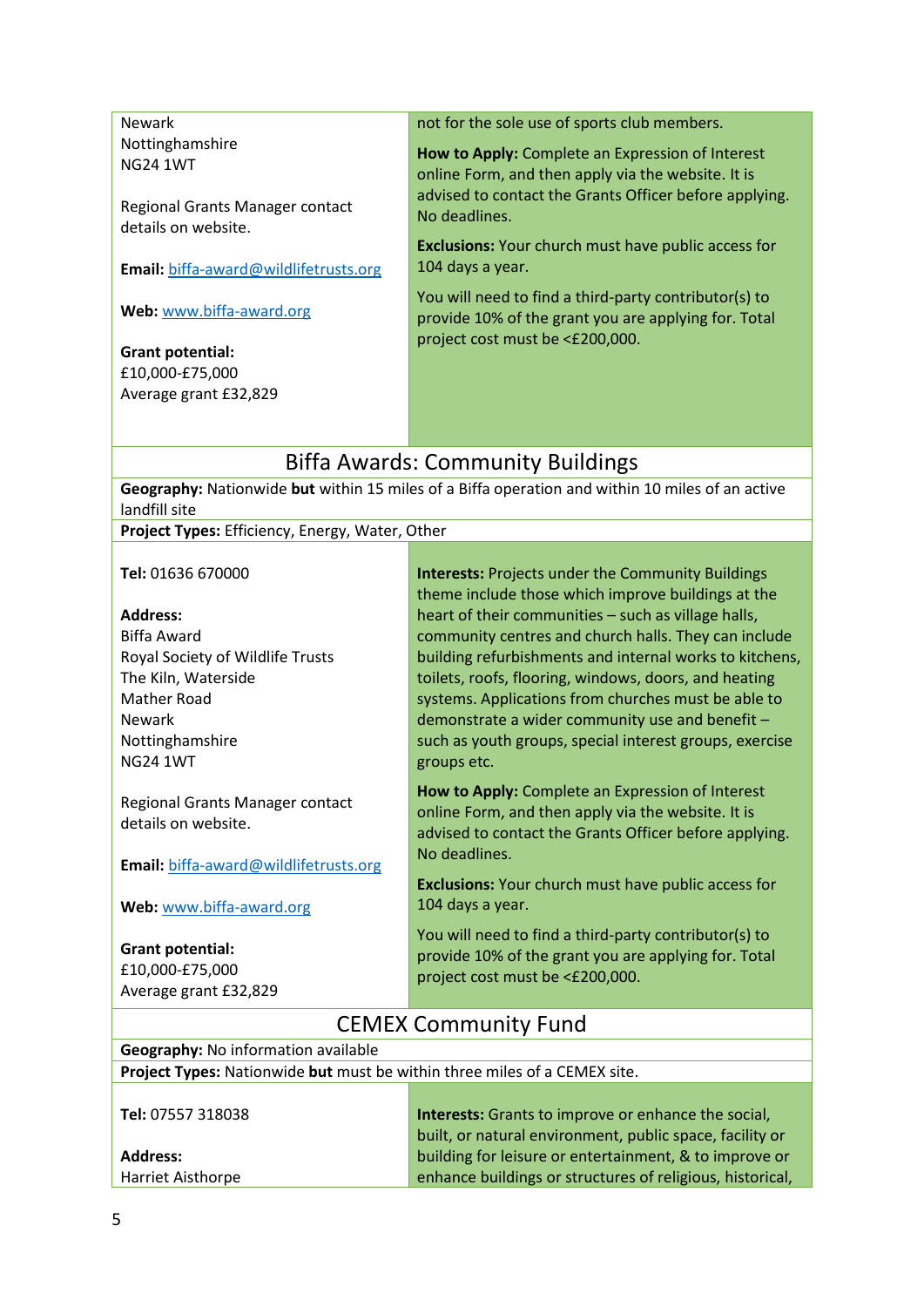Newark Nottinghamshire NG24 1WT

Regional Grants Manager contact details on website.

**Email:** biffa-award@wildlifetrusts.org

**Web:** [www.biffa-award.org](http://www.biffa-award.org/)

**Grant potential:** £10,000-£75,000 Average grant £32,829 not for the sole use of sports club members.

**How to Apply:** Complete an Expression of Interest online Form, and then apply via the website. It is advised to contact the Grants Officer before applying. No deadlines.

**Exclusions:** Your church must have public access for 104 days a year.

You will need to find a third-party contributor(s) to provide 10% of the grant you are applying for. Total project cost must be <£200,000.

## Biffa Awards: Community Buildings

**Geography:** Nationwide **but** within 15 miles of a Biffa operation and within 10 miles of an active landfill site

**Project Types:** Efficiency, Energy, Water, Other

**Tel:** 01636 670000

#### **Address:**

Biffa Award Royal Society of Wildlife Trusts The Kiln, Waterside Mather Road Newark Nottinghamshire NG24 1WT

Regional Grants Manager contact details on website.

**Email:** biffa-award@wildlifetrusts.org

**Web:** [www.biffa-award.org](http://www.biffa-award.org/)

**Grant potential:** £10,000-£75,000 Average grant £32,829 **Interests:** Projects under the Community Buildings theme include those which improve buildings at the heart of their communities – such as village halls, community centres and church halls. They can include building refurbishments and internal works to kitchens, toilets, roofs, flooring, windows, doors, and heating systems. Applications from churches must be able to demonstrate a wider community use and benefit – such as youth groups, special interest groups, exercise groups etc.

**How to Apply:** Complete an Expression of Interest online Form, and then apply via the website. It is advised to contact the Grants Officer before applying. No deadlines.

**Exclusions:** Your church must have public access for 104 days a year.

You will need to find a third-party contributor(s) to provide 10% of the grant you are applying for. Total project cost must be <£200,000.

## CEMEX Community Fund

| <b>Geography:</b> No information available                                       |                                                     |
|----------------------------------------------------------------------------------|-----------------------------------------------------|
| <b>Project Types:</b> Nationwide but must be within three miles of a CEMEX site. |                                                     |
|                                                                                  |                                                     |
| <b>Tel: 07557 318038</b>                                                         | Interests: Grants to improve or enhance the social, |

**Address:** Harriet Aisthorpe built, or natural environment, public space, facility or building for leisure or entertainment, & to improve or enhance buildings or structures of religious, historical,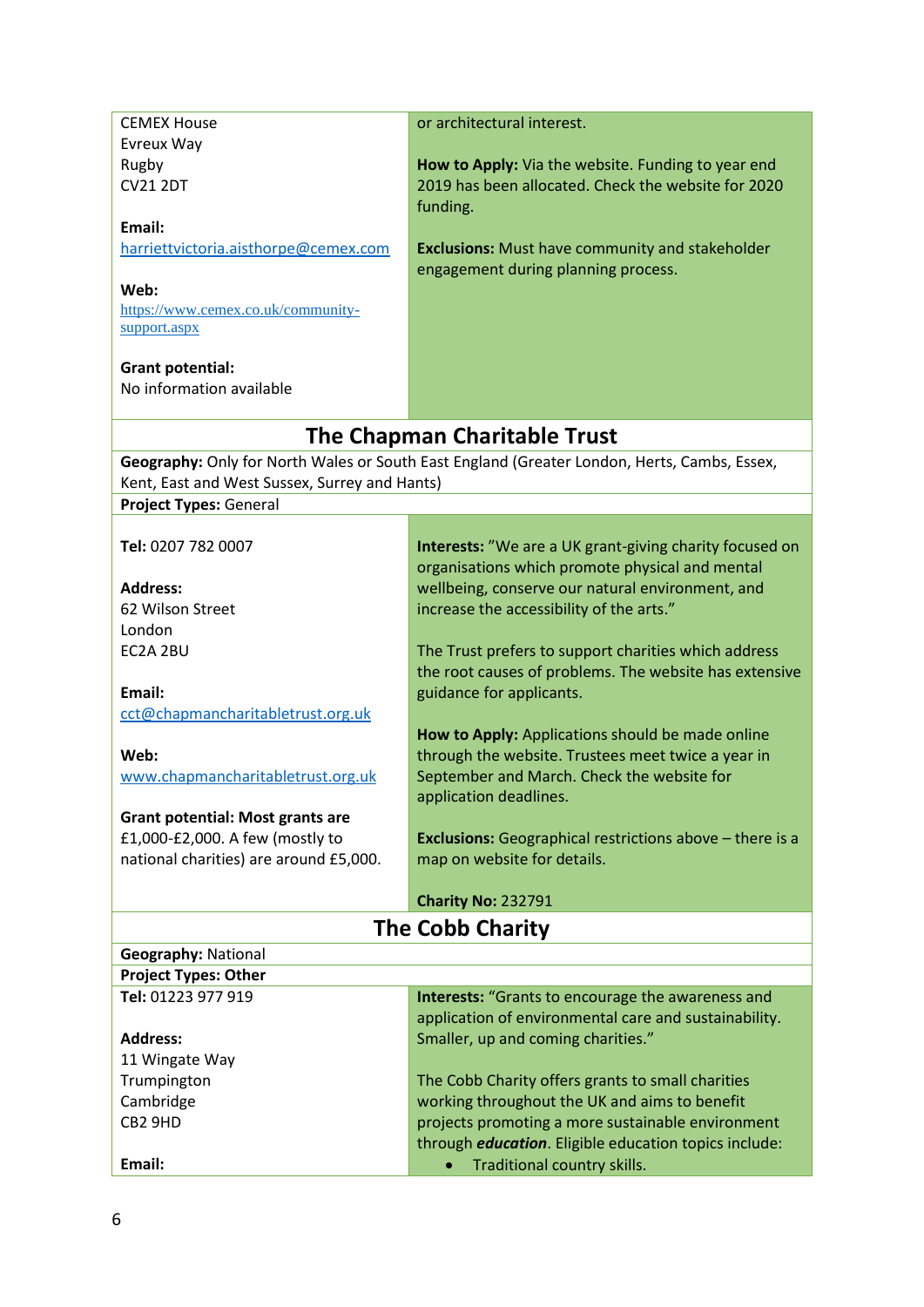| <b>CEMEX House</b>                            | or architectural interest.                                                                  |
|-----------------------------------------------|---------------------------------------------------------------------------------------------|
| Evreux Way                                    |                                                                                             |
| Rugby                                         | How to Apply: Via the website. Funding to year end                                          |
| <b>CV21 2DT</b>                               | 2019 has been allocated. Check the website for 2020                                         |
|                                               | funding.                                                                                    |
| Email:                                        |                                                                                             |
| harriettvictoria.aisthorpe@cemex.com          | <b>Exclusions:</b> Must have community and stakeholder                                      |
|                                               | engagement during planning process.                                                         |
| Web:                                          |                                                                                             |
| https://www.cemex.co.uk/community-            |                                                                                             |
| support.aspx                                  |                                                                                             |
|                                               |                                                                                             |
| <b>Grant potential:</b>                       |                                                                                             |
| No information available                      |                                                                                             |
|                                               |                                                                                             |
|                                               | The Chapman Charitable Trust                                                                |
|                                               | Geography: Only for North Wales or South East England (Greater London, Herts, Cambs, Essex, |
| Kent, East and West Sussex, Surrey and Hants) |                                                                                             |
| <b>Project Types: General</b>                 |                                                                                             |
|                                               |                                                                                             |
| Tel: 0207 782 0007                            | Interests: "We are a UK grant-giving charity focused on                                     |
|                                               | organisations which promote physical and mental                                             |
| <b>Address:</b>                               | wellbeing, conserve our natural environment, and                                            |
| 62 Wilson Street                              | increase the accessibility of the arts."                                                    |
| London                                        |                                                                                             |
| EC2A 2BU                                      | The Trust prefers to support charities which address                                        |
|                                               | the root causes of problems. The website has extensive                                      |
| Email:                                        | guidance for applicants.                                                                    |
| cct@chapmancharitabletrust.org.uk             |                                                                                             |
|                                               | How to Apply: Applications should be made online                                            |
| Web:                                          | through the website. Trustees meet twice a year in                                          |
| www.chapmancharitabletrust.org.uk             | September and March. Check the website for                                                  |
|                                               | application deadlines.                                                                      |
| <b>Grant potential: Most grants are</b>       |                                                                                             |
| £1,000-£2,000. A few (mostly to               | <b>Exclusions:</b> Geographical restrictions above - there is a                             |
| national charities) are around £5,000.        | map on website for details.                                                                 |
|                                               |                                                                                             |
|                                               | <b>Charity No: 232791</b>                                                                   |
|                                               | <b>The Cobb Charity</b>                                                                     |
|                                               |                                                                                             |
| <b>Geography: National</b>                    |                                                                                             |
| <b>Project Types: Other</b>                   |                                                                                             |
| Tel: 01223 977 919                            | <b>Interests:</b> "Grants to encourage the awareness and                                    |
|                                               | application of environmental care and sustainability.                                       |
| <b>Address:</b>                               | Smaller, up and coming charities."                                                          |
| 11 Wingate Way                                |                                                                                             |
| Trumpington                                   | The Cobb Charity offers grants to small charities                                           |
| Cambridge                                     | working throughout the UK and aims to benefit                                               |
| CB2 9HD                                       | projects promoting a more sustainable environment                                           |
|                                               | through <i>education</i> . Eligible education topics include:                               |
| Email:                                        | Traditional country skills.                                                                 |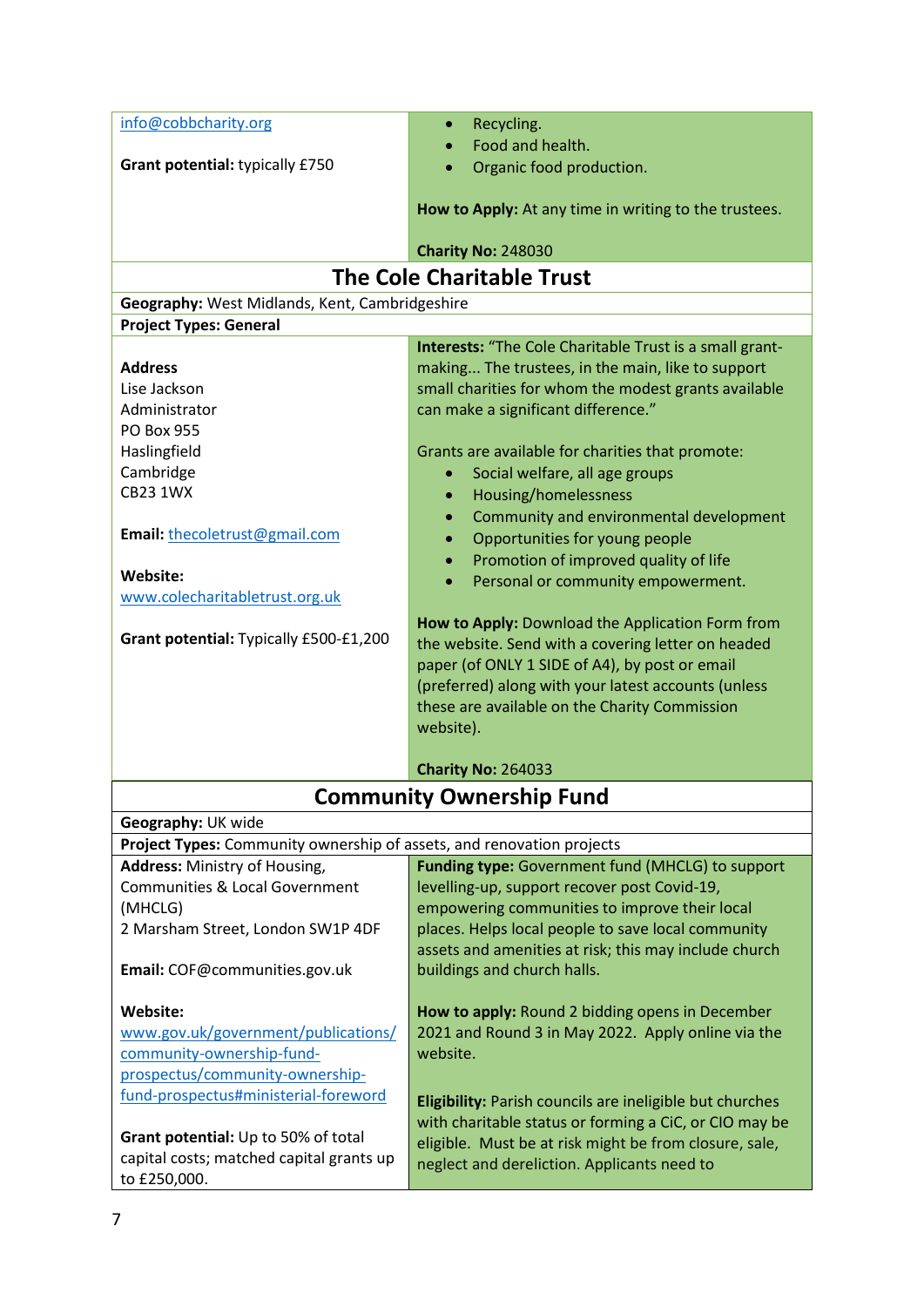| info@cobbcharity.org                                                                        | Recycling.                                               |  |
|---------------------------------------------------------------------------------------------|----------------------------------------------------------|--|
|                                                                                             | Food and health.                                         |  |
| Grant potential: typically £750                                                             | Organic food production.                                 |  |
|                                                                                             |                                                          |  |
|                                                                                             | How to Apply: At any time in writing to the trustees.    |  |
|                                                                                             | <b>Charity No: 248030</b>                                |  |
|                                                                                             | <b>The Cole Charitable Trust</b>                         |  |
| Geography: West Midlands, Kent, Cambridgeshire                                              |                                                          |  |
| <b>Project Types: General</b>                                                               |                                                          |  |
|                                                                                             | Interests: "The Cole Charitable Trust is a small grant-  |  |
| <b>Address</b>                                                                              | making The trustees, in the main, like to support        |  |
| Lise Jackson                                                                                | small charities for whom the modest grants available     |  |
| Administrator                                                                               | can make a significant difference."                      |  |
| <b>PO Box 955</b>                                                                           |                                                          |  |
| Haslingfield                                                                                | Grants are available for charities that promote:         |  |
| Cambridge                                                                                   | Social welfare, all age groups<br>$\bullet$              |  |
| <b>CB23 1WX</b>                                                                             | Housing/homelessness<br>$\bullet$                        |  |
|                                                                                             | Community and environmental development                  |  |
| Email: thecoletrust@gmail.com                                                               | Opportunities for young people<br>$\bullet$              |  |
|                                                                                             | Promotion of improved quality of life                    |  |
| Website:                                                                                    | Personal or community empowerment.                       |  |
| www.colecharitabletrust.org.uk                                                              |                                                          |  |
|                                                                                             | How to Apply: Download the Application Form from         |  |
| Grant potential: Typically £500-£1,200                                                      | the website. Send with a covering letter on headed       |  |
|                                                                                             | paper (of ONLY 1 SIDE of A4), by post or email           |  |
|                                                                                             | (preferred) along with your latest accounts (unless      |  |
|                                                                                             | these are available on the Charity Commission            |  |
|                                                                                             | website).                                                |  |
|                                                                                             | <b>Charity No: 264033</b>                                |  |
|                                                                                             |                                                          |  |
| <b>Community Ownership Fund</b>                                                             |                                                          |  |
| Geography: UK wide<br>Project Types: Community ownership of assets, and renovation projects |                                                          |  |
| Address: Ministry of Housing,                                                               | Funding type: Government fund (MHCLG) to support         |  |
| <b>Communities &amp; Local Government</b>                                                   | levelling-up, support recover post Covid-19,             |  |
| (MHCLG)                                                                                     | empowering communities to improve their local            |  |
| 2 Marsham Street, London SW1P 4DF                                                           | places. Helps local people to save local community       |  |
|                                                                                             | assets and amenities at risk; this may include church    |  |
| Email: COF@communities.gov.uk                                                               | buildings and church halls.                              |  |
|                                                                                             |                                                          |  |
| Website:                                                                                    | How to apply: Round 2 bidding opens in December          |  |
| www.gov.uk/government/publications/                                                         | 2021 and Round 3 in May 2022. Apply online via the       |  |
| community-ownership-fund-                                                                   | website.                                                 |  |
| prospectus/community-ownership-                                                             |                                                          |  |
| fund-prospectus#ministerial-foreword                                                        | Eligibility: Parish councils are ineligible but churches |  |
|                                                                                             | with charitable status or forming a CiC, or CIO may be   |  |
| Grant potential: Up to 50% of total                                                         | eligible. Must be at risk might be from closure, sale,   |  |
| capital costs; matched capital grants up                                                    | neglect and dereliction. Applicants need to              |  |
| to £250,000.                                                                                |                                                          |  |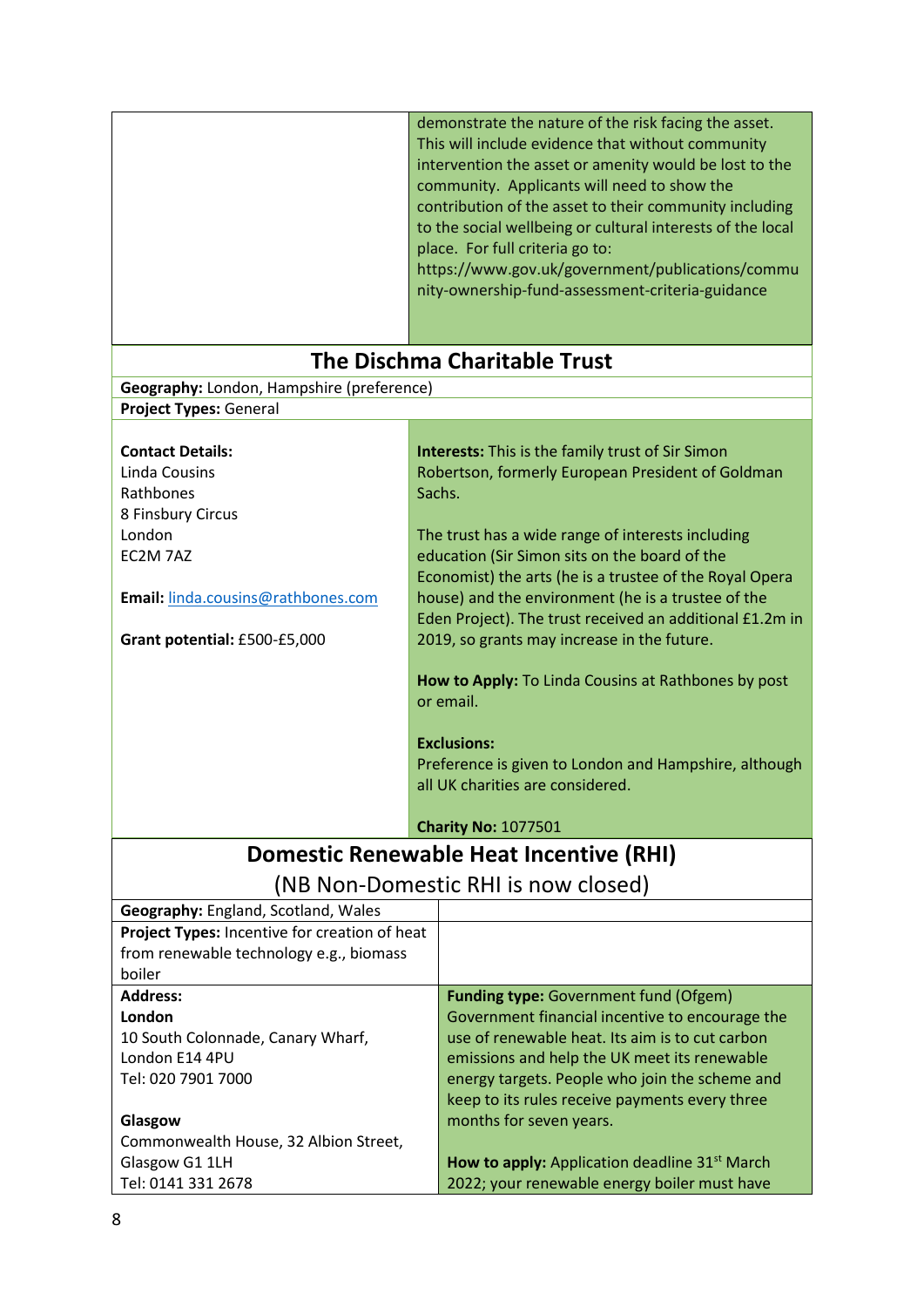|                                                                                   |        | demonstrate the nature of the risk facing the asset.<br>This will include evidence that without community<br>intervention the asset or amenity would be lost to the<br>community. Applicants will need to show the<br>contribution of the asset to their community including<br>to the social wellbeing or cultural interests of the local<br>place. For full criteria go to:<br>https://www.gov.uk/government/publications/commu<br>nity-ownership-fund-assessment-criteria-guidance |
|-----------------------------------------------------------------------------------|--------|---------------------------------------------------------------------------------------------------------------------------------------------------------------------------------------------------------------------------------------------------------------------------------------------------------------------------------------------------------------------------------------------------------------------------------------------------------------------------------------|
|                                                                                   |        | <b>The Dischma Charitable Trust</b>                                                                                                                                                                                                                                                                                                                                                                                                                                                   |
| Geography: London, Hampshire (preference)                                         |        |                                                                                                                                                                                                                                                                                                                                                                                                                                                                                       |
| Project Types: General                                                            |        |                                                                                                                                                                                                                                                                                                                                                                                                                                                                                       |
| <b>Contact Details:</b><br><b>Linda Cousins</b><br>Rathbones<br>8 Finsbury Circus | Sachs. | <b>Interests:</b> This is the family trust of Sir Simon<br>Robertson, formerly European President of Goldman                                                                                                                                                                                                                                                                                                                                                                          |
| London                                                                            |        | The trust has a wide range of interests including                                                                                                                                                                                                                                                                                                                                                                                                                                     |
| EC2M 7AZ                                                                          |        | education (Sir Simon sits on the board of the<br>Economist) the arts (he is a trustee of the Royal Opera                                                                                                                                                                                                                                                                                                                                                                              |
| Email: linda.cousins@rathbones.com                                                |        | house) and the environment (he is a trustee of the                                                                                                                                                                                                                                                                                                                                                                                                                                    |
|                                                                                   |        | Eden Project). The trust received an additional £1.2m in                                                                                                                                                                                                                                                                                                                                                                                                                              |
| Grant potential: £500-£5,000                                                      |        | 2019, so grants may increase in the future.                                                                                                                                                                                                                                                                                                                                                                                                                                           |
|                                                                                   |        | How to Apply: To Linda Cousins at Rathbones by post<br>or email.<br><b>Exclusions:</b><br>Preference is given to London and Hampshire, although<br>all UK charities are considered.                                                                                                                                                                                                                                                                                                   |
|                                                                                   |        | <b>Charity No: 1077501</b>                                                                                                                                                                                                                                                                                                                                                                                                                                                            |
|                                                                                   |        | Domestic Renewable Heat Incentive (RHI)                                                                                                                                                                                                                                                                                                                                                                                                                                               |
|                                                                                   |        | (NB Non-Domestic RHI is now closed)                                                                                                                                                                                                                                                                                                                                                                                                                                                   |
| Geography: England, Scotland, Wales                                               |        |                                                                                                                                                                                                                                                                                                                                                                                                                                                                                       |
| Project Types: Incentive for creation of heat                                     |        |                                                                                                                                                                                                                                                                                                                                                                                                                                                                                       |
| from renewable technology e.g., biomass<br>boiler                                 |        |                                                                                                                                                                                                                                                                                                                                                                                                                                                                                       |
| <b>Address:</b>                                                                   |        | <b>Funding type:</b> Government fund (Ofgem)                                                                                                                                                                                                                                                                                                                                                                                                                                          |
| London                                                                            |        | Government financial incentive to encourage the                                                                                                                                                                                                                                                                                                                                                                                                                                       |
| 10 South Colonnade, Canary Wharf,                                                 |        | use of renewable heat. Its aim is to cut carbon                                                                                                                                                                                                                                                                                                                                                                                                                                       |
| London E14 4PU                                                                    |        | emissions and help the UK meet its renewable                                                                                                                                                                                                                                                                                                                                                                                                                                          |
| Tel: 020 7901 7000                                                                |        | energy targets. People who join the scheme and                                                                                                                                                                                                                                                                                                                                                                                                                                        |
|                                                                                   |        | keep to its rules receive payments every three                                                                                                                                                                                                                                                                                                                                                                                                                                        |
| Glasgow                                                                           |        | months for seven years.                                                                                                                                                                                                                                                                                                                                                                                                                                                               |
| Commonwealth House, 32 Albion Street,<br>Glasgow G1 1LH                           |        | How to apply: Application deadline 31 <sup>st</sup> March                                                                                                                                                                                                                                                                                                                                                                                                                             |
| Tel: 0141 331 2678                                                                |        | 2022; your renewable energy boiler must have                                                                                                                                                                                                                                                                                                                                                                                                                                          |
|                                                                                   |        |                                                                                                                                                                                                                                                                                                                                                                                                                                                                                       |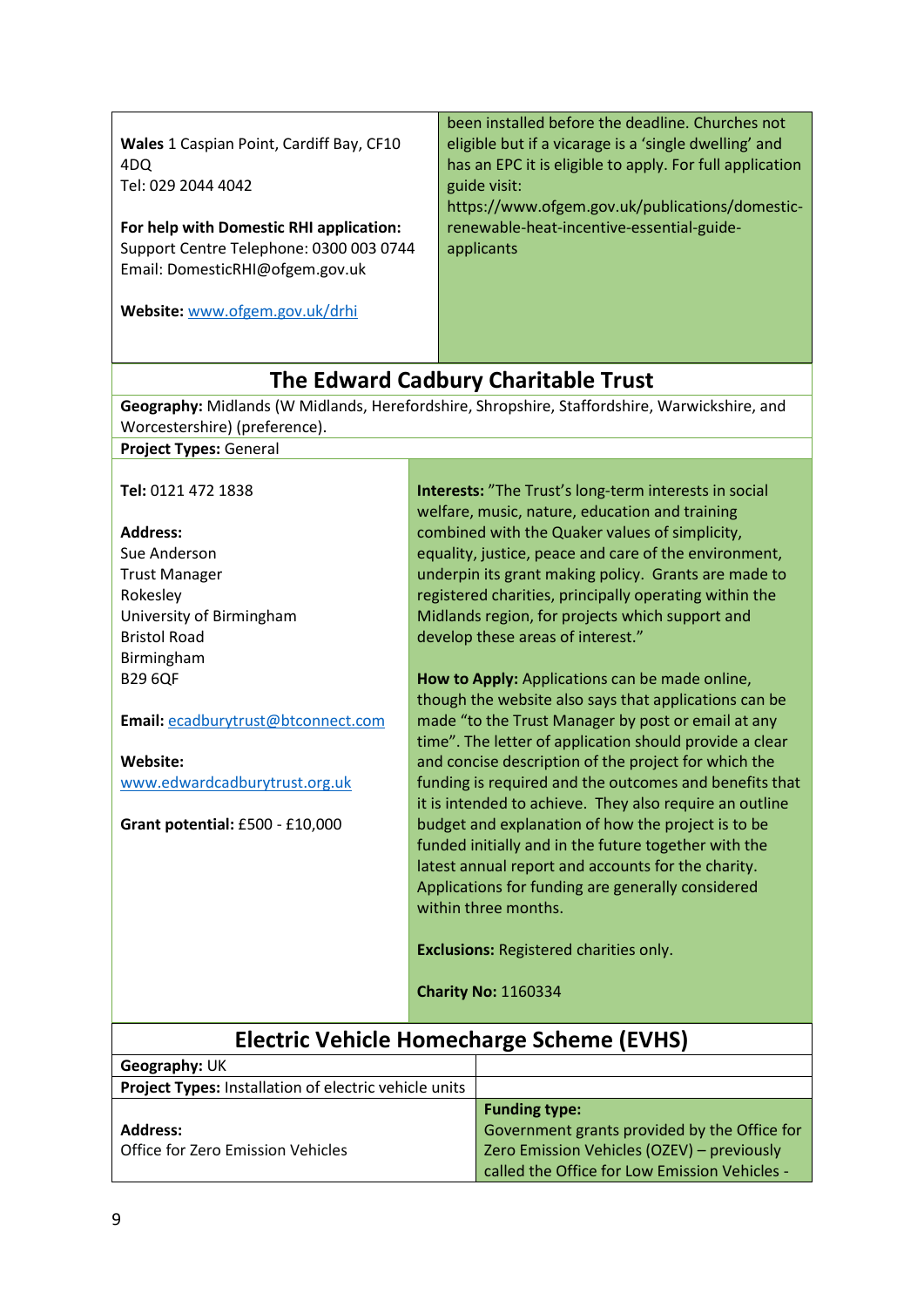**Wales** 1 Caspian Point, Cardiff Bay, CF10 4DQ Tel: 029 2044 4042

**For help with Domestic RHI application:**  Support Centre Telephone: 0300 003 0744 Email[: DomesticRHI@ofgem.gov.uk](mailto:DomesticRHI@ofgem.gov.uk)

**Website:** [www.ofgem.gov.uk/drhi](http://www.ofgem.gov.uk/drhi)

been installed before the deadline. Churches not eligible but if a vicarage is a 'single dwelling' and has an EPC it is eligible to apply. For full application guide visit:

https://www.ofgem.gov.uk/publications/domesticrenewable-heat-incentive-essential-guideapplicants

## **The Edward Cadbury Charitable Trust**

**Geography:** Midlands (W Midlands, Herefordshire, Shropshire, Staffordshire, Warwickshire, and Worcestershire) (preference).

**Project Types:** General

**Tel:** 0121 472 1838

#### **Address:**

Sue Anderson Trust Manager Rokesley University of Birmingham Bristol Road Birmingham B29 6QF

**Email:** [ecadburytrust@btconnect.com](mailto:ecadburytrust@btconnect.com)

**Website:**  [www.edwardcadburytrust.org.uk](http://www.edwardcadburytrust.org.uk/)

**Grant potential:** £500 - £10,000

**Interests:** "The Trust's long-term interests in social welfare, music, nature, education and training combined with the Quaker values of simplicity, equality, justice, peace and care of the environment, underpin its grant making policy. Grants are made to registered charities, principally operating within the Midlands region, for projects which support and develop these areas of interest."

**How to Apply:** Applications can be made online, though the website also says that applications can be made "to the Trust Manager by post or email at any time". The letter of application should provide a clear and concise description of the project for which the funding is required and the outcomes and benefits that it is intended to achieve. They also require an outline budget and explanation of how the project is to be funded initially and in the future together with the latest annual report and accounts for the charity. Applications for funding are generally considered within three months.

**Exclusions:** Registered charities only.

**Charity No:** 1160334

## **Electric Vehicle Homecharge Scheme (EVHS)**

| Geography: UK                                                |                                               |
|--------------------------------------------------------------|-----------------------------------------------|
| <b>Project Types: Installation of electric vehicle units</b> |                                               |
|                                                              | <b>Funding type:</b>                          |
| <b>Address:</b>                                              | Government grants provided by the Office for  |
| Office for Zero Emission Vehicles                            | Zero Emission Vehicles (OZEV) - previously    |
|                                                              | called the Office for Low Emission Vehicles - |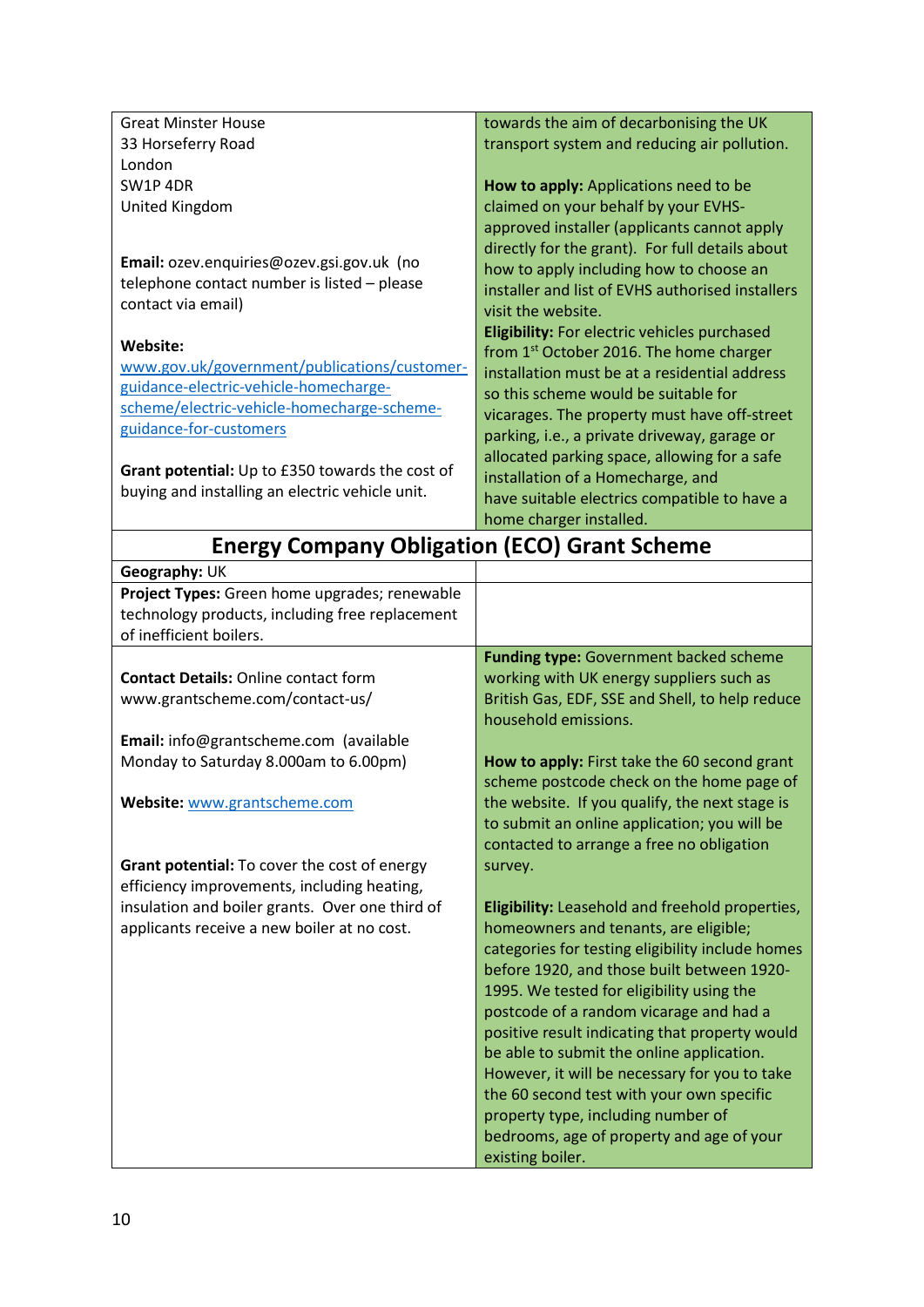| <b>Great Minster House</b>                          | towards the aim of decarbonising the UK                                                   |
|-----------------------------------------------------|-------------------------------------------------------------------------------------------|
| 33 Horseferry Road                                  | transport system and reducing air pollution.                                              |
| London                                              |                                                                                           |
| SW1P 4DR                                            | How to apply: Applications need to be                                                     |
| United Kingdom                                      | claimed on your behalf by your EVHS-                                                      |
|                                                     | approved installer (applicants cannot apply                                               |
|                                                     | directly for the grant). For full details about                                           |
| Email: ozev.enquiries@ozev.gsi.gov.uk (no           | how to apply including how to choose an                                                   |
| telephone contact number is listed - please         | installer and list of EVHS authorised installers                                          |
| contact via email)                                  | visit the website.                                                                        |
| Website:                                            | Eligibility: For electric vehicles purchased                                              |
| www.gov.uk/government/publications/customer-        | from 1 <sup>st</sup> October 2016. The home charger                                       |
| guidance-electric-vehicle-homecharge-               | installation must be at a residential address                                             |
| scheme/electric-vehicle-homecharge-scheme-          | so this scheme would be suitable for                                                      |
| guidance-for-customers                              | vicarages. The property must have off-street                                              |
|                                                     | parking, i.e., a private driveway, garage or                                              |
| Grant potential: Up to £350 towards the cost of     | allocated parking space, allowing for a safe                                              |
| buying and installing an electric vehicle unit.     | installation of a Homecharge, and                                                         |
|                                                     | have suitable electrics compatible to have a                                              |
|                                                     | home charger installed.                                                                   |
| <b>Energy Company Obligation (ECO) Grant Scheme</b> |                                                                                           |
| Geography: UK                                       |                                                                                           |
| Project Types: Green home upgrades; renewable       |                                                                                           |
| technology products, including free replacement     |                                                                                           |
|                                                     |                                                                                           |
| of inefficient boilers.                             |                                                                                           |
|                                                     | <b>Funding type: Government backed scheme</b>                                             |
| <b>Contact Details: Online contact form</b>         | working with UK energy suppliers such as                                                  |
| www.grantscheme.com/contact-us/                     | British Gas, EDF, SSE and Shell, to help reduce                                           |
|                                                     | household emissions.                                                                      |
| Email: info@grantscheme.com (available              |                                                                                           |
| Monday to Saturday 8.000am to 6.00pm)               | How to apply: First take the 60 second grant                                              |
|                                                     | scheme postcode check on the home page of                                                 |
| Website: www.grantscheme.com                        | the website. If you qualify, the next stage is                                            |
|                                                     | to submit an online application; you will be                                              |
|                                                     | contacted to arrange a free no obligation                                                 |
| Grant potential: To cover the cost of energy        | survey.                                                                                   |
| efficiency improvements, including heating,         |                                                                                           |
| insulation and boiler grants. Over one third of     | Eligibility: Leasehold and freehold properties,                                           |
| applicants receive a new boiler at no cost.         | homeowners and tenants, are eligible;<br>categories for testing eligibility include homes |
|                                                     | before 1920, and those built between 1920-                                                |
|                                                     | 1995. We tested for eligibility using the                                                 |
|                                                     | postcode of a random vicarage and had a                                                   |
|                                                     | positive result indicating that property would                                            |
|                                                     | be able to submit the online application.                                                 |
|                                                     | However, it will be necessary for you to take                                             |
|                                                     | the 60 second test with your own specific                                                 |
|                                                     | property type, including number of                                                        |
|                                                     | bedrooms, age of property and age of your<br>existing boiler.                             |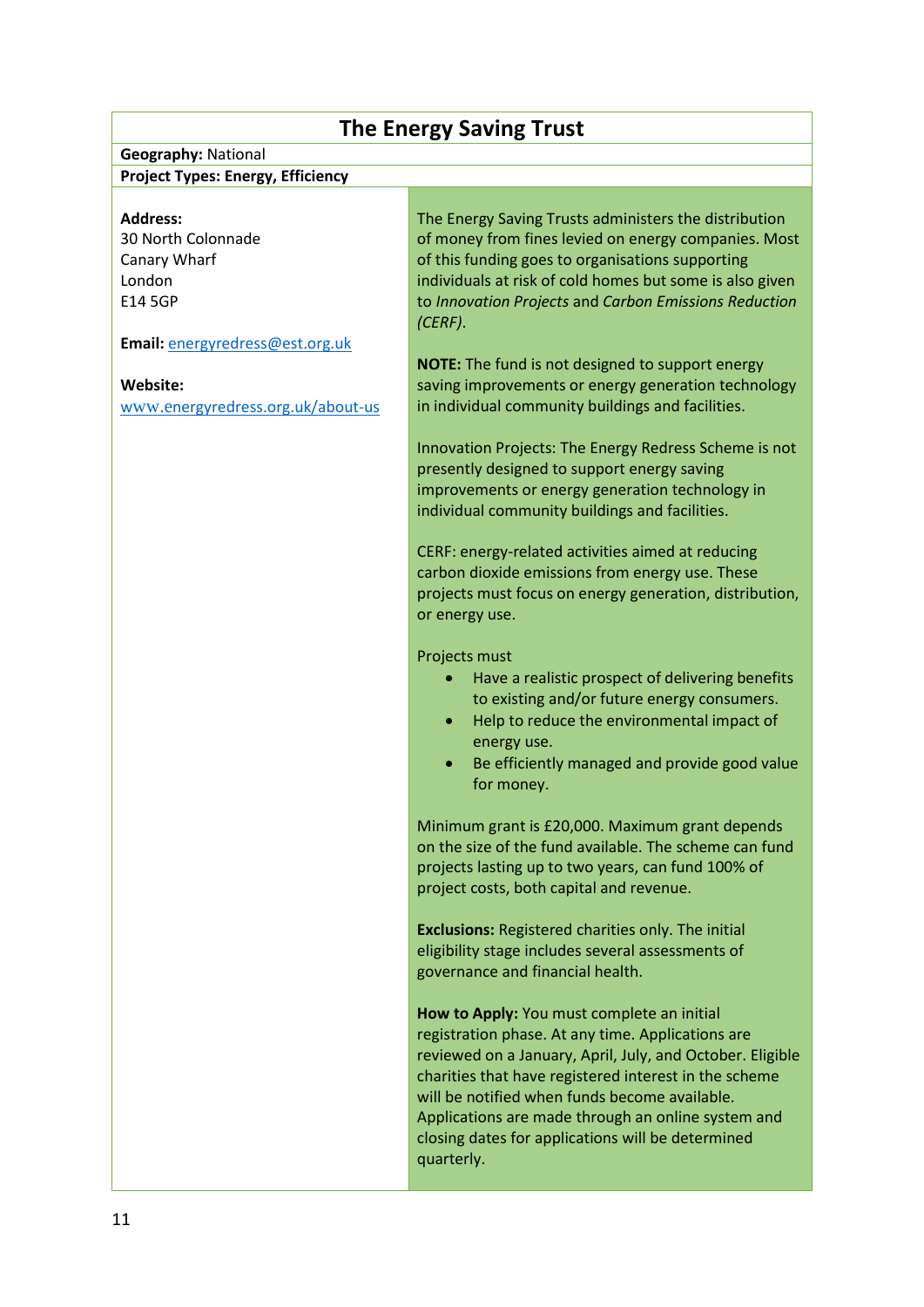## **The Energy Saving Trust**

#### **Geography:** National **Project Types: Energy, Efficiency**

#### **Address:**

30 North Colonnade Canary Wharf London E14 5GP

**Email:** [energyredress@est.org.uk](mailto:energyredress@est.org.uk)

#### **Website:**

www.e[nergyredress.org.uk/about-us](http://www.energyredress.org.uk/about-us)

The Energy Saving Trusts administers the distribution of money from fines levied on energy companies. Most of this funding goes to organisations supporting individuals at risk of cold homes but some is also given to *Innovation Projects* and *Carbon Emissions Reduction (CERF)*.

**NOTE:** The fund is not designed to support energy saving improvements or energy generation technology in individual community buildings and facilities.

Innovation Projects: The Energy Redress Scheme is not presently designed to support energy saving improvements or energy generation technology in individual community buildings and facilities.

CERF: energy-related activities aimed at reducing carbon dioxide emissions from energy use. These projects must focus on energy generation, distribution, or energy use.

Projects must

- Have a realistic prospect of delivering benefits to existing and/or future energy consumers.
- Help to reduce the environmental impact of energy use.
- Be efficiently managed and provide good value for money.

Minimum grant is £20,000. Maximum grant depends on the size of the fund available. The scheme can fund projects lasting up to two years, can fund 100% of project costs, both capital and revenue.

**Exclusions:** Registered charities only. The initial eligibility stage includes several assessments of governance and financial health.

**How to Apply:** You must complete an initial registration phase. At any time. Applications are reviewed on a January, April, July, and October. Eligible charities that have registered interest in the scheme will be notified when funds become available. Applications are made through an online system and closing dates for applications will be determined quarterly.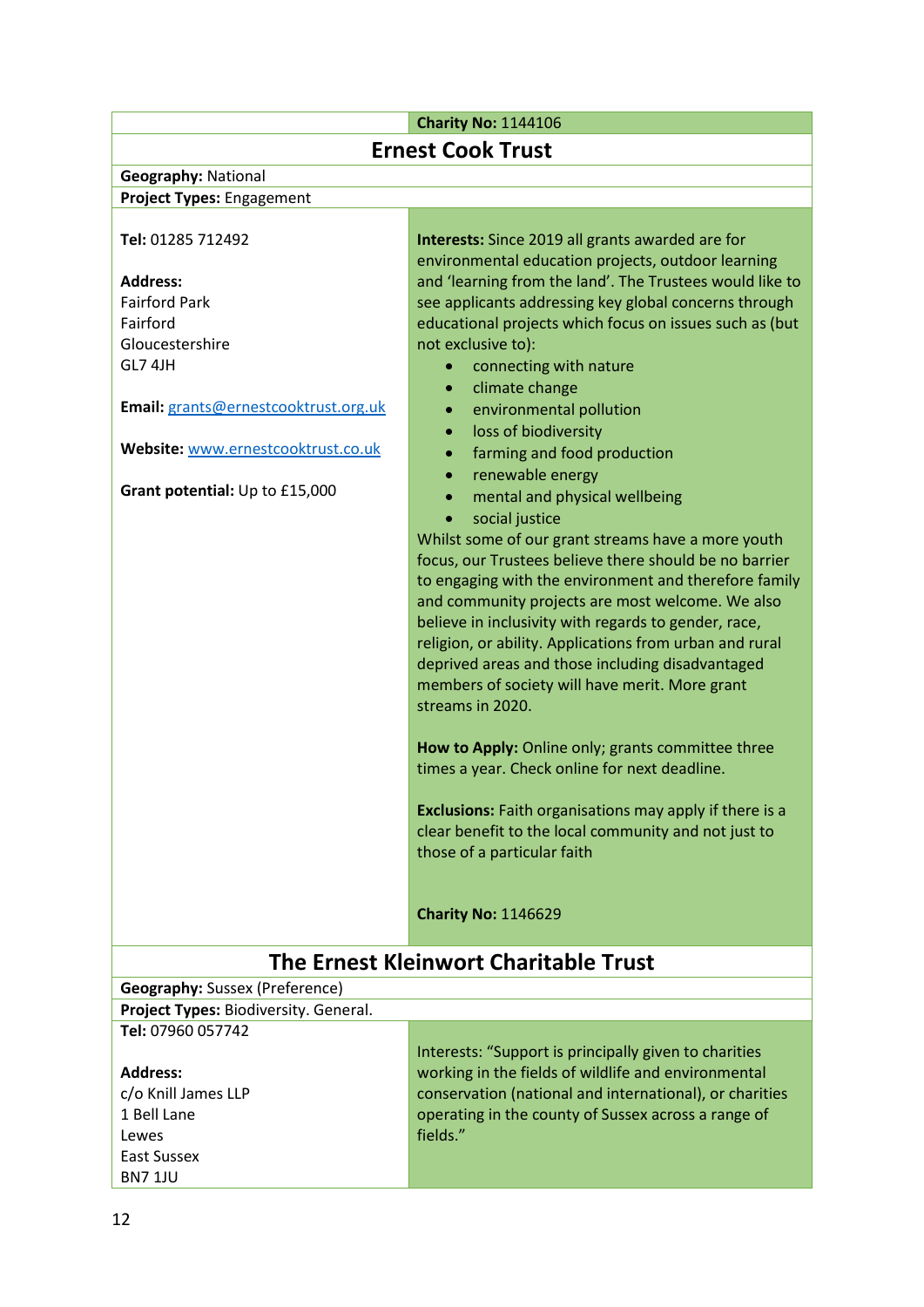# **Charity No:** 1144106

| Charley No. 1144100                   |                                                                |  |
|---------------------------------------|----------------------------------------------------------------|--|
| <b>Ernest Cook Trust</b>              |                                                                |  |
| <b>Geography: National</b>            |                                                                |  |
| Project Types: Engagement             |                                                                |  |
| Tel: 01285 712492                     | Interests: Since 2019 all grants awarded are for               |  |
|                                       | environmental education projects, outdoor learning             |  |
| <b>Address:</b>                       | and 'learning from the land'. The Trustees would like to       |  |
| <b>Fairford Park</b>                  | see applicants addressing key global concerns through          |  |
| Fairford                              | educational projects which focus on issues such as (but        |  |
| Gloucestershire                       | not exclusive to):                                             |  |
| GL7 4JH                               | connecting with nature<br>$\bullet$                            |  |
|                                       | climate change<br>$\bullet$                                    |  |
| Email: grants@ernestcooktrust.org.uk  | environmental pollution<br>$\bullet$                           |  |
|                                       | loss of biodiversity<br>$\bullet$                              |  |
| Website: www.ernestcooktrust.co.uk    | farming and food production                                    |  |
|                                       | renewable energy<br>$\bullet$                                  |  |
| Grant potential: Up to £15,000        | mental and physical wellbeing<br>$\bullet$                     |  |
|                                       | social justice<br>$\bullet$                                    |  |
|                                       | Whilst some of our grant streams have a more youth             |  |
|                                       | focus, our Trustees believe there should be no barrier         |  |
|                                       | to engaging with the environment and therefore family          |  |
|                                       | and community projects are most welcome. We also               |  |
|                                       | believe in inclusivity with regards to gender, race,           |  |
|                                       | religion, or ability. Applications from urban and rural        |  |
|                                       | deprived areas and those including disadvantaged               |  |
|                                       | members of society will have merit. More grant                 |  |
|                                       | streams in 2020.                                               |  |
|                                       |                                                                |  |
|                                       | How to Apply: Online only; grants committee three              |  |
|                                       | times a year. Check online for next deadline.                  |  |
|                                       | <b>Exclusions:</b> Faith organisations may apply if there is a |  |
|                                       | clear benefit to the local community and not just to           |  |
|                                       | those of a particular faith                                    |  |
|                                       |                                                                |  |
|                                       | <b>Charity No: 1146629</b>                                     |  |
|                                       |                                                                |  |
| The Ernest Kleinwort Charitable Trust |                                                                |  |
| <b>Geography:</b> Sussex (Preference) |                                                                |  |
| Project Types: Biodiversity. General. |                                                                |  |
| Tel: 07960 057742                     |                                                                |  |
|                                       | Interests: "Support is principally given to charities          |  |
| <b>Address:</b>                       | working in the fields of wildlife and environmental            |  |
| c/o Knill James LLP                   | conservation (national and international), or charities        |  |
| 1 Bell Lane                           | operating in the county of Sussex across a range of            |  |
| Lewes                                 | fields."                                                       |  |

 $\overline{1}$ 

East Sussex BN7 1JU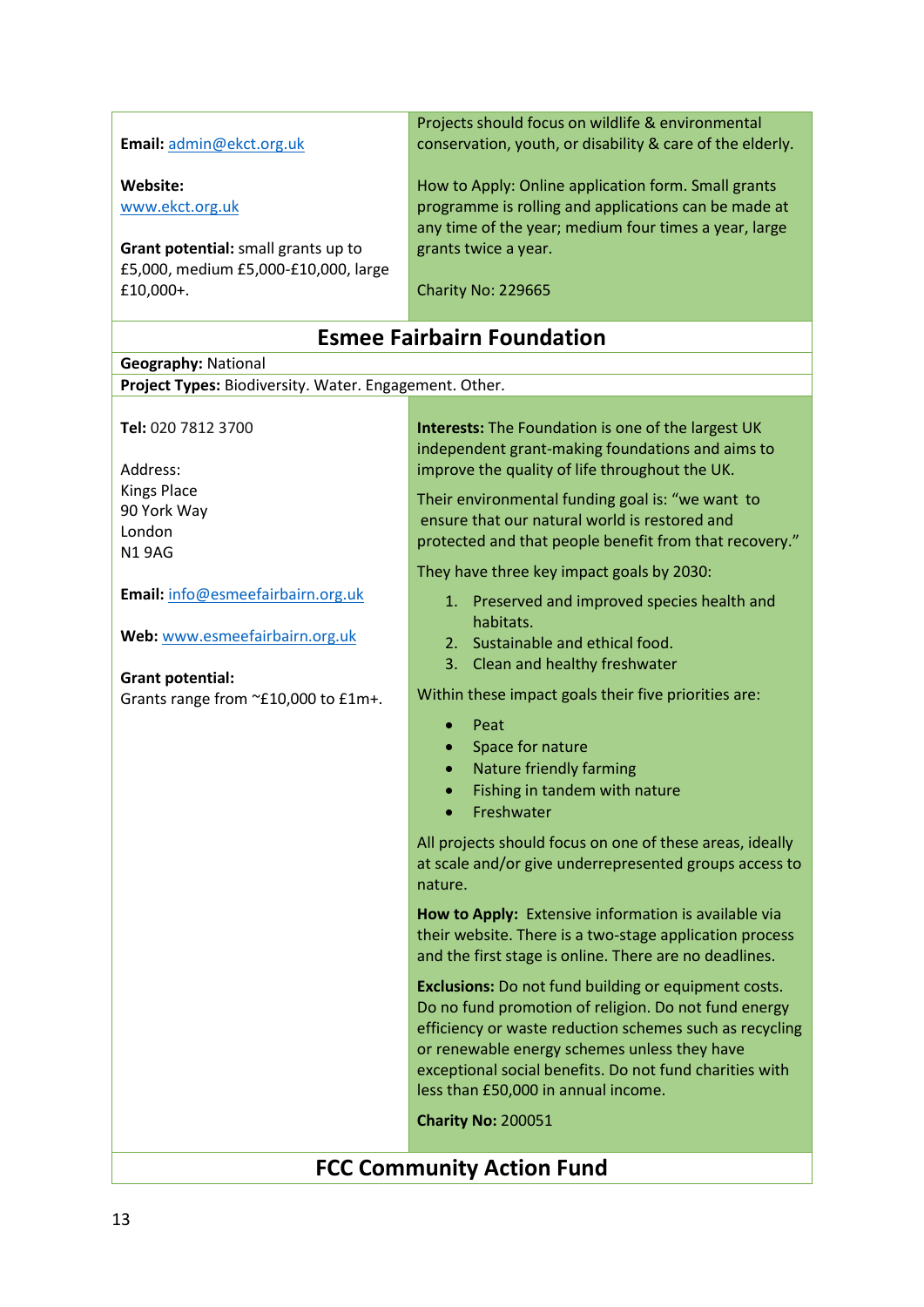|                                                        | Projects should focus on wildlife & environmental                                                                 |
|--------------------------------------------------------|-------------------------------------------------------------------------------------------------------------------|
| Email: admin@ekct.org.uk                               | conservation, youth, or disability & care of the elderly.                                                         |
|                                                        |                                                                                                                   |
| Website:                                               | How to Apply: Online application form. Small grants                                                               |
| www.ekct.org.uk                                        | programme is rolling and applications can be made at                                                              |
|                                                        | any time of the year; medium four times a year, large                                                             |
| Grant potential: small grants up to                    | grants twice a year.                                                                                              |
| £5,000, medium £5,000-£10,000, large                   |                                                                                                                   |
| £10,000+.                                              | Charity No: 229665                                                                                                |
|                                                        |                                                                                                                   |
|                                                        | <b>Esmee Fairbairn Foundation</b>                                                                                 |
| <b>Geography: National</b>                             |                                                                                                                   |
| Project Types: Biodiversity. Water. Engagement. Other. |                                                                                                                   |
|                                                        |                                                                                                                   |
| Tel: 020 7812 3700                                     | <b>Interests:</b> The Foundation is one of the largest UK                                                         |
|                                                        | independent grant-making foundations and aims to                                                                  |
| Address:                                               | improve the quality of life throughout the UK.                                                                    |
| <b>Kings Place</b>                                     | Their environmental funding goal is: "we want to                                                                  |
| 90 York Way                                            | ensure that our natural world is restored and                                                                     |
| London                                                 | protected and that people benefit from that recovery."                                                            |
| <b>N19AG</b>                                           |                                                                                                                   |
|                                                        | They have three key impact goals by 2030:                                                                         |
| Email: info@esmeefairbairn.org.uk                      | 1. Preserved and improved species health and                                                                      |
|                                                        | habitats.                                                                                                         |
| Web: www.esmeefairbairn.org.uk                         | 2. Sustainable and ethical food.                                                                                  |
|                                                        | 3. Clean and healthy freshwater                                                                                   |
| <b>Grant potential:</b>                                | Within these impact goals their five priorities are:                                                              |
| Grants range from ~£10,000 to £1m+.                    |                                                                                                                   |
|                                                        | Peat                                                                                                              |
|                                                        | Space for nature                                                                                                  |
|                                                        | Nature friendly farming                                                                                           |
|                                                        | Fishing in tandem with nature                                                                                     |
|                                                        | Freshwater                                                                                                        |
|                                                        | All projects should focus on one of these areas, ideally                                                          |
|                                                        | at scale and/or give underrepresented groups access to                                                            |
|                                                        | nature.                                                                                                           |
|                                                        |                                                                                                                   |
|                                                        | How to Apply: Extensive information is available via                                                              |
|                                                        | their website. There is a two-stage application process<br>and the first stage is online. There are no deadlines. |
|                                                        |                                                                                                                   |
|                                                        | <b>Exclusions:</b> Do not fund building or equipment costs.                                                       |
|                                                        | Do no fund promotion of religion. Do not fund energy                                                              |
|                                                        | efficiency or waste reduction schemes such as recycling                                                           |
|                                                        | or renewable energy schemes unless they have                                                                      |
|                                                        | exceptional social benefits. Do not fund charities with                                                           |
|                                                        | less than £50,000 in annual income.                                                                               |
|                                                        | <b>Charity No: 200051</b>                                                                                         |
|                                                        |                                                                                                                   |
| <b>FCC Community Action Fund</b>                       |                                                                                                                   |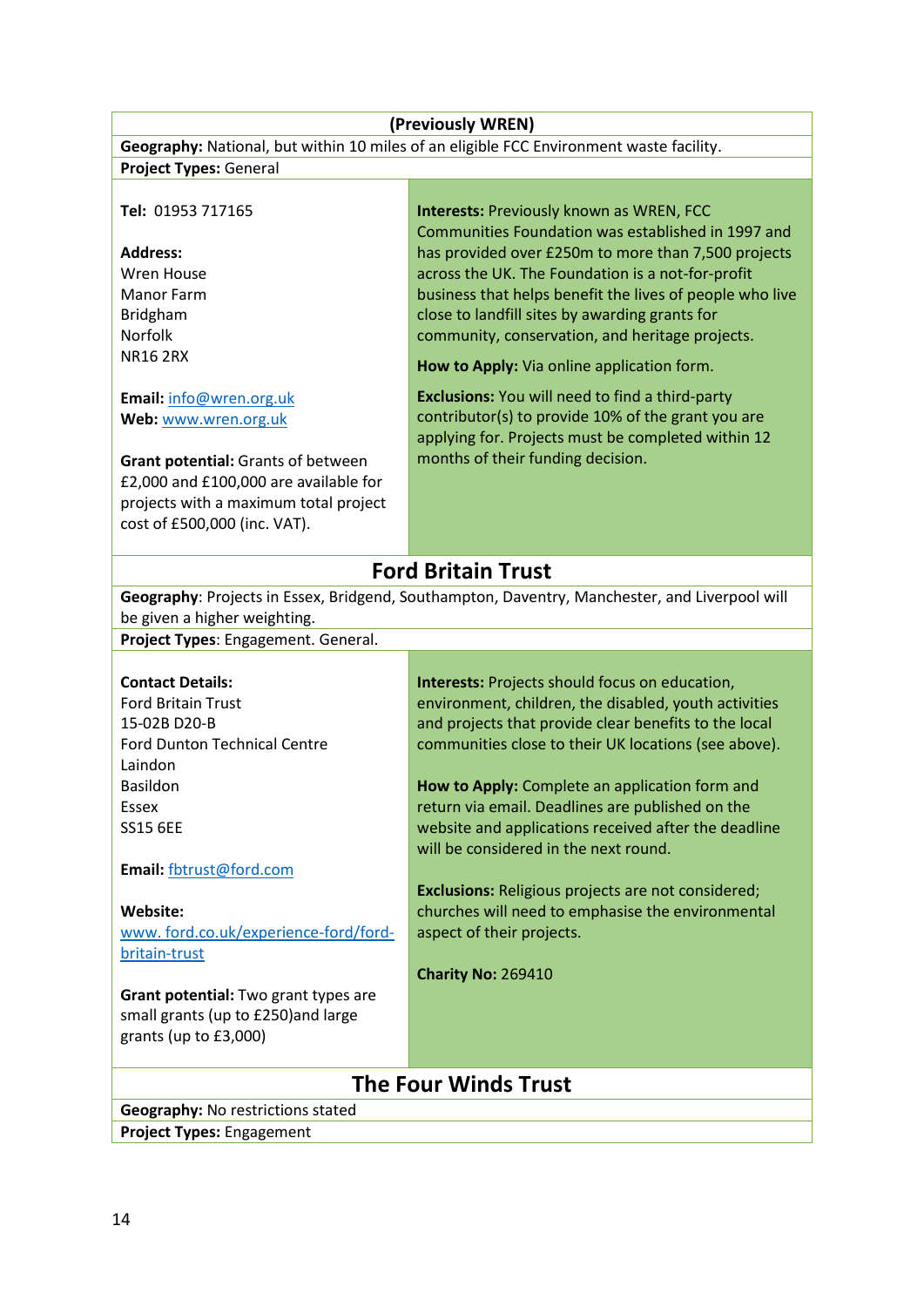| (Previously WREN)                                                                       |                                                                                               |  |
|-----------------------------------------------------------------------------------------|-----------------------------------------------------------------------------------------------|--|
| Geography: National, but within 10 miles of an eligible FCC Environment waste facility. |                                                                                               |  |
| <b>Project Types: General</b>                                                           |                                                                                               |  |
|                                                                                         |                                                                                               |  |
| Tel: 01953 717165                                                                       | <b>Interests: Previously known as WREN, FCC</b>                                               |  |
|                                                                                         | Communities Foundation was established in 1997 and                                            |  |
| <b>Address:</b>                                                                         | has provided over £250m to more than 7,500 projects                                           |  |
| Wren House                                                                              | across the UK. The Foundation is a not-for-profit                                             |  |
| <b>Manor Farm</b>                                                                       | business that helps benefit the lives of people who live                                      |  |
| Bridgham                                                                                | close to landfill sites by awarding grants for                                                |  |
| <b>Norfolk</b><br><b>NR16 2RX</b>                                                       | community, conservation, and heritage projects.                                               |  |
|                                                                                         | How to Apply: Via online application form.                                                    |  |
| Email: info@wren.org.uk                                                                 | <b>Exclusions:</b> You will need to find a third-party                                        |  |
| Web: www.wren.org.uk                                                                    | contributor(s) to provide 10% of the grant you are                                            |  |
|                                                                                         | applying for. Projects must be completed within 12                                            |  |
| Grant potential: Grants of between                                                      | months of their funding decision.                                                             |  |
| £2,000 and £100,000 are available for                                                   |                                                                                               |  |
| projects with a maximum total project                                                   |                                                                                               |  |
| cost of £500,000 (inc. VAT).                                                            |                                                                                               |  |
|                                                                                         |                                                                                               |  |
|                                                                                         | <b>Ford Britain Trust</b>                                                                     |  |
|                                                                                         | Geography: Projects in Essex, Bridgend, Southampton, Daventry, Manchester, and Liverpool will |  |
| be given a higher weighting.                                                            |                                                                                               |  |
| Project Types: Engagement. General.                                                     |                                                                                               |  |
|                                                                                         |                                                                                               |  |
| <b>Contact Details:</b>                                                                 | Interests: Projects should focus on education,                                                |  |
| <b>Ford Britain Trust</b>                                                               | environment, children, the disabled, youth activities                                         |  |
| 15-02B D20-B<br><b>Ford Dunton Technical Centre</b>                                     | and projects that provide clear benefits to the local                                         |  |
| Laindon                                                                                 | communities close to their UK locations (see above).                                          |  |
| <b>Basildon</b>                                                                         | How to Apply: Complete an application form and                                                |  |
| Essex                                                                                   | return via email. Deadlines are published on the                                              |  |
| <b>SS15 6EE</b>                                                                         | website and applications received after the deadline                                          |  |
|                                                                                         | will be considered in the next round.                                                         |  |
| Email: fbtrust@ford.com                                                                 |                                                                                               |  |
|                                                                                         | <b>Exclusions:</b> Religious projects are not considered;                                     |  |
| Website:                                                                                | churches will need to emphasise the environmental                                             |  |
| www.ford.co.uk/experience-ford/ford-                                                    | aspect of their projects.                                                                     |  |
| britain-trust                                                                           |                                                                                               |  |
|                                                                                         | <b>Charity No: 269410</b>                                                                     |  |
| Grant potential: Two grant types are                                                    |                                                                                               |  |
| small grants (up to £250) and large                                                     |                                                                                               |  |
| grants (up to £3,000)                                                                   |                                                                                               |  |
|                                                                                         |                                                                                               |  |
| <b>The Four Winds Trust</b>                                                             |                                                                                               |  |
| <b>Geography: No restrictions stated</b>                                                |                                                                                               |  |
| Project Types: Engagement                                                               |                                                                                               |  |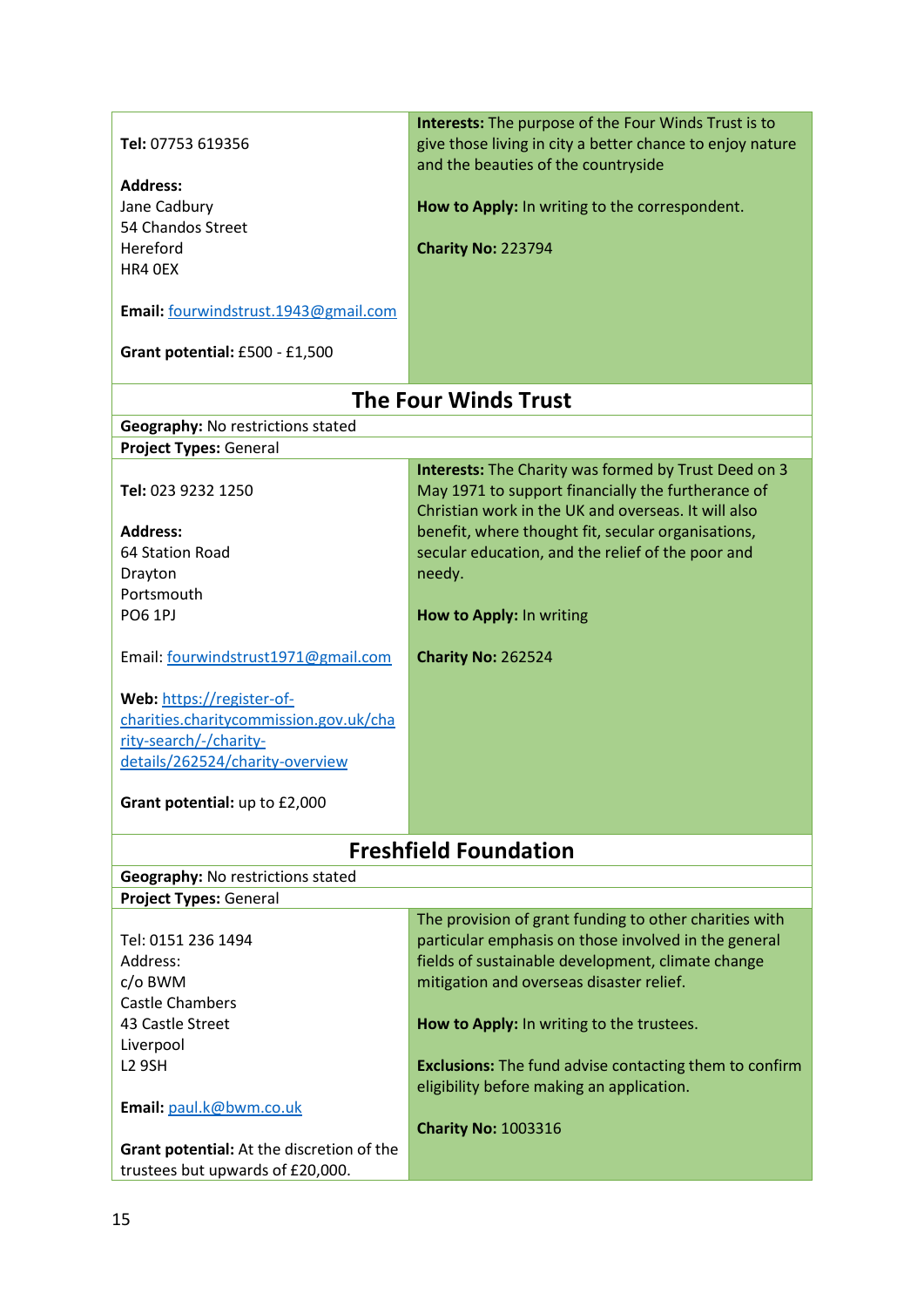|                                           | <b>Interests:</b> The purpose of the Four Winds Trust is to   |
|-------------------------------------------|---------------------------------------------------------------|
| Tel: 07753 619356                         | give those living in city a better chance to enjoy nature     |
|                                           | and the beauties of the countryside                           |
| <b>Address:</b>                           |                                                               |
| Jane Cadbury                              | How to Apply: In writing to the correspondent.                |
| 54 Chandos Street                         |                                                               |
| Hereford                                  | Charity No: 223794                                            |
| HR4 OEX                                   |                                                               |
| Email: fourwindstrust.1943@gmail.com      |                                                               |
|                                           |                                                               |
| Grant potential: £500 - £1,500            |                                                               |
|                                           | <b>The Four Winds Trust</b>                                   |
| Geography: No restrictions stated         |                                                               |
| <b>Project Types: General</b>             |                                                               |
|                                           | Interests: The Charity was formed by Trust Deed on 3          |
| Tel: 023 9232 1250                        | May 1971 to support financially the furtherance of            |
|                                           | Christian work in the UK and overseas. It will also           |
| <b>Address:</b>                           | benefit, where thought fit, secular organisations,            |
| 64 Station Road                           | secular education, and the relief of the poor and             |
| Drayton<br>Portsmouth                     | needy.                                                        |
| <b>PO6 1PJ</b>                            | How to Apply: In writing                                      |
|                                           |                                                               |
| Email: fourwindstrust1971@gmail.com       | <b>Charity No: 262524</b>                                     |
| Web: https://register-of-                 |                                                               |
| charities.charitycommission.gov.uk/cha    |                                                               |
| rity-search/-/charity-                    |                                                               |
| details/262524/charity-overview           |                                                               |
|                                           |                                                               |
| Grant potential: up to £2,000             |                                                               |
|                                           | <b>Freshfield Foundation</b>                                  |
| <b>Geography: No restrictions stated</b>  |                                                               |
| <b>Project Types: General</b>             |                                                               |
|                                           | The provision of grant funding to other charities with        |
| Tel: 0151 236 1494                        | particular emphasis on those involved in the general          |
| Address:                                  | fields of sustainable development, climate change             |
| c/o BWM                                   | mitigation and overseas disaster relief.                      |
| <b>Castle Chambers</b>                    |                                                               |
| 43 Castle Street                          | How to Apply: In writing to the trustees.                     |
| Liverpool                                 |                                                               |
| <b>L2 9SH</b>                             | <b>Exclusions:</b> The fund advise contacting them to confirm |
|                                           | eligibility before making an application.                     |
| Email: paul.k@bwm.co.uk                   |                                                               |
|                                           | <b>Charity No: 1003316</b>                                    |
| Grant potential: At the discretion of the |                                                               |
| trustees but upwards of £20,000.          |                                                               |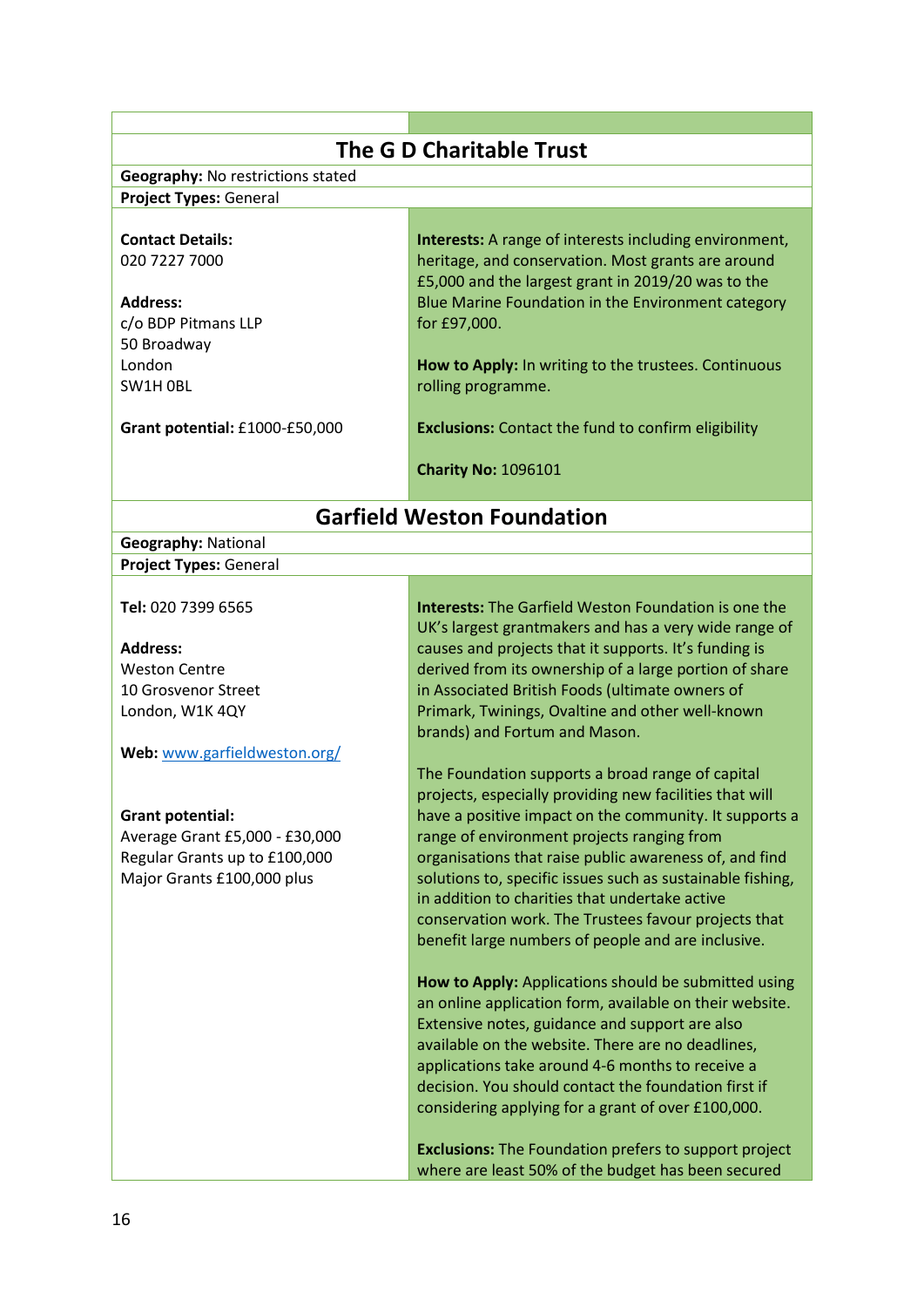| <b>The G D Charitable Trust</b>          |                                                               |  |
|------------------------------------------|---------------------------------------------------------------|--|
| <b>Geography: No restrictions stated</b> |                                                               |  |
| <b>Project Types: General</b>            |                                                               |  |
|                                          |                                                               |  |
| <b>Contact Details:</b>                  | <b>Interests:</b> A range of interests including environment, |  |
| 020 7227 7000                            | heritage, and conservation. Most grants are around            |  |
|                                          | £5,000 and the largest grant in 2019/20 was to the            |  |
| <b>Address:</b>                          | Blue Marine Foundation in the Environment category            |  |
| c/o BDP Pitmans LLP                      | for £97,000.                                                  |  |
| 50 Broadway                              |                                                               |  |
| London                                   | How to Apply: In writing to the trustees. Continuous          |  |
| SW1H OBL                                 | rolling programme.                                            |  |
|                                          |                                                               |  |
| Grant potential: £1000-£50,000           | <b>Exclusions:</b> Contact the fund to confirm eligibility    |  |
|                                          |                                                               |  |
|                                          | <b>Charity No: 1096101</b>                                    |  |
|                                          |                                                               |  |
|                                          | <b>Garfield Weston Foundation</b>                             |  |
| <b>Geography: National</b>               |                                                               |  |
| <b>Project Types: General</b>            |                                                               |  |
|                                          |                                                               |  |
| Tel: 020 7399 6565                       | <b>Interests:</b> The Garfield Weston Foundation is one the   |  |
|                                          | UK's largest grantmakers and has a very wide range of         |  |
| <b>Address:</b>                          | causes and projects that it supports. It's funding is         |  |
| <b>Weston Centre</b>                     | derived from its ownership of a large portion of share        |  |
| 10 Grosvenor Street                      | in Associated British Foods (ultimate owners of               |  |
| London, W1K 4QY                          | Primark, Twinings, Ovaltine and other well-known              |  |
|                                          | brands) and Fortum and Mason.                                 |  |
| Web: www.garfieldweston.org/             |                                                               |  |
|                                          | The Foundation supports a broad range of capital              |  |
|                                          | projects, especially providing new facilities that will       |  |
| <b>Grant potential:</b>                  | have a positive impact on the community. It supports a        |  |
| Average Grant £5,000 - £30,000           | range of environment projects ranging from                    |  |
| Regular Grants up to £100,000            | organisations that raise public awareness of, and find        |  |
| Major Grants £100,000 plus               | solutions to, specific issues such as sustainable fishing,    |  |
|                                          | in addition to charities that undertake active                |  |
|                                          | conservation work. The Trustees favour projects that          |  |
|                                          | benefit large numbers of people and are inclusive.            |  |
|                                          | How to Apply: Applications should be submitted using          |  |
|                                          | an online application form, available on their website.       |  |
|                                          | Extensive notes, guidance and support are also                |  |
|                                          | available on the website. There are no deadlines,             |  |
|                                          | applications take around 4-6 months to receive a              |  |
|                                          | decision. You should contact the foundation first if          |  |
|                                          | considering applying for a grant of over £100,000.            |  |
|                                          |                                                               |  |
|                                          | <b>Exclusions:</b> The Foundation prefers to support project  |  |
|                                          | where are least 50% of the budget has been secured            |  |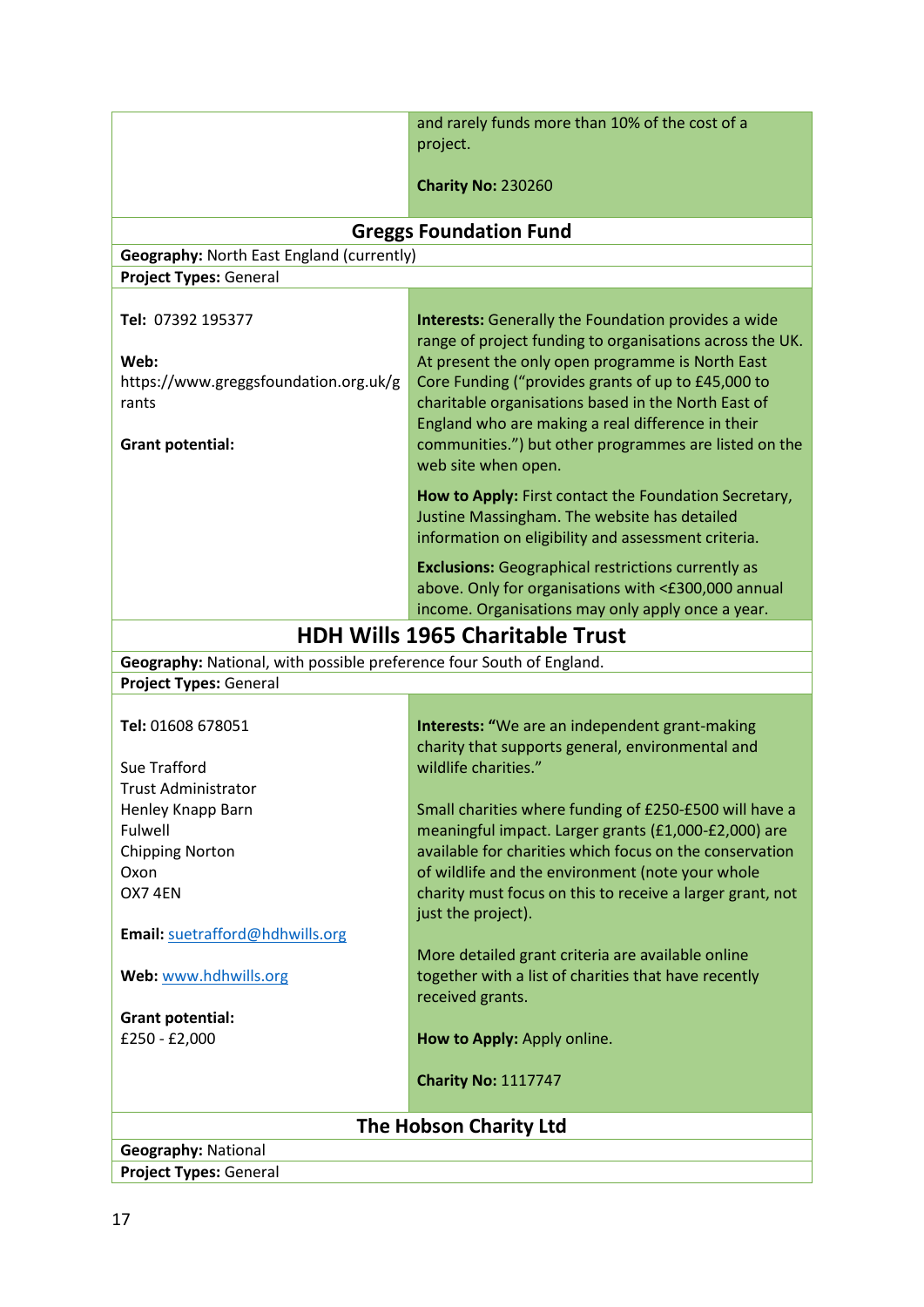|                                                                      | and rarely funds more than 10% of the cost of a                                                                        |  |
|----------------------------------------------------------------------|------------------------------------------------------------------------------------------------------------------------|--|
|                                                                      | project.                                                                                                               |  |
|                                                                      | <b>Charity No: 230260</b>                                                                                              |  |
| <b>Greggs Foundation Fund</b>                                        |                                                                                                                        |  |
| Geography: North East England (currently)                            |                                                                                                                        |  |
| <b>Project Types: General</b>                                        |                                                                                                                        |  |
| Tel: 07392 195377                                                    |                                                                                                                        |  |
|                                                                      | <b>Interests:</b> Generally the Foundation provides a wide<br>range of project funding to organisations across the UK. |  |
| Web:                                                                 | At present the only open programme is North East                                                                       |  |
| https://www.greggsfoundation.org.uk/g                                | Core Funding ("provides grants of up to £45,000 to                                                                     |  |
| rants                                                                | charitable organisations based in the North East of                                                                    |  |
|                                                                      | England who are making a real difference in their                                                                      |  |
| <b>Grant potential:</b>                                              | communities.") but other programmes are listed on the<br>web site when open.                                           |  |
|                                                                      | How to Apply: First contact the Foundation Secretary,                                                                  |  |
|                                                                      | Justine Massingham. The website has detailed                                                                           |  |
|                                                                      | information on eligibility and assessment criteria.                                                                    |  |
|                                                                      | <b>Exclusions:</b> Geographical restrictions currently as                                                              |  |
|                                                                      | above. Only for organisations with <£300,000 annual                                                                    |  |
|                                                                      | income. Organisations may only apply once a year.                                                                      |  |
|                                                                      | <b>HDH Wills 1965 Charitable Trust</b>                                                                                 |  |
| Geography: National, with possible preference four South of England. |                                                                                                                        |  |
| <b>Project Types: General</b>                                        |                                                                                                                        |  |
| Tel: 01608 678051                                                    | Interests: "We are an independent grant-making                                                                         |  |
|                                                                      | charity that supports general, environmental and                                                                       |  |
| Sue Trafford                                                         | wildlife charities."                                                                                                   |  |
| <b>Trust Administrator</b>                                           |                                                                                                                        |  |
| Henley Knapp Barn                                                    | Small charities where funding of £250-£500 will have a                                                                 |  |
| Fulwell<br><b>Chipping Norton</b>                                    | meaningful impact. Larger grants (£1,000-£2,000) are<br>available for charities which focus on the conservation        |  |
| Oxon                                                                 | of wildlife and the environment (note your whole                                                                       |  |
| OX7 4EN                                                              | charity must focus on this to receive a larger grant, not                                                              |  |
|                                                                      | just the project).                                                                                                     |  |
| Email: suetrafford@hdhwills.org                                      |                                                                                                                        |  |
| Web: www.hdhwills.org                                                | More detailed grant criteria are available online<br>together with a list of charities that have recently              |  |
|                                                                      | received grants.                                                                                                       |  |
| <b>Grant potential:</b>                                              |                                                                                                                        |  |
| £250 - £2,000                                                        | How to Apply: Apply online.                                                                                            |  |
|                                                                      | <b>Charity No: 1117747</b>                                                                                             |  |
|                                                                      | The Hobson Charity Ltd                                                                                                 |  |
| <b>Geography: National</b>                                           |                                                                                                                        |  |
| <b>Project Types: General</b>                                        |                                                                                                                        |  |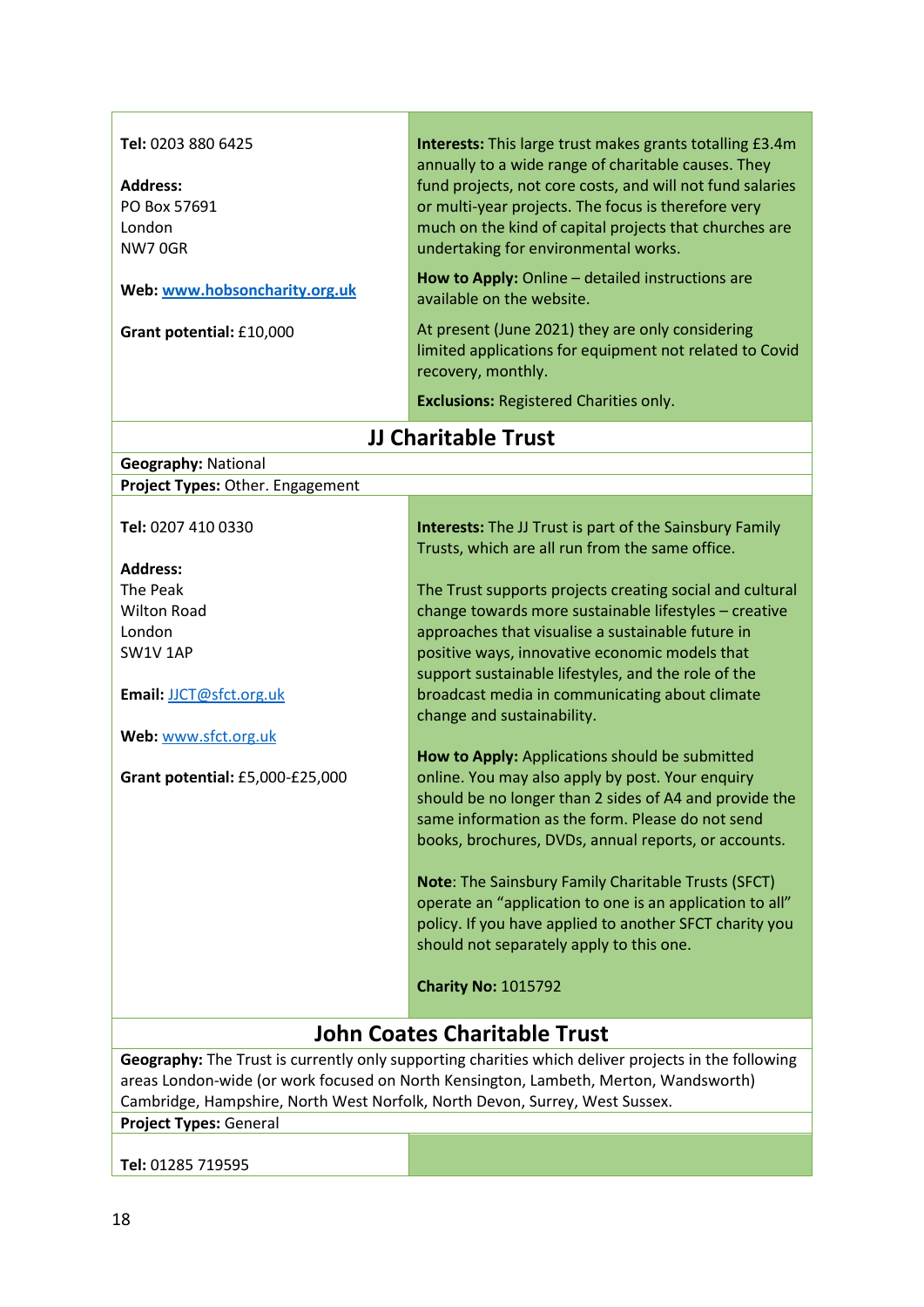| Tel: 0203 880 6425<br><b>Address:</b><br>PO Box 57691<br>London<br>NW70GR<br>Web: www.hobsoncharity.org.uk<br>Grant potential: £10,000                                                                                                                                     | Interests: This large trust makes grants totalling £3.4m<br>annually to a wide range of charitable causes. They<br>fund projects, not core costs, and will not fund salaries<br>or multi-year projects. The focus is therefore very<br>much on the kind of capital projects that churches are<br>undertaking for environmental works.<br>How to Apply: Online - detailed instructions are<br>available on the website.<br>At present (June 2021) they are only considering<br>limited applications for equipment not related to Covid<br>recovery, monthly.<br><b>Exclusions: Registered Charities only.</b> |
|----------------------------------------------------------------------------------------------------------------------------------------------------------------------------------------------------------------------------------------------------------------------------|--------------------------------------------------------------------------------------------------------------------------------------------------------------------------------------------------------------------------------------------------------------------------------------------------------------------------------------------------------------------------------------------------------------------------------------------------------------------------------------------------------------------------------------------------------------------------------------------------------------|
|                                                                                                                                                                                                                                                                            | <b>JJ Charitable Trust</b>                                                                                                                                                                                                                                                                                                                                                                                                                                                                                                                                                                                   |
| <b>Geography: National</b>                                                                                                                                                                                                                                                 |                                                                                                                                                                                                                                                                                                                                                                                                                                                                                                                                                                                                              |
| Project Types: Other. Engagement                                                                                                                                                                                                                                           |                                                                                                                                                                                                                                                                                                                                                                                                                                                                                                                                                                                                              |
| Tel: 0207 410 0330<br><b>Address:</b><br>The Peak<br><b>Wilton Road</b><br>London<br>SW1V1AP<br>Email: JJCT@sfct.org.uk<br>Web: www.sfct.org.uk                                                                                                                            | <b>Interests:</b> The JJ Trust is part of the Sainsbury Family<br>Trusts, which are all run from the same office.<br>The Trust supports projects creating social and cultural<br>change towards more sustainable lifestyles - creative<br>approaches that visualise a sustainable future in<br>positive ways, innovative economic models that<br>support sustainable lifestyles, and the role of the<br>broadcast media in communicating about climate<br>change and sustainability.                                                                                                                         |
| Grant potential: £5,000-£25,000                                                                                                                                                                                                                                            | How to Apply: Applications should be submitted<br>online. You may also apply by post. Your enquiry<br>should be no longer than 2 sides of A4 and provide the<br>same information as the form. Please do not send<br>books, brochures, DVDs, annual reports, or accounts.<br>Note: The Sainsbury Family Charitable Trusts (SFCT)<br>operate an "application to one is an application to all"<br>policy. If you have applied to another SFCT charity you<br>should not separately apply to this one.<br><b>Charity No: 1015792</b>                                                                             |
|                                                                                                                                                                                                                                                                            | <b>John Coates Charitable Trust</b>                                                                                                                                                                                                                                                                                                                                                                                                                                                                                                                                                                          |
| Geography: The Trust is currently only supporting charities which deliver projects in the following<br>areas London-wide (or work focused on North Kensington, Lambeth, Merton, Wandsworth)<br>Cambridge, Hampshire, North West Norfolk, North Devon, Surrey, West Sussex. |                                                                                                                                                                                                                                                                                                                                                                                                                                                                                                                                                                                                              |
| <b>Project Types: General</b>                                                                                                                                                                                                                                              |                                                                                                                                                                                                                                                                                                                                                                                                                                                                                                                                                                                                              |
| Tel: 01285 719595                                                                                                                                                                                                                                                          |                                                                                                                                                                                                                                                                                                                                                                                                                                                                                                                                                                                                              |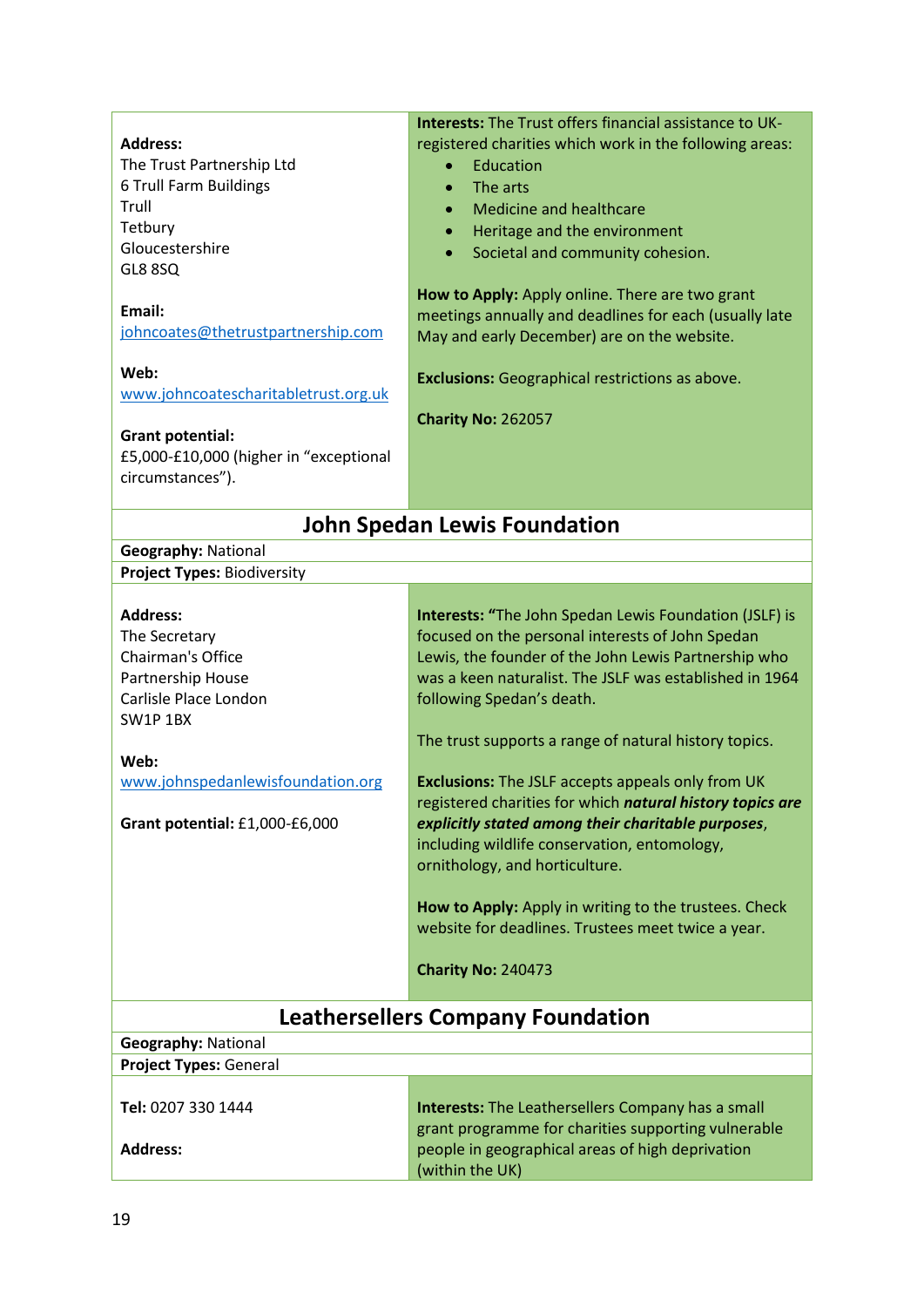|                                          | <b>Interests:</b> The Trust offers financial assistance to UK- |  |
|------------------------------------------|----------------------------------------------------------------|--|
| <b>Address:</b>                          | registered charities which work in the following areas:        |  |
| The Trust Partnership Ltd                | Education                                                      |  |
| 6 Trull Farm Buildings                   | The arts<br>$\bullet$                                          |  |
| Trull                                    | <b>Medicine and healthcare</b><br>$\bullet$                    |  |
| Tetbury                                  | Heritage and the environment<br>$\bullet$                      |  |
| Gloucestershire                          | Societal and community cohesion.<br>$\bullet$                  |  |
| GL8 8SQ                                  |                                                                |  |
|                                          | How to Apply: Apply online. There are two grant                |  |
| Email:                                   | meetings annually and deadlines for each (usually late         |  |
| johncoates@thetrustpartnership.com       | May and early December) are on the website.                    |  |
|                                          |                                                                |  |
| Web:                                     | <b>Exclusions:</b> Geographical restrictions as above.         |  |
| www.johncoatescharitabletrust.org.uk     |                                                                |  |
|                                          | <b>Charity No: 262057</b>                                      |  |
| <b>Grant potential:</b>                  |                                                                |  |
| £5,000-£10,000 (higher in "exceptional   |                                                                |  |
| circumstances").                         |                                                                |  |
|                                          |                                                                |  |
| <b>John Spedan Lewis Foundation</b>      |                                                                |  |
| <b>Geography: National</b>               |                                                                |  |
| <b>Project Types: Biodiversity</b>       |                                                                |  |
|                                          |                                                                |  |
| <b>Address:</b>                          | <b>Interests: "The John Spedan Lewis Foundation (JSLF) is</b>  |  |
| The Secretary                            | focused on the personal interests of John Spedan               |  |
| Chairman's Office                        | Lewis, the founder of the John Lewis Partnership who           |  |
| Partnership House                        | was a keen naturalist. The JSLF was established in 1964        |  |
| Carlisle Place London                    | following Spedan's death.                                      |  |
| SW1P1BX                                  |                                                                |  |
|                                          | The trust supports a range of natural history topics.          |  |
| Web:                                     |                                                                |  |
| www.johnspedanlewisfoundation.org        | <b>Exclusions:</b> The JSLF accepts appeals only from UK       |  |
|                                          | registered charities for which natural history topics are      |  |
| Grant potential: £1,000-£6,000           | explicitly stated among their charitable purposes,             |  |
|                                          | including wildlife conservation, entomology,                   |  |
|                                          | ornithology, and horticulture.                                 |  |
|                                          |                                                                |  |
|                                          | How to Apply: Apply in writing to the trustees. Check          |  |
|                                          | website for deadlines. Trustees meet twice a year.             |  |
|                                          |                                                                |  |
|                                          | <b>Charity No: 240473</b>                                      |  |
|                                          |                                                                |  |
| <b>Leathersellers Company Foundation</b> |                                                                |  |
| <b>Geography: National</b>               |                                                                |  |
| <b>Project Types: General</b>            |                                                                |  |
|                                          |                                                                |  |
| Tel: 0207 330 1444                       | <b>Interests:</b> The Leathersellers Company has a small       |  |
|                                          | grant programme for charities supporting vulnerable            |  |
| <b>Address:</b>                          | people in geographical areas of high deprivation               |  |
|                                          | (within the UK)                                                |  |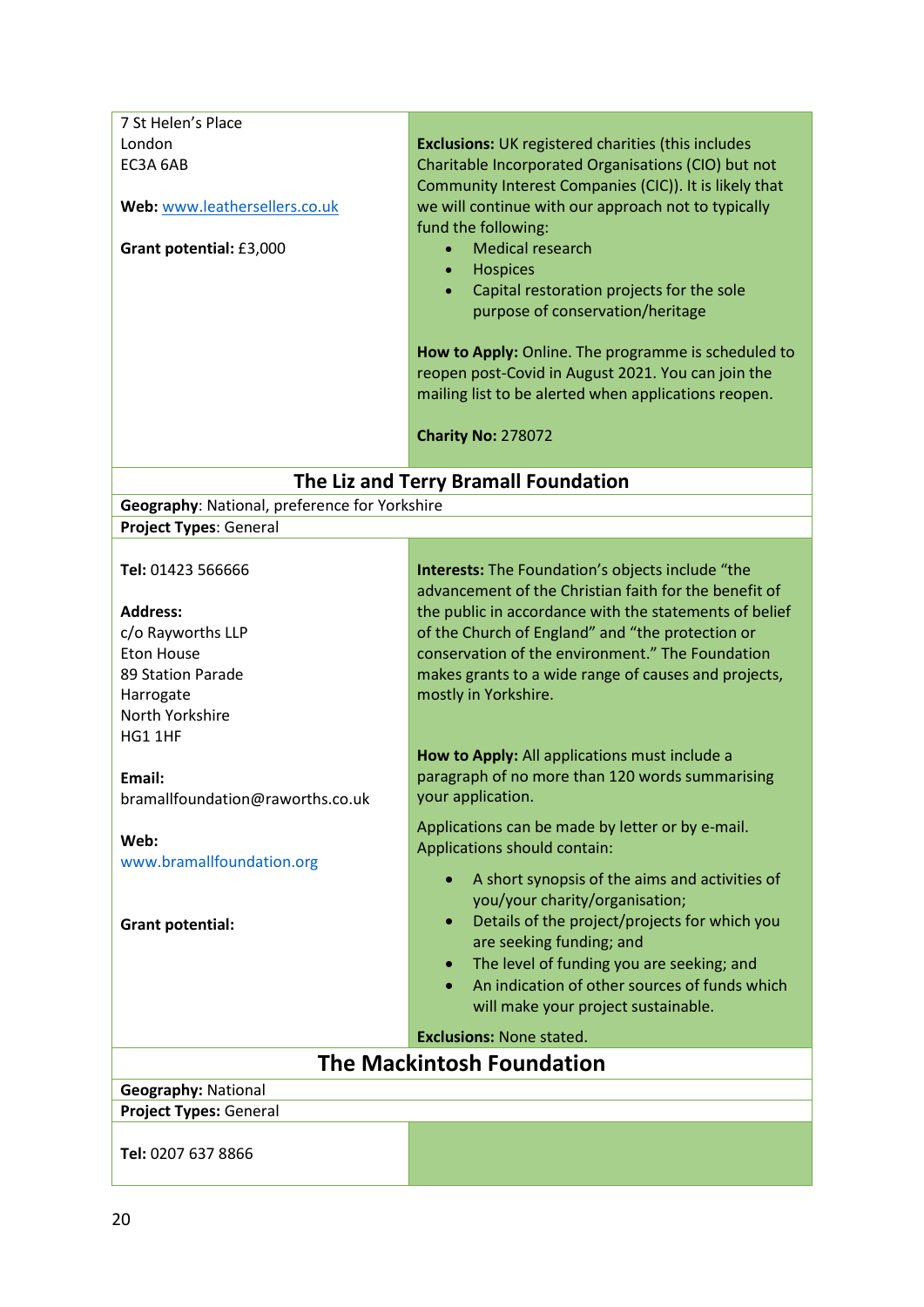| 7 St Helen's Place                            |                                                            |
|-----------------------------------------------|------------------------------------------------------------|
| London                                        | <b>Exclusions:</b> UK registered charities (this includes  |
| EC3A 6AB                                      | Charitable Incorporated Organisations (CIO) but not        |
|                                               | Community Interest Companies (CIC)). It is likely that     |
| Web: www.leathersellers.co.uk                 | we will continue with our approach not to typically        |
|                                               | fund the following:                                        |
| Grant potential: £3,000                       | <b>Medical research</b>                                    |
|                                               | <b>Hospices</b><br>$\bullet$                               |
|                                               | Capital restoration projects for the sole<br>$\bullet$     |
|                                               | purpose of conservation/heritage                           |
|                                               |                                                            |
|                                               | How to Apply: Online. The programme is scheduled to        |
|                                               | reopen post-Covid in August 2021. You can join the         |
|                                               | mailing list to be alerted when applications reopen.       |
|                                               |                                                            |
|                                               | Charity No: 278072                                         |
|                                               |                                                            |
|                                               | The Liz and Terry Bramall Foundation                       |
| Geography: National, preference for Yorkshire |                                                            |
| Project Types: General                        |                                                            |
|                                               |                                                            |
| Tel: 01423 566666                             | <b>Interests:</b> The Foundation's objects include "the    |
|                                               | advancement of the Christian faith for the benefit of      |
| <b>Address:</b>                               | the public in accordance with the statements of belief     |
| c/o Rayworths LLP                             | of the Church of England" and "the protection or           |
| <b>Eton House</b>                             | conservation of the environment." The Foundation           |
| 89 Station Parade                             | makes grants to a wide range of causes and projects,       |
| Harrogate                                     | mostly in Yorkshire.                                       |
| North Yorkshire                               |                                                            |
| HG1 1HF                                       | How to Apply: All applications must include a              |
| Email:                                        | paragraph of no more than 120 words summarising            |
|                                               | your application.                                          |
| bramallfoundation@raworths.co.uk              |                                                            |
| Web:                                          | Applications can be made by letter or by e-mail.           |
| www.bramallfoundation.org                     | Applications should contain:                               |
|                                               | A short synopsis of the aims and activities of             |
|                                               | you/your charity/organisation;                             |
| <b>Grant potential:</b>                       | Details of the project/projects for which you<br>$\bullet$ |
|                                               | are seeking funding; and                                   |
|                                               | The level of funding you are seeking; and                  |
|                                               | An indication of other sources of funds which              |
|                                               | will make your project sustainable.                        |
|                                               | <b>Exclusions: None stated.</b>                            |
|                                               | <b>The Mackintosh Foundation</b>                           |
| <b>Geography: National</b>                    |                                                            |
| <b>Project Types: General</b>                 |                                                            |
|                                               |                                                            |
| Tel: 0207 637 8866                            |                                                            |
|                                               |                                                            |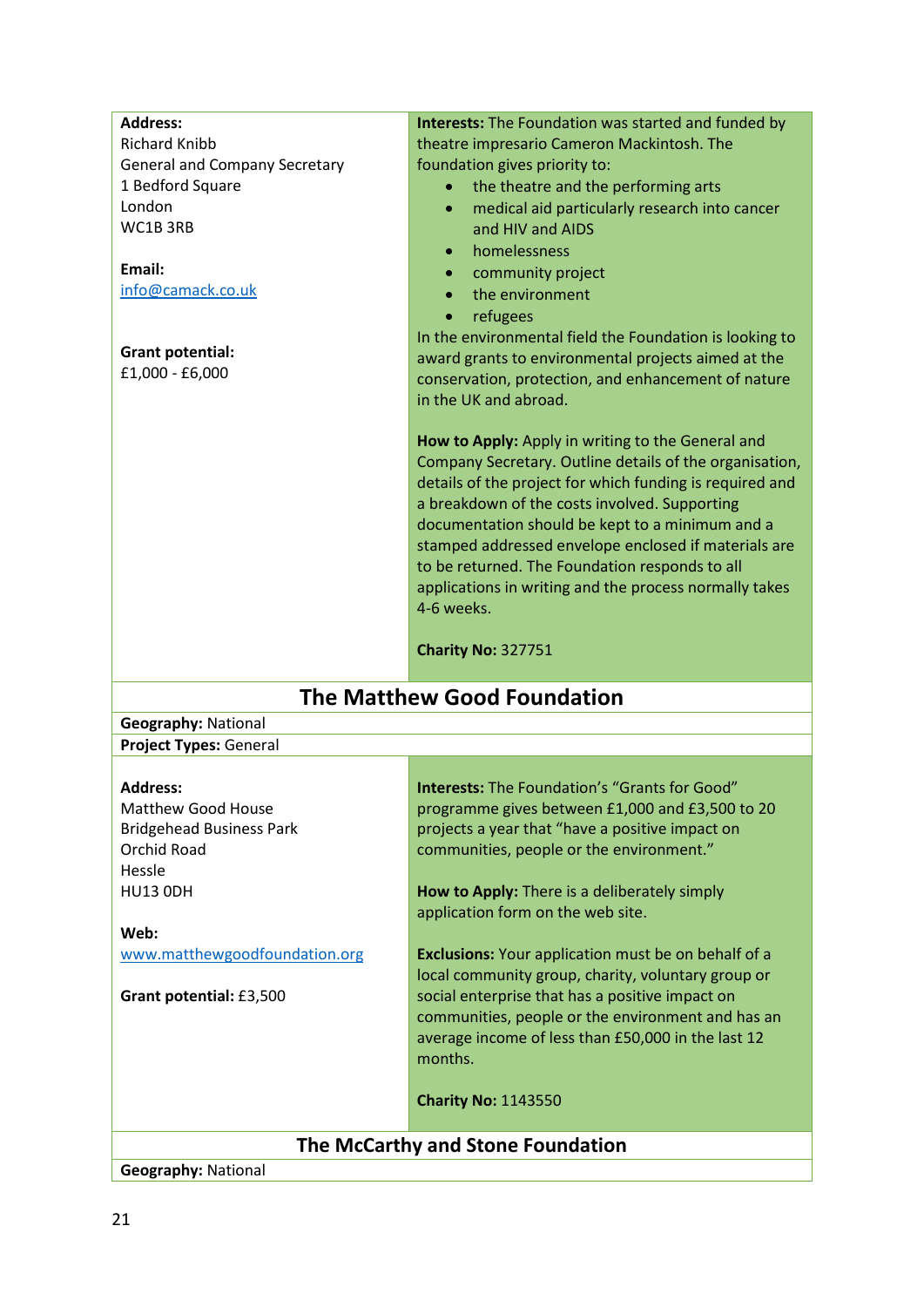| <b>Address:</b>                                          | <b>Interests:</b> The Foundation was started and funded by           |
|----------------------------------------------------------|----------------------------------------------------------------------|
| <b>Richard Knibb</b>                                     | theatre impresario Cameron Mackintosh. The                           |
| <b>General and Company Secretary</b><br>1 Bedford Square | foundation gives priority to:<br>the theatre and the performing arts |
| London                                                   | $\bullet$<br>$\bullet$                                               |
| WC1B3RB                                                  | medical aid particularly research into cancer<br>and HIV and AIDS    |
|                                                          | homelessness                                                         |
| Email:                                                   | community project                                                    |
| info@camack.co.uk                                        | the environment<br>$\bullet$                                         |
|                                                          | refugees<br>$\bullet$                                                |
|                                                          | In the environmental field the Foundation is looking to              |
| <b>Grant potential:</b>                                  | award grants to environmental projects aimed at the                  |
| £1,000 - £6,000                                          | conservation, protection, and enhancement of nature                  |
|                                                          | in the UK and abroad.                                                |
|                                                          |                                                                      |
|                                                          | How to Apply: Apply in writing to the General and                    |
|                                                          | Company Secretary. Outline details of the organisation,              |
|                                                          | details of the project for which funding is required and             |
|                                                          | a breakdown of the costs involved. Supporting                        |
|                                                          | documentation should be kept to a minimum and a                      |
|                                                          | stamped addressed envelope enclosed if materials are                 |
|                                                          | to be returned. The Foundation responds to all                       |
|                                                          | applications in writing and the process normally takes               |
|                                                          | 4-6 weeks.                                                           |
|                                                          |                                                                      |
|                                                          | <b>Charity No: 327751</b>                                            |
|                                                          |                                                                      |
|                                                          | <b>The Matthew Good Foundation</b>                                   |
| <b>Geography: National</b>                               |                                                                      |
| Project Types: General                                   |                                                                      |
|                                                          |                                                                      |
| <b>Address:</b>                                          | <b>Interests:</b> The Foundation's "Grants for Good"                 |
| <b>Matthew Good House</b>                                | programme gives between £1,000 and £3,500 to 20                      |
| <b>Bridgehead Business Park</b>                          | projects a year that "have a positive impact on                      |
| <b>Orchid Road</b>                                       | communities, people or the environment."                             |
| Hessle                                                   |                                                                      |
| <b>HU13 ODH</b>                                          | How to Apply: There is a deliberately simply                         |
|                                                          | application form on the web site.                                    |
| Web:                                                     | <b>Exclusions:</b> Your application must be on behalf of a           |
| www.matthewgoodfoundation.org                            | local community group, charity, voluntary group or                   |
| Grant potential: £3,500                                  | social enterprise that has a positive impact on                      |
|                                                          | communities, people or the environment and has an                    |
|                                                          | average income of less than £50,000 in the last 12                   |
|                                                          | months.                                                              |
|                                                          |                                                                      |
|                                                          | <b>Charity No: 1143550</b>                                           |
|                                                          | The McCarthy and Stone Foundation                                    |

**Geography:** National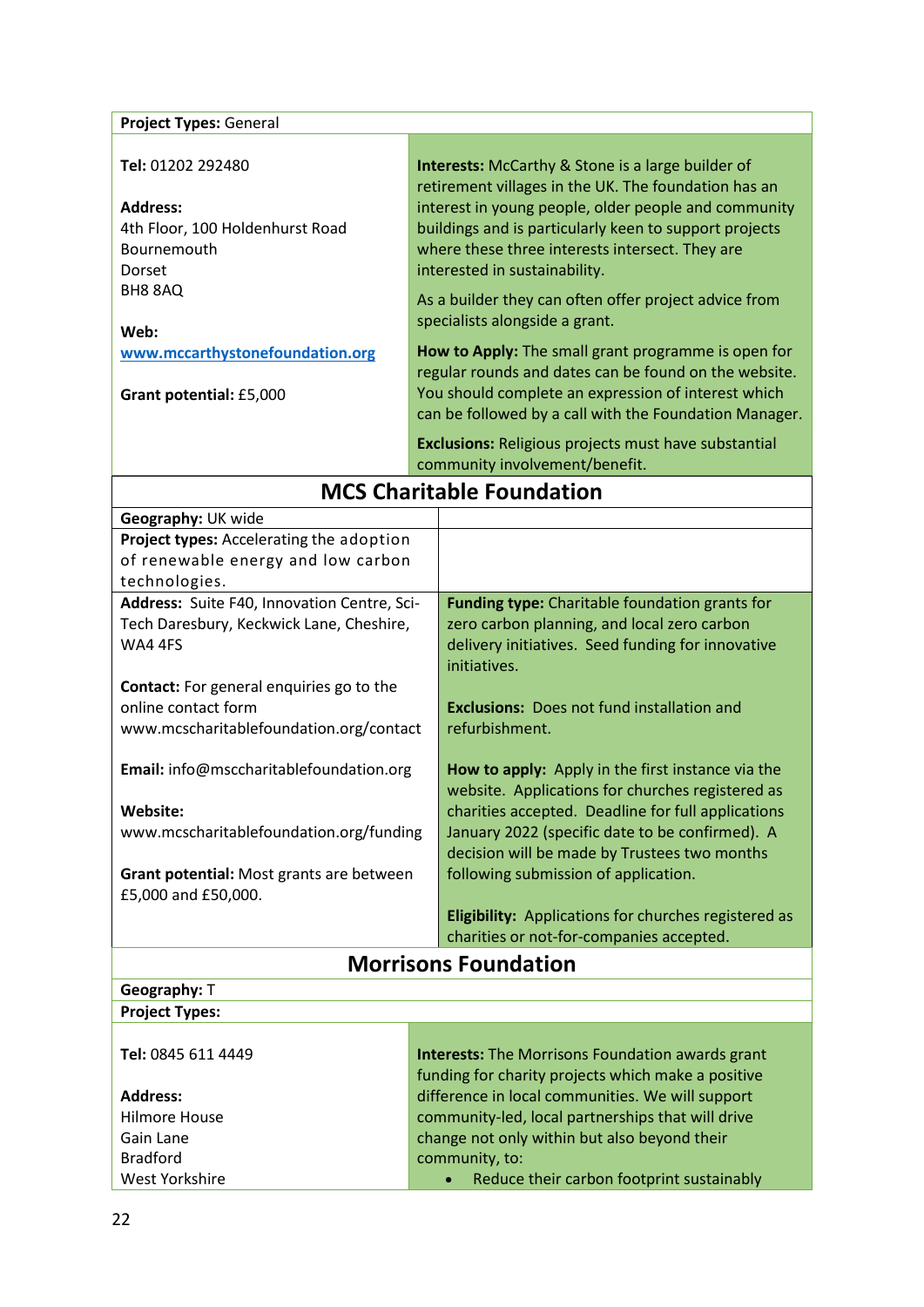| Project Types: General                                                                             |  |                                                                                                                                                                                                                                                                                                                        |
|----------------------------------------------------------------------------------------------------|--|------------------------------------------------------------------------------------------------------------------------------------------------------------------------------------------------------------------------------------------------------------------------------------------------------------------------|
|                                                                                                    |  |                                                                                                                                                                                                                                                                                                                        |
| Tel: 01202 292480<br><b>Address:</b><br>4th Floor, 100 Holdenhurst Road<br>Bournemouth<br>Dorset   |  | <b>Interests:</b> McCarthy & Stone is a large builder of<br>retirement villages in the UK. The foundation has an<br>interest in young people, older people and community<br>buildings and is particularly keen to support projects<br>where these three interests intersect. They are<br>interested in sustainability. |
| BH8 8AQ<br>Web:                                                                                    |  | As a builder they can often offer project advice from<br>specialists alongside a grant.                                                                                                                                                                                                                                |
| www.mccarthystonefoundation.org                                                                    |  | How to Apply: The small grant programme is open for                                                                                                                                                                                                                                                                    |
| Grant potential: £5,000                                                                            |  | regular rounds and dates can be found on the website.<br>You should complete an expression of interest which<br>can be followed by a call with the Foundation Manager.                                                                                                                                                 |
|                                                                                                    |  | <b>Exclusions: Religious projects must have substantial</b><br>community involvement/benefit.                                                                                                                                                                                                                          |
|                                                                                                    |  | <b>MCS Charitable Foundation</b>                                                                                                                                                                                                                                                                                       |
| Geography: UK wide                                                                                 |  |                                                                                                                                                                                                                                                                                                                        |
| Project types: Accelerating the adoption                                                           |  |                                                                                                                                                                                                                                                                                                                        |
| of renewable energy and low carbon                                                                 |  |                                                                                                                                                                                                                                                                                                                        |
| technologies.                                                                                      |  |                                                                                                                                                                                                                                                                                                                        |
| Address: Suite F40, Innovation Centre, Sci-<br>Tech Daresbury, Keckwick Lane, Cheshire,<br>WA4 4FS |  | Funding type: Charitable foundation grants for<br>zero carbon planning, and local zero carbon<br>delivery initiatives. Seed funding for innovative<br>initiatives.                                                                                                                                                     |
| Contact: For general enquiries go to the                                                           |  |                                                                                                                                                                                                                                                                                                                        |
| online contact form<br>www.mcscharitablefoundation.org/contact                                     |  | <b>Exclusions:</b> Does not fund installation and<br>refurbishment.                                                                                                                                                                                                                                                    |
| Email: info@msccharitablefoundation.org                                                            |  | How to apply: Apply in the first instance via the<br>website. Applications for churches registered as                                                                                                                                                                                                                  |
| Website:                                                                                           |  | charities accepted. Deadline for full applications                                                                                                                                                                                                                                                                     |
| www.mcscharitablefoundation.org/funding                                                            |  | January 2022 (specific date to be confirmed). A                                                                                                                                                                                                                                                                        |
|                                                                                                    |  | decision will be made by Trustees two months                                                                                                                                                                                                                                                                           |
| Grant potential: Most grants are between<br>£5,000 and £50,000.                                    |  | following submission of application.                                                                                                                                                                                                                                                                                   |
|                                                                                                    |  | <b>Eligibility:</b> Applications for churches registered as<br>charities or not-for-companies accepted.                                                                                                                                                                                                                |
|                                                                                                    |  | <b>Morrisons Foundation</b>                                                                                                                                                                                                                                                                                            |
| Geography: T                                                                                       |  |                                                                                                                                                                                                                                                                                                                        |
| <b>Project Types:</b>                                                                              |  |                                                                                                                                                                                                                                                                                                                        |

| Tel: 0845 611 4449   | <b>Interests:</b> The Morrisons Foundation awards grant<br>funding for charity projects which make a positive |
|----------------------|---------------------------------------------------------------------------------------------------------------|
| <b>Address:</b>      | difference in local communities. We will support                                                              |
| <b>Hilmore House</b> | community-led, local partnerships that will drive                                                             |
| Gain Lane            | change not only within but also beyond their                                                                  |
| <b>Bradford</b>      | community, to:                                                                                                |
| West Yorkshire       | Reduce their carbon footprint sustainably<br>$\bullet$                                                        |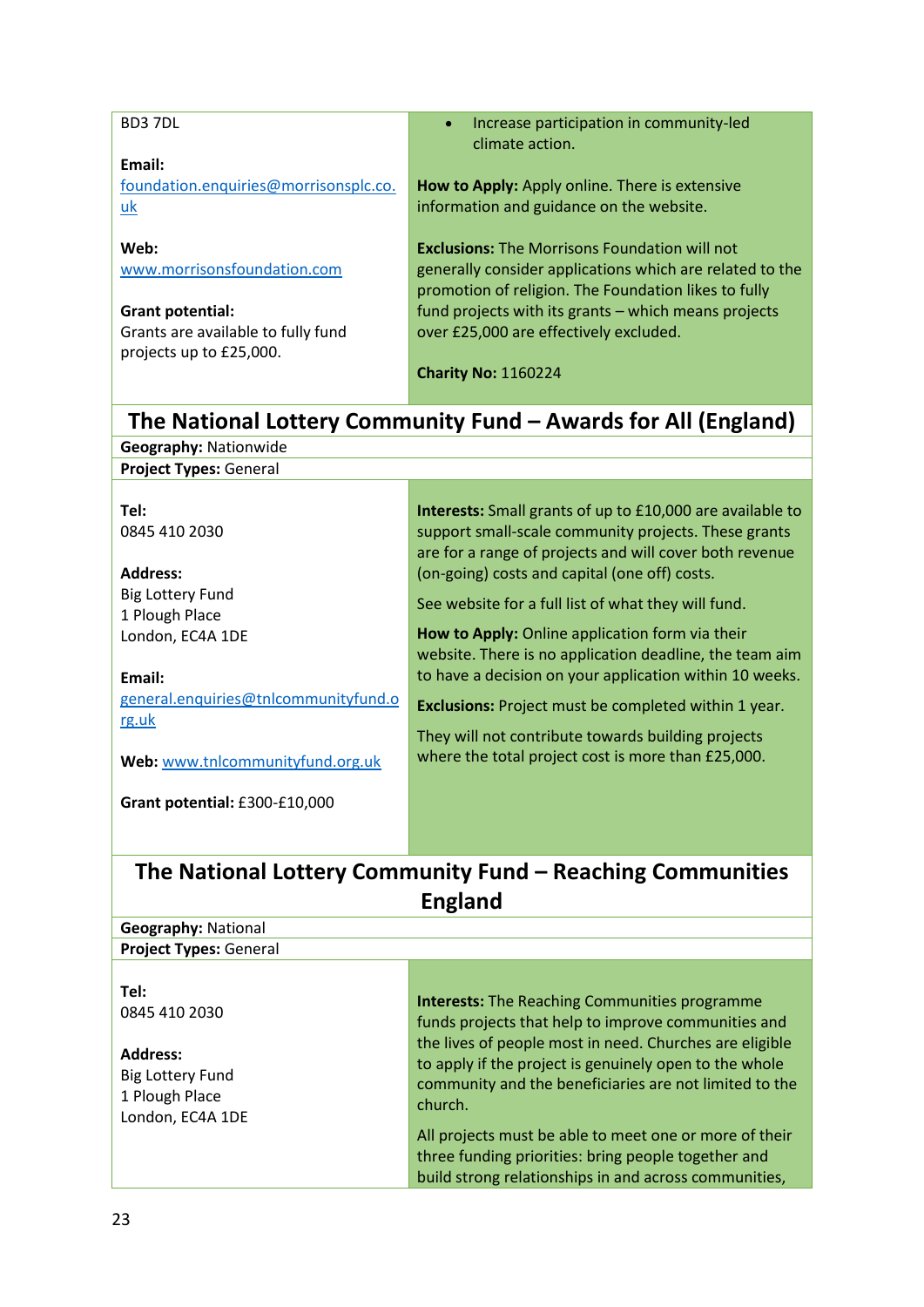| BD37DL                                    | Increase participation in community-led<br>climate action.                                                       |
|-------------------------------------------|------------------------------------------------------------------------------------------------------------------|
| Email:                                    |                                                                                                                  |
| foundation.enquiries@morrisonsplc.co.     | How to Apply: Apply online. There is extensive                                                                   |
| uk                                        | information and guidance on the website.                                                                         |
|                                           |                                                                                                                  |
| Web:                                      | <b>Exclusions:</b> The Morrisons Foundation will not<br>generally consider applications which are related to the |
| www.morrisonsfoundation.com               | promotion of religion. The Foundation likes to fully                                                             |
| <b>Grant potential:</b>                   | fund projects with its grants - which means projects                                                             |
| Grants are available to fully fund        | over £25,000 are effectively excluded.                                                                           |
| projects up to £25,000.                   |                                                                                                                  |
|                                           | <b>Charity No: 1160224</b>                                                                                       |
|                                           | The National Lottery Community Fund - Awards for All (England)                                                   |
| <b>Geography: Nationwide</b>              |                                                                                                                  |
| <b>Project Types: General</b>             |                                                                                                                  |
|                                           |                                                                                                                  |
| Tel:                                      | Interests: Small grants of up to £10,000 are available to                                                        |
| 0845 410 2030                             | support small-scale community projects. These grants                                                             |
|                                           | are for a range of projects and will cover both revenue                                                          |
| <b>Address:</b>                           | (on-going) costs and capital (one off) costs.                                                                    |
| <b>Big Lottery Fund</b><br>1 Plough Place | See website for a full list of what they will fund.                                                              |
| London, EC4A 1DE                          | How to Apply: Online application form via their                                                                  |
|                                           | website. There is no application deadline, the team aim                                                          |
| Email:                                    | to have a decision on your application within 10 weeks.                                                          |
| general.enquiries@tnlcommunityfund.o      | <b>Exclusions:</b> Project must be completed within 1 year.                                                      |
| rg.uk                                     | They will not contribute towards building projects                                                               |
| Web: www.tnlcommunityfund.org.uk          | where the total project cost is more than £25,000.                                                               |
|                                           |                                                                                                                  |
| Grant potential: £300-£10,000             |                                                                                                                  |
|                                           |                                                                                                                  |
|                                           | The National Lottery Community Fund – Reaching Communities                                                       |
|                                           | <b>England</b>                                                                                                   |
| <b>Geography: National</b>                |                                                                                                                  |
| <b>Project Types: General</b>             |                                                                                                                  |
|                                           |                                                                                                                  |
| Tel:                                      |                                                                                                                  |
| 0845 410 2030                             | <b>Interests:</b> The Reaching Communities programme<br>funds projects that help to improve communities and      |
|                                           | the lives of people most in need. Churches are eligible                                                          |
| <b>Address:</b>                           | to apply if the project is genuinely open to the whole                                                           |
| <b>Big Lottery Fund</b>                   | community and the beneficiaries are not limited to the                                                           |
| 1 Plough Place                            | church.                                                                                                          |
| London, EC4A 1DE                          | All projects must be able to meet one or more of their                                                           |
|                                           | three funding priorities: bring people together and                                                              |
|                                           | build strong relationships in and across communities,                                                            |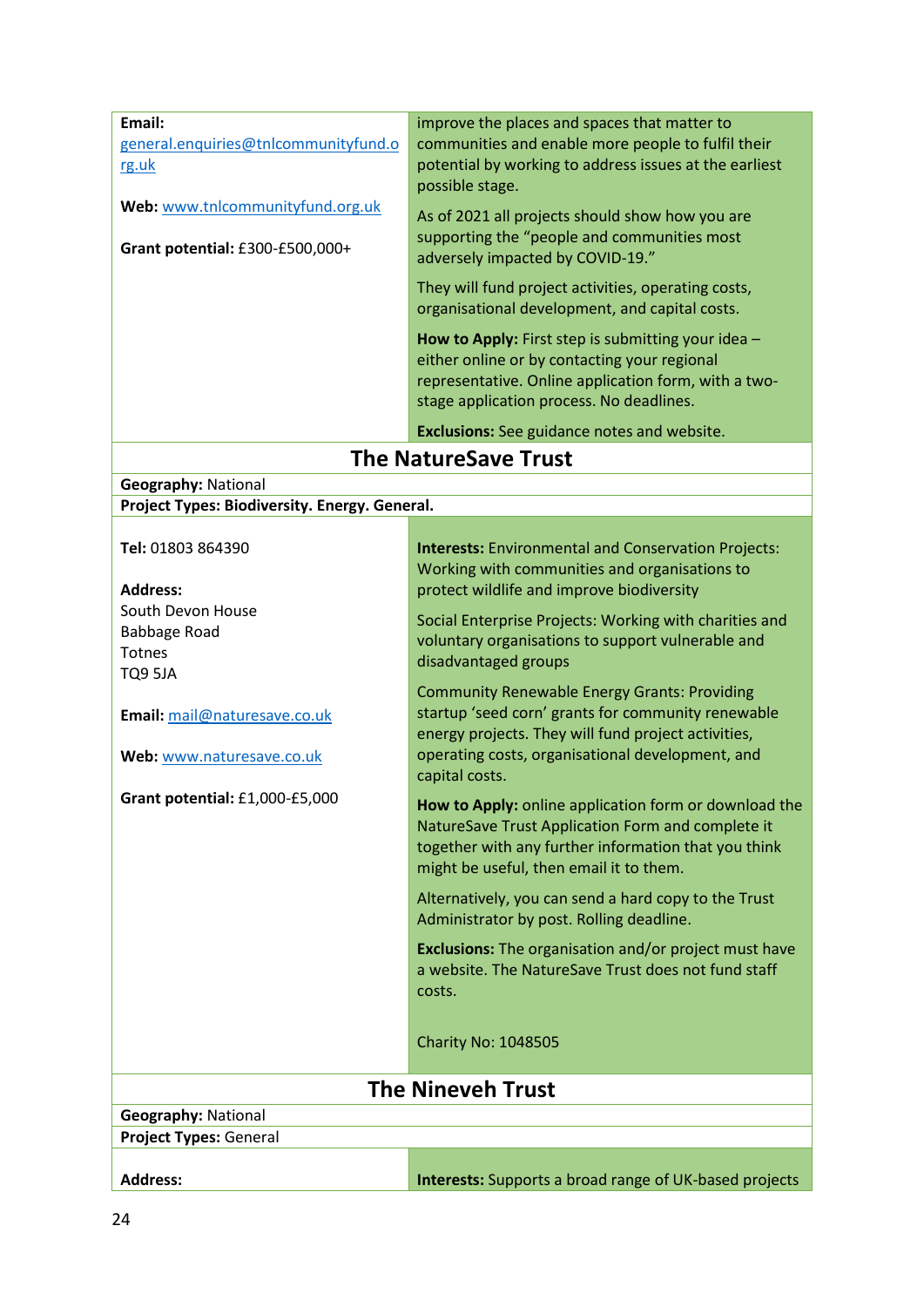| Email:                                                                      | improve the places and spaces that matter to                                                                                                                                                                  |
|-----------------------------------------------------------------------------|---------------------------------------------------------------------------------------------------------------------------------------------------------------------------------------------------------------|
| general.enquiries@tnlcommunityfund.o                                        | communities and enable more people to fulfil their                                                                                                                                                            |
| rg.uk                                                                       | potential by working to address issues at the earliest<br>possible stage.                                                                                                                                     |
| Web: www.tnlcommunityfund.org.uk                                            | As of 2021 all projects should show how you are                                                                                                                                                               |
| Grant potential: £300-£500,000+                                             | supporting the "people and communities most<br>adversely impacted by COVID-19."                                                                                                                               |
|                                                                             | They will fund project activities, operating costs,<br>organisational development, and capital costs.                                                                                                         |
|                                                                             | How to Apply: First step is submitting your idea -<br>either online or by contacting your regional<br>representative. Online application form, with a two-<br>stage application process. No deadlines.        |
|                                                                             | <b>Exclusions:</b> See guidance notes and website.                                                                                                                                                            |
|                                                                             | <b>The NatureSave Trust</b>                                                                                                                                                                                   |
|                                                                             |                                                                                                                                                                                                               |
| <b>Geography: National</b><br>Project Types: Biodiversity. Energy. General. |                                                                                                                                                                                                               |
|                                                                             |                                                                                                                                                                                                               |
| Tel: 01803 864390                                                           | <b>Interests:</b> Environmental and Conservation Projects:                                                                                                                                                    |
|                                                                             | Working with communities and organisations to                                                                                                                                                                 |
| <b>Address:</b>                                                             | protect wildlife and improve biodiversity                                                                                                                                                                     |
| South Devon House                                                           |                                                                                                                                                                                                               |
| Babbage Road                                                                | Social Enterprise Projects: Working with charities and<br>voluntary organisations to support vulnerable and                                                                                                   |
| Totnes                                                                      | disadvantaged groups                                                                                                                                                                                          |
| TQ9 5JA                                                                     |                                                                                                                                                                                                               |
| Email: mail@naturesave.co.uk                                                | <b>Community Renewable Energy Grants: Providing</b><br>startup 'seed corn' grants for community renewable<br>energy projects. They will fund project activities,                                              |
| Web: www.naturesave.co.uk                                                   | operating costs, organisational development, and<br>capital costs.                                                                                                                                            |
| Grant potential: £1,000-£5,000                                              | How to Apply: online application form or download the<br>NatureSave Trust Application Form and complete it<br>together with any further information that you think<br>might be useful, then email it to them. |
|                                                                             | Alternatively, you can send a hard copy to the Trust<br>Administrator by post. Rolling deadline.                                                                                                              |
|                                                                             | <b>Exclusions:</b> The organisation and/or project must have<br>a website. The NatureSave Trust does not fund staff<br>costs.                                                                                 |
|                                                                             | <b>Charity No: 1048505</b>                                                                                                                                                                                    |
|                                                                             | <b>The Nineveh Trust</b>                                                                                                                                                                                      |
| <b>Geography: National</b>                                                  |                                                                                                                                                                                                               |
| Project Types: General                                                      |                                                                                                                                                                                                               |
|                                                                             |                                                                                                                                                                                                               |
| <b>Address:</b>                                                             | <b>Interests:</b> Supports a broad range of UK-based projects                                                                                                                                                 |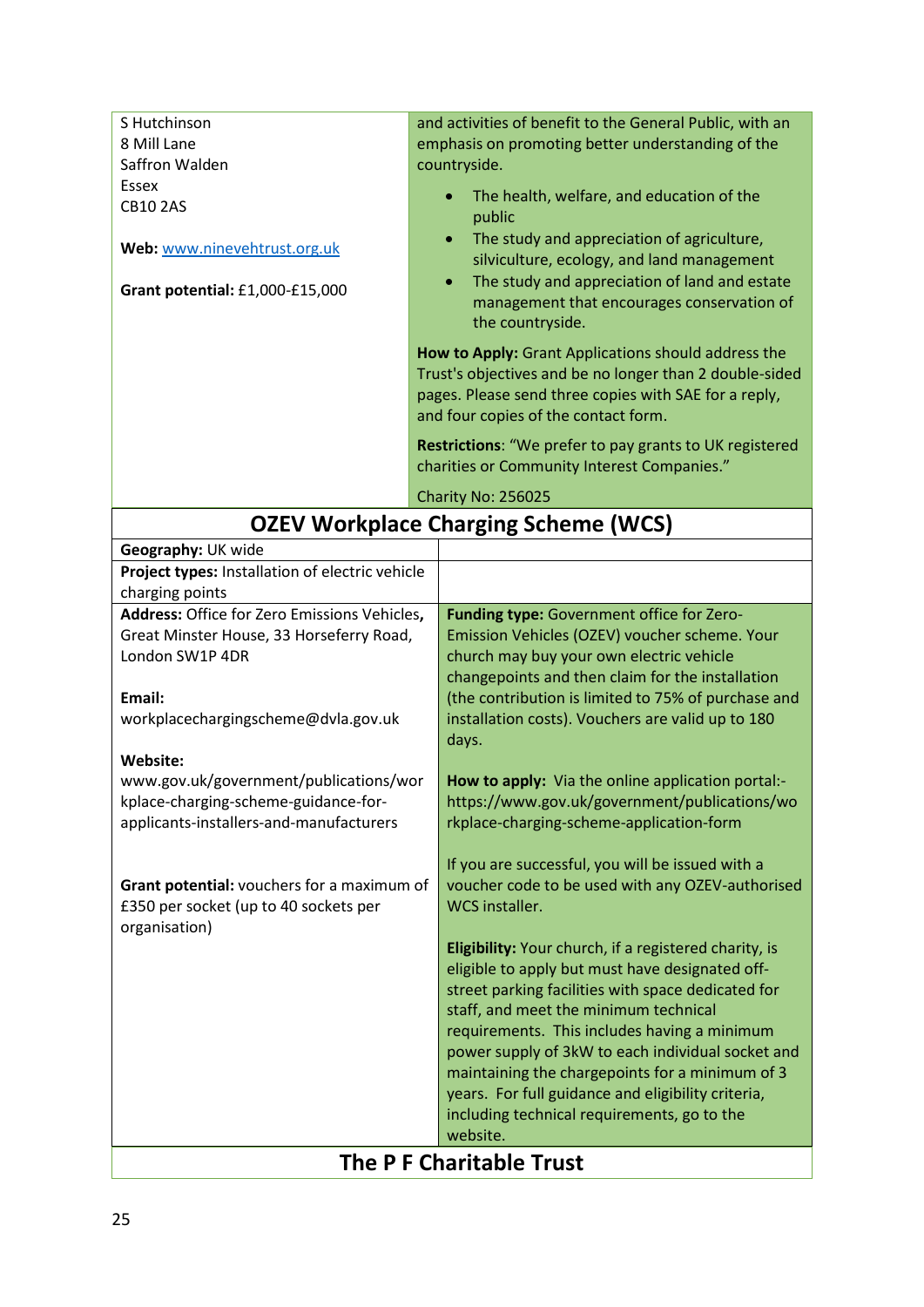| S Hutchinson<br>8 Mill Lane<br>Saffron Walden<br>Essex<br><b>CB10 2AS</b><br>Web: www.ninevehtrust.org.uk<br>Grant potential: £1,000-£15,000                                                                                                                                                                                                                                                                  | and activities of benefit to the General Public, with an<br>emphasis on promoting better understanding of the<br>countryside.<br>The health, welfare, and education of the<br>public<br>The study and appreciation of agriculture,<br>$\bullet$<br>silviculture, ecology, and land management<br>The study and appreciation of land and estate<br>$\bullet$<br>management that encourages conservation of<br>the countryside.<br>How to Apply: Grant Applications should address the<br>Trust's objectives and be no longer than 2 double-sided<br>pages. Please send three copies with SAE for a reply,                                                                                                                                                                                                                                                                                                                                                                                                                                                                                                           |
|---------------------------------------------------------------------------------------------------------------------------------------------------------------------------------------------------------------------------------------------------------------------------------------------------------------------------------------------------------------------------------------------------------------|--------------------------------------------------------------------------------------------------------------------------------------------------------------------------------------------------------------------------------------------------------------------------------------------------------------------------------------------------------------------------------------------------------------------------------------------------------------------------------------------------------------------------------------------------------------------------------------------------------------------------------------------------------------------------------------------------------------------------------------------------------------------------------------------------------------------------------------------------------------------------------------------------------------------------------------------------------------------------------------------------------------------------------------------------------------------------------------------------------------------|
|                                                                                                                                                                                                                                                                                                                                                                                                               | and four copies of the contact form.<br>Restrictions: "We prefer to pay grants to UK registered                                                                                                                                                                                                                                                                                                                                                                                                                                                                                                                                                                                                                                                                                                                                                                                                                                                                                                                                                                                                                    |
|                                                                                                                                                                                                                                                                                                                                                                                                               | charities or Community Interest Companies."                                                                                                                                                                                                                                                                                                                                                                                                                                                                                                                                                                                                                                                                                                                                                                                                                                                                                                                                                                                                                                                                        |
|                                                                                                                                                                                                                                                                                                                                                                                                               | Charity No: 256025                                                                                                                                                                                                                                                                                                                                                                                                                                                                                                                                                                                                                                                                                                                                                                                                                                                                                                                                                                                                                                                                                                 |
|                                                                                                                                                                                                                                                                                                                                                                                                               | <b>OZEV Workplace Charging Scheme (WCS)</b>                                                                                                                                                                                                                                                                                                                                                                                                                                                                                                                                                                                                                                                                                                                                                                                                                                                                                                                                                                                                                                                                        |
| Geography: UK wide<br>Project types: Installation of electric vehicle                                                                                                                                                                                                                                                                                                                                         |                                                                                                                                                                                                                                                                                                                                                                                                                                                                                                                                                                                                                                                                                                                                                                                                                                                                                                                                                                                                                                                                                                                    |
| charging points                                                                                                                                                                                                                                                                                                                                                                                               |                                                                                                                                                                                                                                                                                                                                                                                                                                                                                                                                                                                                                                                                                                                                                                                                                                                                                                                                                                                                                                                                                                                    |
| Address: Office for Zero Emissions Vehicles,<br>Great Minster House, 33 Horseferry Road,<br>London SW1P 4DR<br>Email:<br>workplacechargingscheme@dvla.gov.uk<br>Website:<br>www.gov.uk/government/publications/wor<br>kplace-charging-scheme-guidance-for-<br>applicants-installers-and-manufacturers<br>Grant potential: vouchers for a maximum of<br>£350 per socket (up to 40 sockets per<br>organisation) | Funding type: Government office for Zero-<br>Emission Vehicles (OZEV) voucher scheme. Your<br>church may buy your own electric vehicle<br>changepoints and then claim for the installation<br>(the contribution is limited to 75% of purchase and<br>installation costs). Vouchers are valid up to 180<br>days.<br>How to apply: Via the online application portal:-<br>https://www.gov.uk/government/publications/wo<br>rkplace-charging-scheme-application-form<br>If you are successful, you will be issued with a<br>voucher code to be used with any OZEV-authorised<br><b>WCS</b> installer.<br>Eligibility: Your church, if a registered charity, is<br>eligible to apply but must have designated off-<br>street parking facilities with space dedicated for<br>staff, and meet the minimum technical<br>requirements. This includes having a minimum<br>power supply of 3kW to each individual socket and<br>maintaining the chargepoints for a minimum of 3<br>years. For full guidance and eligibility criteria,<br>including technical requirements, go to the<br>website.<br>The P F Charitable Trust |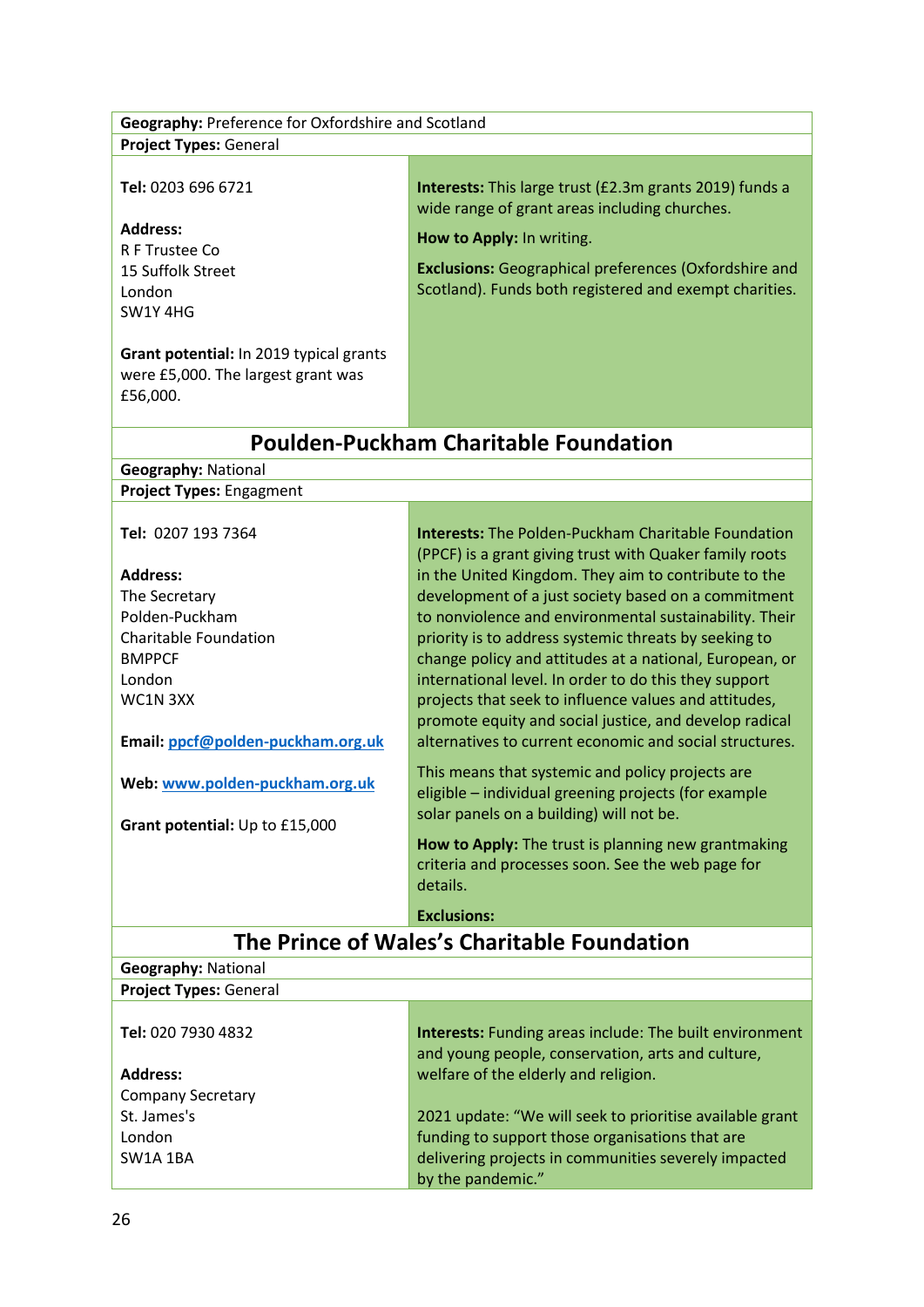| Geography: Preference for Oxfordshire and Scotland                                        |                                                                                                                                                      |  |
|-------------------------------------------------------------------------------------------|------------------------------------------------------------------------------------------------------------------------------------------------------|--|
| <b>Project Types: General</b>                                                             |                                                                                                                                                      |  |
| Tel: 0203 696 6721                                                                        | Interests: This large trust (£2.3m grants 2019) funds a<br>wide range of grant areas including churches.                                             |  |
| <b>Address:</b>                                                                           | How to Apply: In writing.                                                                                                                            |  |
| R F Trustee Co                                                                            |                                                                                                                                                      |  |
| 15 Suffolk Street                                                                         | <b>Exclusions:</b> Geographical preferences (Oxfordshire and                                                                                         |  |
| London                                                                                    | Scotland). Funds both registered and exempt charities.                                                                                               |  |
| SW1Y 4HG                                                                                  |                                                                                                                                                      |  |
| Grant potential: In 2019 typical grants<br>were £5,000. The largest grant was<br>£56,000. |                                                                                                                                                      |  |
|                                                                                           | <b>Poulden-Puckham Charitable Foundation</b>                                                                                                         |  |
| <b>Geography: National</b>                                                                |                                                                                                                                                      |  |
| Project Types: Engagment                                                                  |                                                                                                                                                      |  |
|                                                                                           |                                                                                                                                                      |  |
| Tel: 0207 193 7364                                                                        | <b>Interests:</b> The Polden-Puckham Charitable Foundation<br>(PPCF) is a grant giving trust with Quaker family roots                                |  |
| <b>Address:</b>                                                                           | in the United Kingdom. They aim to contribute to the                                                                                                 |  |
| The Secretary                                                                             | development of a just society based on a commitment                                                                                                  |  |
| Polden-Puckham                                                                            | to nonviolence and environmental sustainability. Their                                                                                               |  |
| <b>Charitable Foundation</b>                                                              | priority is to address systemic threats by seeking to                                                                                                |  |
| <b>BMPPCF</b>                                                                             | change policy and attitudes at a national, European, or                                                                                              |  |
| London                                                                                    | international level. In order to do this they support                                                                                                |  |
| WC1N3XX                                                                                   | projects that seek to influence values and attitudes,                                                                                                |  |
|                                                                                           | promote equity and social justice, and develop radical                                                                                               |  |
| Email: ppcf@polden-puckham.org.uk                                                         | alternatives to current economic and social structures.                                                                                              |  |
| Web: www.polden-puckham.org.uk                                                            | This means that systemic and policy projects are<br>eligible - individual greening projects (for example<br>solar panels on a building) will not be. |  |
| Grant potential: Up to £15,000                                                            | How to Apply: The trust is planning new grantmaking                                                                                                  |  |
|                                                                                           | criteria and processes soon. See the web page for<br>details.                                                                                        |  |
|                                                                                           | <b>Exclusions:</b>                                                                                                                                   |  |
| The Prince of Wales's Charitable Foundation                                               |                                                                                                                                                      |  |
| <b>Geography: National</b>                                                                |                                                                                                                                                      |  |
| <b>Project Types: General</b>                                                             |                                                                                                                                                      |  |
| Tel: 020 7930 4832                                                                        | <b>Interests:</b> Funding areas include: The built environment                                                                                       |  |
|                                                                                           | and young people, conservation, arts and culture,                                                                                                    |  |
| <b>Address:</b>                                                                           | welfare of the elderly and religion.                                                                                                                 |  |
| <b>Company Secretary</b>                                                                  |                                                                                                                                                      |  |
| St. James's                                                                               | 2021 update: "We will seek to prioritise available grant                                                                                             |  |

funding to support those organisations that are delivering projects in communities severely impacted

by the pandemic."

London SW1A 1BA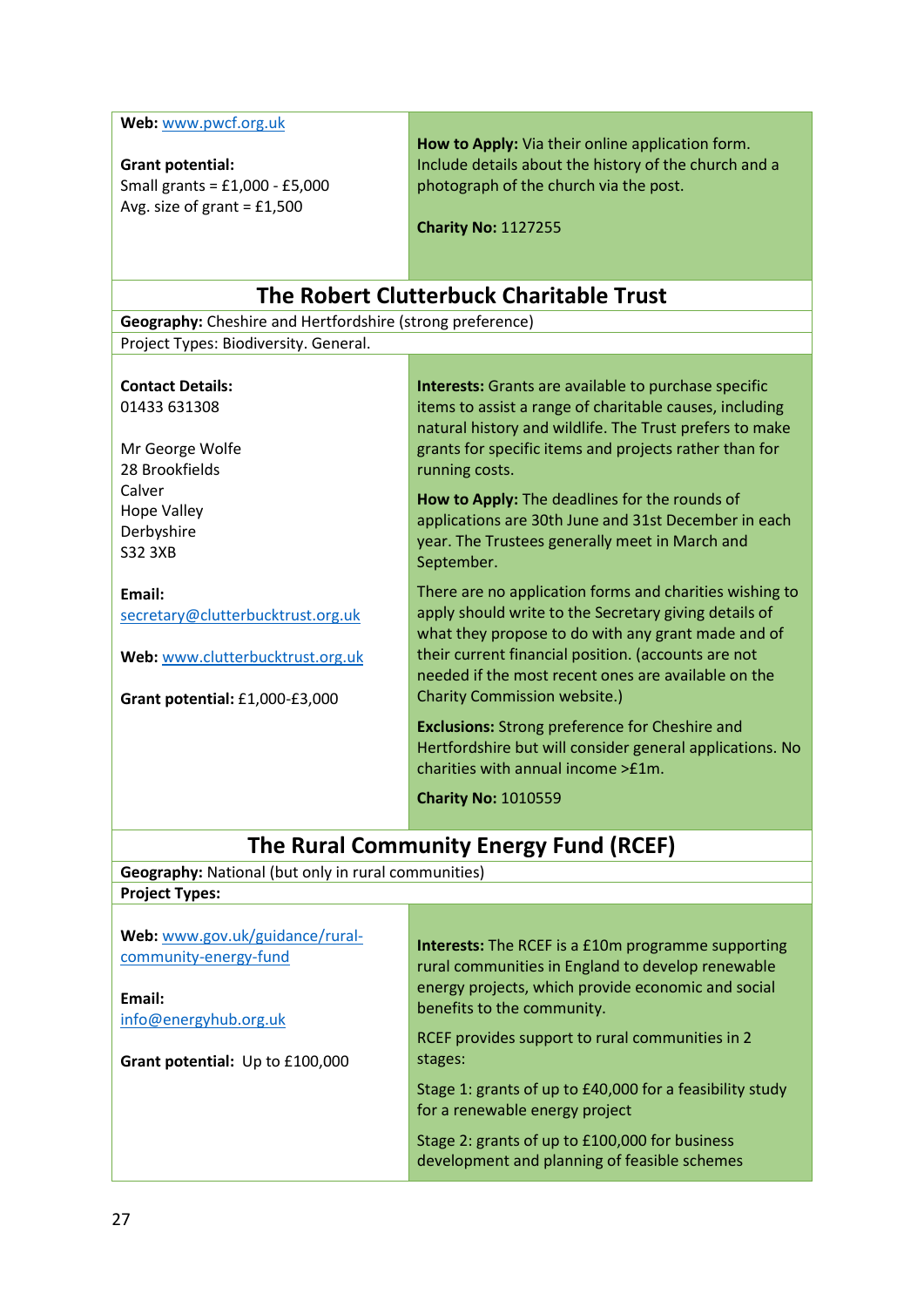**Web:** [www.pwcf.org.uk](http://www.pwcf.org.uk/)

## **Grant potential:**

Small grants = £1,000 - £5,000 Avg. size of grant = £1,500

**How to Apply:** Via their online application form. Include details about the history of the church and a photograph of the church via the post.

**Charity No:** 1127255

### **The Robert Clutterbuck Charitable Trust**

**Geography:** Cheshire and Hertfordshire (strong preference) Project Types: Biodiversity. General.

**Contact Details:** 01433 631308

Mr George Wolfe 28 Brookfields Calver Hope Valley Derbyshire S32 3XB

**Email:** 

[secretary@clutterbucktrust.org.uk](mailto:secretary@clutterbucktrust.org.uk)

**Web:** [www.clutterbucktrust.org.uk](http://www.clutterbucktrust.org.uk/)

**Grant potential:** £1,000-£3,000

**Interests:** Grants are available to purchase specific items to assist a range of charitable causes, including natural history and wildlife. The Trust prefers to make grants for specific items and projects rather than for running costs.

**How to Apply:** The deadlines for the rounds of applications are 30th June and 31st December in each year. The Trustees generally meet in March and September.

There are no application forms and charities wishing to apply should write to the Secretary giving details of what they propose to do with any grant made and of their current financial position. (accounts are not needed if the most recent ones are available on the Charity Commission website.)

**Exclusions:** Strong preference for Cheshire and Hertfordshire but will consider general applications. No charities with annual income >£1m.

**Charity No:** 1010559

## **The Rural Community Energy Fund (RCEF)**

**Geography:** National (but only in rural communities)

**Project Types:**

| Web: www.gov.uk/guidance/rural-<br>community-energy-fund<br>Email:<br>info@energyhub.org.uk | <b>Interests:</b> The RCEF is a £10m programme supporting<br>rural communities in England to develop renewable<br>energy projects, which provide economic and social<br>benefits to the community.<br>RCEF provides support to rural communities in 2 |
|---------------------------------------------------------------------------------------------|-------------------------------------------------------------------------------------------------------------------------------------------------------------------------------------------------------------------------------------------------------|
| Grant potential: Up to £100,000                                                             | stages:                                                                                                                                                                                                                                               |
|                                                                                             | Stage 1: grants of up to £40,000 for a feasibility study<br>for a renewable energy project                                                                                                                                                            |
|                                                                                             | Stage 2: grants of up to £100,000 for business<br>development and planning of feasible schemes                                                                                                                                                        |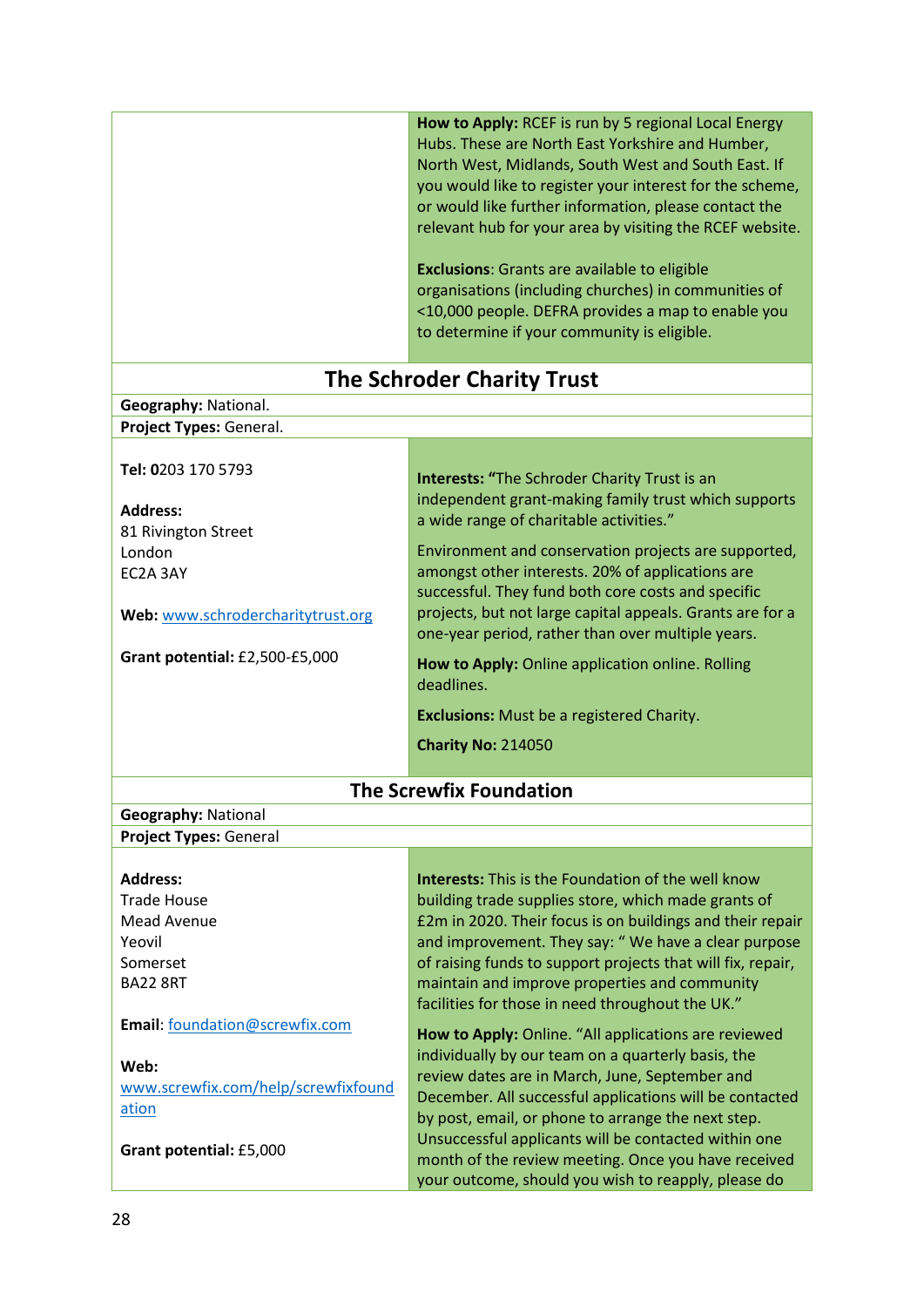|                                                                                                                                                           | How to Apply: RCEF is run by 5 regional Local Energy<br>Hubs. These are North East Yorkshire and Humber,<br>North West, Midlands, South West and South East. If<br>you would like to register your interest for the scheme,<br>or would like further information, please contact the<br>relevant hub for your area by visiting the RCEF website.<br><b>Exclusions:</b> Grants are available to eligible<br>organisations (including churches) in communities of<br><10,000 people. DEFRA provides a map to enable you<br>to determine if your community is eligible.<br><b>The Schroder Charity Trust</b> |
|-----------------------------------------------------------------------------------------------------------------------------------------------------------|-----------------------------------------------------------------------------------------------------------------------------------------------------------------------------------------------------------------------------------------------------------------------------------------------------------------------------------------------------------------------------------------------------------------------------------------------------------------------------------------------------------------------------------------------------------------------------------------------------------|
| Geography: National.                                                                                                                                      |                                                                                                                                                                                                                                                                                                                                                                                                                                                                                                                                                                                                           |
| Project Types: General.                                                                                                                                   |                                                                                                                                                                                                                                                                                                                                                                                                                                                                                                                                                                                                           |
|                                                                                                                                                           |                                                                                                                                                                                                                                                                                                                                                                                                                                                                                                                                                                                                           |
| Tel: 0203 170 5793<br><b>Address:</b><br>81 Rivington Street<br>London<br>EC2A 3AY<br>Web: www.schrodercharitytrust.org<br>Grant potential: £2,500-£5,000 | <b>Interests: "The Schroder Charity Trust is an</b><br>independent grant-making family trust which supports<br>a wide range of charitable activities."<br>Environment and conservation projects are supported,<br>amongst other interests. 20% of applications are<br>successful. They fund both core costs and specific<br>projects, but not large capital appeals. Grants are for a<br>one-year period, rather than over multiple years.<br>How to Apply: Online application online. Rolling<br>deadlines.<br><b>Exclusions:</b> Must be a registered Charity.<br><b>Charity No: 214050</b>             |
|                                                                                                                                                           |                                                                                                                                                                                                                                                                                                                                                                                                                                                                                                                                                                                                           |
|                                                                                                                                                           | <b>The Screwfix Foundation</b>                                                                                                                                                                                                                                                                                                                                                                                                                                                                                                                                                                            |
| <b>Geography: National</b>                                                                                                                                |                                                                                                                                                                                                                                                                                                                                                                                                                                                                                                                                                                                                           |
| Project Types: General                                                                                                                                    |                                                                                                                                                                                                                                                                                                                                                                                                                                                                                                                                                                                                           |
| <b>Address:</b><br><b>Trade House</b><br>Mead Avenue<br>Yeovil<br>Somerset<br><b>BA22 8RT</b>                                                             | <b>Interests:</b> This is the Foundation of the well know<br>building trade supplies store, which made grants of<br>£2m in 2020. Their focus is on buildings and their repair<br>and improvement. They say: "We have a clear purpose<br>of raising funds to support projects that will fix, repair,<br>maintain and improve properties and community<br>facilities for those in need throughout the UK."                                                                                                                                                                                                  |
| Email: foundation@screwfix.com<br>Web:<br>www.screwfix.com/help/screwfixfound<br>ation<br>Grant potential: £5,000                                         | How to Apply: Online. "All applications are reviewed<br>individually by our team on a quarterly basis, the<br>review dates are in March, June, September and<br>December. All successful applications will be contacted<br>by post, email, or phone to arrange the next step.<br>Unsuccessful applicants will be contacted within one<br>month of the review meeting. Once you have received<br>your outcome, should you wish to reapply, please do                                                                                                                                                       |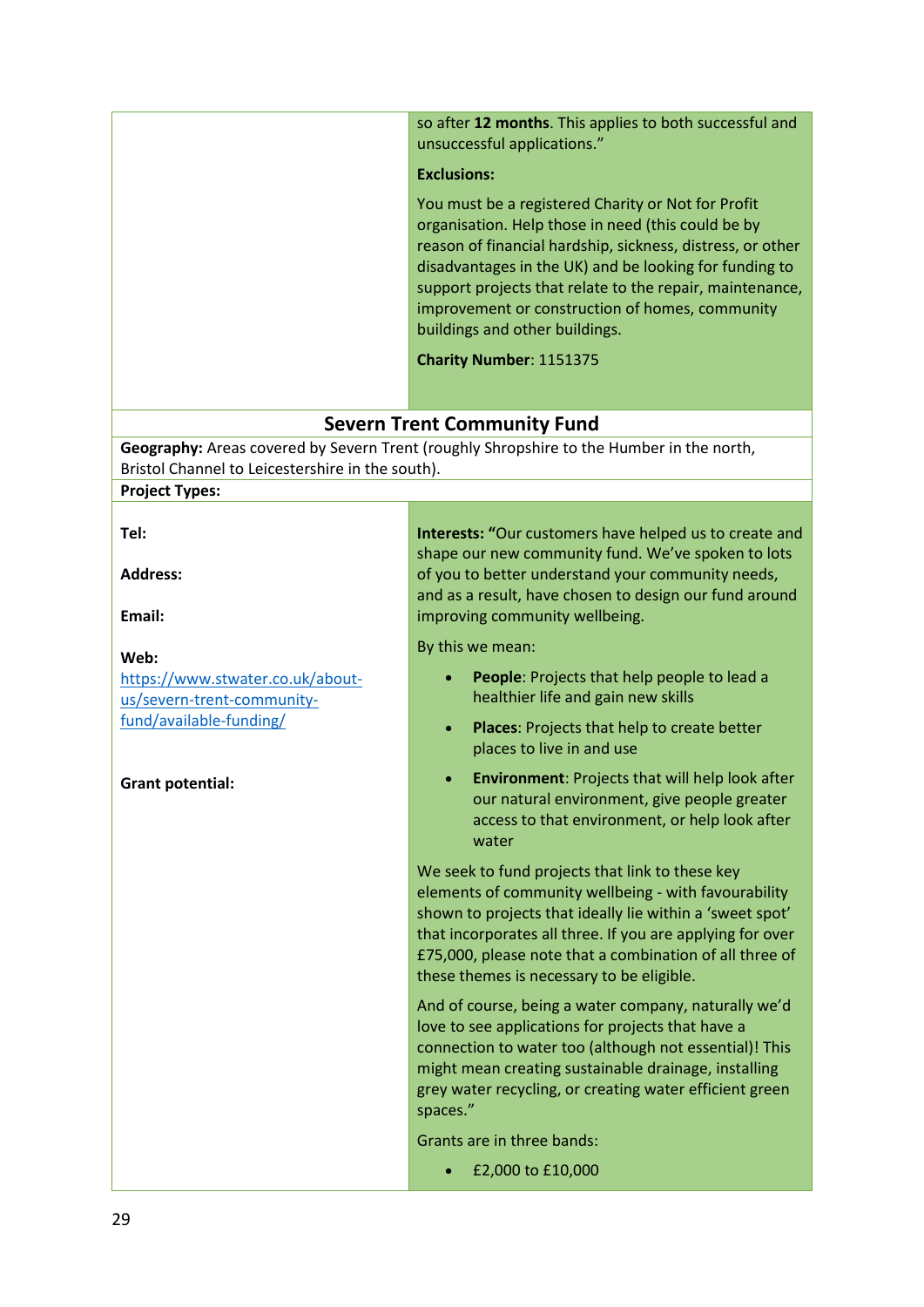|                                                                           | so after 12 months. This applies to both successful and<br>unsuccessful applications."                                                                                                                                                                                                                                                                                                                       |
|---------------------------------------------------------------------------|--------------------------------------------------------------------------------------------------------------------------------------------------------------------------------------------------------------------------------------------------------------------------------------------------------------------------------------------------------------------------------------------------------------|
|                                                                           | <b>Exclusions:</b>                                                                                                                                                                                                                                                                                                                                                                                           |
|                                                                           | You must be a registered Charity or Not for Profit<br>organisation. Help those in need (this could be by<br>reason of financial hardship, sickness, distress, or other<br>disadvantages in the UK) and be looking for funding to<br>support projects that relate to the repair, maintenance,<br>improvement or construction of homes, community<br>buildings and other buildings.<br>Charity Number: 1151375 |
|                                                                           |                                                                                                                                                                                                                                                                                                                                                                                                              |
|                                                                           | <b>Severn Trent Community Fund</b>                                                                                                                                                                                                                                                                                                                                                                           |
|                                                                           | Geography: Areas covered by Severn Trent (roughly Shropshire to the Humber in the north,                                                                                                                                                                                                                                                                                                                     |
| Bristol Channel to Leicestershire in the south).<br><b>Project Types:</b> |                                                                                                                                                                                                                                                                                                                                                                                                              |
|                                                                           |                                                                                                                                                                                                                                                                                                                                                                                                              |
| Tel:<br><b>Address:</b>                                                   | Interests: "Our customers have helped us to create and<br>shape our new community fund. We've spoken to lots<br>of you to better understand your community needs,                                                                                                                                                                                                                                            |
| Email:                                                                    | and as a result, have chosen to design our fund around<br>improving community wellbeing.                                                                                                                                                                                                                                                                                                                     |
| Web:                                                                      | By this we mean:                                                                                                                                                                                                                                                                                                                                                                                             |
| https://www.stwater.co.uk/about-<br>us/severn-trent-community-            | People: Projects that help people to lead a<br>healthier life and gain new skills                                                                                                                                                                                                                                                                                                                            |
| fund/available-funding/                                                   | Places: Projects that help to create better<br>$\bullet$<br>places to live in and use                                                                                                                                                                                                                                                                                                                        |
| <b>Grant potential:</b>                                                   | <b>Environment: Projects that will help look after</b><br>our natural environment, give people greater<br>access to that environment, or help look after<br>water                                                                                                                                                                                                                                            |
|                                                                           | We seek to fund projects that link to these key<br>elements of community wellbeing - with favourability<br>shown to projects that ideally lie within a 'sweet spot'<br>that incorporates all three. If you are applying for over<br>£75,000, please note that a combination of all three of<br>these themes is necessary to be eligible.                                                                     |
|                                                                           | And of course, being a water company, naturally we'd<br>love to see applications for projects that have a<br>connection to water too (although not essential)! This<br>might mean creating sustainable drainage, installing<br>grey water recycling, or creating water efficient green<br>spaces."                                                                                                           |
|                                                                           | Grants are in three bands:                                                                                                                                                                                                                                                                                                                                                                                   |
|                                                                           | £2,000 to £10,000                                                                                                                                                                                                                                                                                                                                                                                            |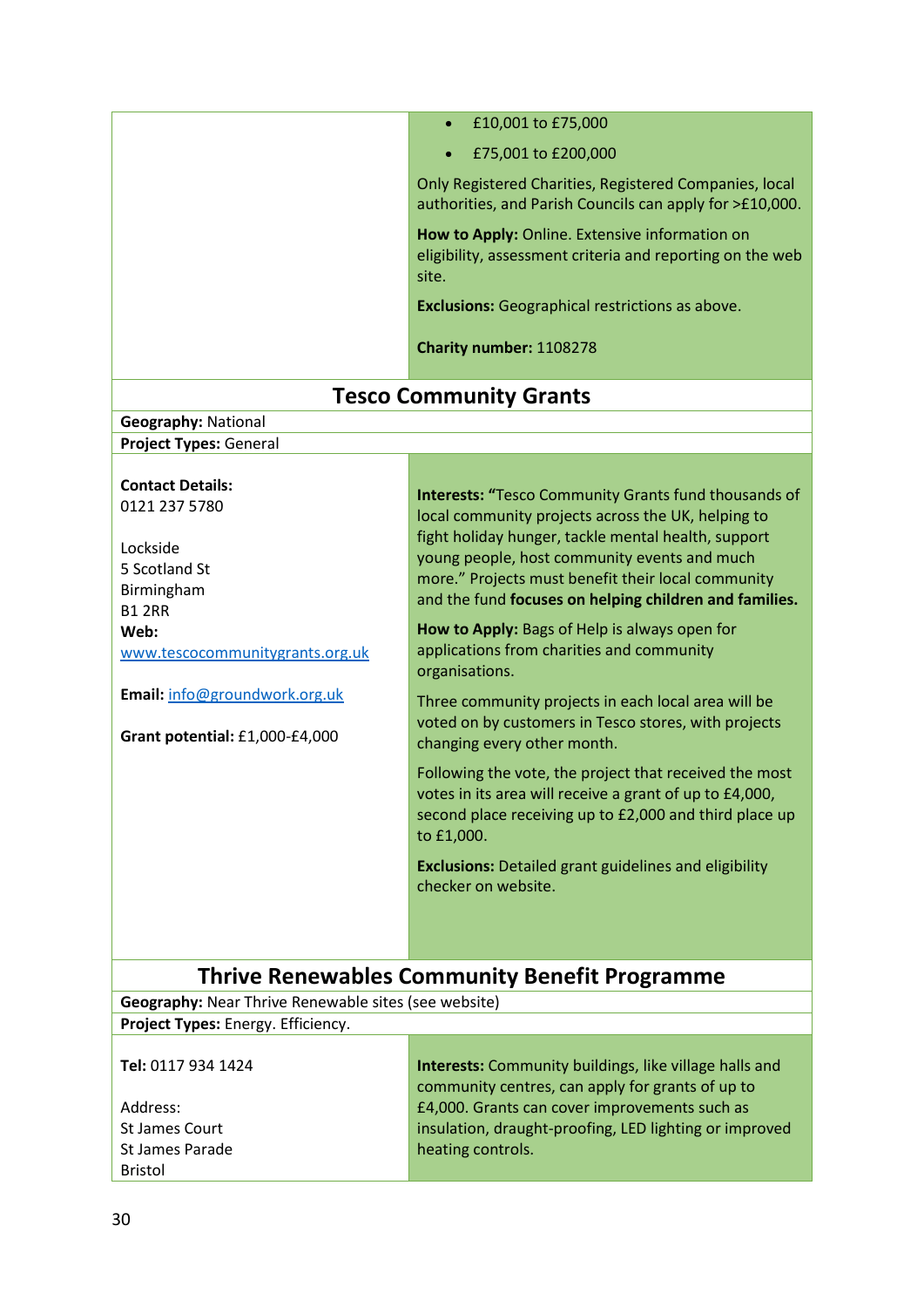|                                                                                                      | £10,001 to £75,000                                                                                                                                                                                                                                                                                                                       |
|------------------------------------------------------------------------------------------------------|------------------------------------------------------------------------------------------------------------------------------------------------------------------------------------------------------------------------------------------------------------------------------------------------------------------------------------------|
|                                                                                                      | $\bullet$                                                                                                                                                                                                                                                                                                                                |
|                                                                                                      | £75,001 to £200,000                                                                                                                                                                                                                                                                                                                      |
|                                                                                                      | Only Registered Charities, Registered Companies, local<br>authorities, and Parish Councils can apply for >£10,000.                                                                                                                                                                                                                       |
|                                                                                                      | How to Apply: Online. Extensive information on<br>eligibility, assessment criteria and reporting on the web<br>site.                                                                                                                                                                                                                     |
|                                                                                                      | <b>Exclusions:</b> Geographical restrictions as above.                                                                                                                                                                                                                                                                                   |
|                                                                                                      | Charity number: 1108278                                                                                                                                                                                                                                                                                                                  |
|                                                                                                      | <b>Tesco Community Grants</b>                                                                                                                                                                                                                                                                                                            |
| <b>Geography: National</b>                                                                           |                                                                                                                                                                                                                                                                                                                                          |
| <b>Project Types: General</b>                                                                        |                                                                                                                                                                                                                                                                                                                                          |
| <b>Contact Details:</b><br>0121 237 5780<br>Lockside<br>5 Scotland St<br>Birmingham<br><b>B1 2RR</b> | <b>Interests: "Tesco Community Grants fund thousands of</b><br>local community projects across the UK, helping to<br>fight holiday hunger, tackle mental health, support<br>young people, host community events and much<br>more." Projects must benefit their local community<br>and the fund focuses on helping children and families. |
| Web:<br>www.tescocommunitygrants.org.uk                                                              | How to Apply: Bags of Help is always open for<br>applications from charities and community<br>organisations.                                                                                                                                                                                                                             |
| Email: info@groundwork.org.uk<br>Grant potential: £1,000-£4,000                                      | Three community projects in each local area will be<br>voted on by customers in Tesco stores, with projects<br>changing every other month.                                                                                                                                                                                               |
|                                                                                                      | Following the vote, the project that received the most<br>votes in its area will receive a grant of up to £4,000<br>second place receiving up to £2,000 and third place up<br>to £1,000.                                                                                                                                                 |
|                                                                                                      | <b>Exclusions:</b> Detailed grant guidelines and eligibility<br>checker on website.                                                                                                                                                                                                                                                      |
| <b>Thrive Renewables Community Benefit Programme</b>                                                 |                                                                                                                                                                                                                                                                                                                                          |
| Geography: Near Thrive Renewable sites (see website)                                                 |                                                                                                                                                                                                                                                                                                                                          |
| Project Types: Energy. Efficiency.                                                                   |                                                                                                                                                                                                                                                                                                                                          |
| Tel: 0117 934 1424                                                                                   | Interests: Community buildings, like village halls and<br>community centres, can apply for grants of up to                                                                                                                                                                                                                               |
| Address:                                                                                             | £4,000. Grants can cover improvements such as                                                                                                                                                                                                                                                                                            |
| <b>St James Court</b>                                                                                | insulation, draught-proofing, LED lighting or improved                                                                                                                                                                                                                                                                                   |
| St James Parade<br><b>Bristol</b>                                                                    | heating controls.                                                                                                                                                                                                                                                                                                                        |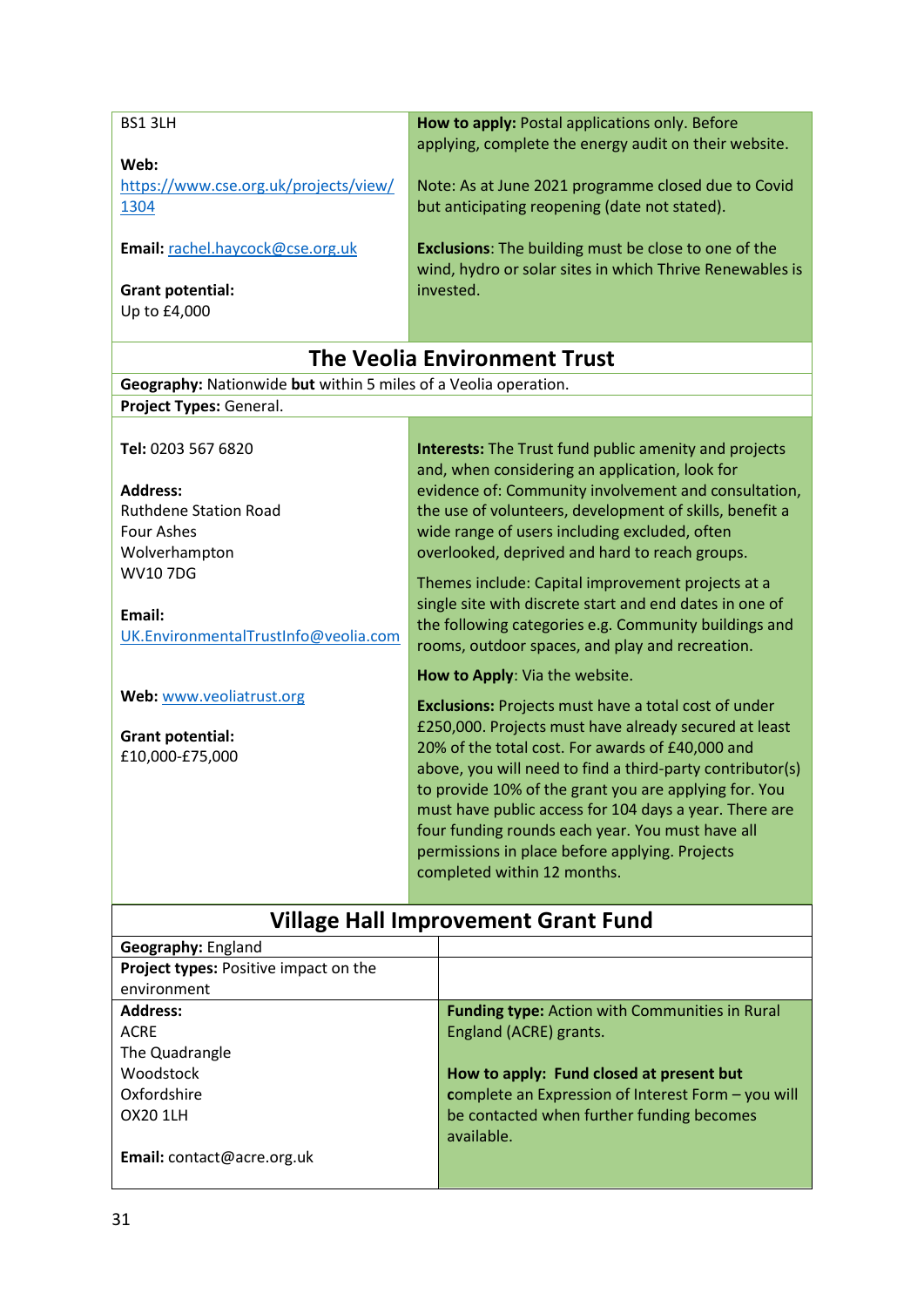| BS1 3LH                                                         | How to apply: Postal applications only. Before<br>applying, complete the energy audit on their website.         |
|-----------------------------------------------------------------|-----------------------------------------------------------------------------------------------------------------|
| Web:                                                            |                                                                                                                 |
| https://www.cse.org.uk/projects/view/                           | Note: As at June 2021 programme closed due to Covid                                                             |
| 1304                                                            | but anticipating reopening (date not stated).                                                                   |
|                                                                 |                                                                                                                 |
| Email: rachel.haycock@cse.org.uk                                | <b>Exclusions:</b> The building must be close to one of the                                                     |
|                                                                 | wind, hydro or solar sites in which Thrive Renewables is                                                        |
| <b>Grant potential:</b>                                         | invested.                                                                                                       |
| Up to £4,000                                                    |                                                                                                                 |
|                                                                 |                                                                                                                 |
|                                                                 | <b>The Veolia Environment Trust</b>                                                                             |
| Geography: Nationwide but within 5 miles of a Veolia operation. |                                                                                                                 |
| Project Types: General.                                         |                                                                                                                 |
|                                                                 |                                                                                                                 |
| Tel: 0203 567 6820                                              | <b>Interests:</b> The Trust fund public amenity and projects                                                    |
|                                                                 | and, when considering an application, look for                                                                  |
| <b>Address:</b>                                                 | evidence of: Community involvement and consultation,                                                            |
| <b>Ruthdene Station Road</b>                                    | the use of volunteers, development of skills, benefit a                                                         |
| <b>Four Ashes</b>                                               | wide range of users including excluded, often                                                                   |
| Wolverhampton                                                   | overlooked, deprived and hard to reach groups.                                                                  |
| <b>WV107DG</b>                                                  | Themes include: Capital improvement projects at a                                                               |
|                                                                 | single site with discrete start and end dates in one of                                                         |
| Email:                                                          | the following categories e.g. Community buildings and                                                           |
| UK.EnvironmentalTrustInfo@veolia.com                            | rooms, outdoor spaces, and play and recreation.                                                                 |
|                                                                 | How to Apply: Via the website.                                                                                  |
| Web: www.veoliatrust.org                                        |                                                                                                                 |
|                                                                 | <b>Exclusions:</b> Projects must have a total cost of under                                                     |
| <b>Grant potential:</b>                                         | £250,000. Projects must have already secured at least<br>20% of the total cost. For awards of £40,000 and       |
| £10,000-£75,000                                                 | above, you will need to find a third-party contributor(s)                                                       |
|                                                                 |                                                                                                                 |
|                                                                 | to provide 10% of the grant you are applying for. You<br>must have public access for 104 days a year. There are |
|                                                                 | four funding rounds each year. You must have all                                                                |
|                                                                 | permissions in place before applying. Projects                                                                  |
|                                                                 | completed within 12 months.                                                                                     |
|                                                                 |                                                                                                                 |
| <b>Village Hall Improvement Grant Fund</b>                      |                                                                                                                 |
|                                                                 |                                                                                                                 |

| Geography: England                    |                                                       |
|---------------------------------------|-------------------------------------------------------|
| Project types: Positive impact on the |                                                       |
| environment                           |                                                       |
| <b>Address:</b>                       | <b>Funding type:</b> Action with Communities in Rural |
| <b>ACRE</b>                           | England (ACRE) grants.                                |
| The Quadrangle                        |                                                       |
| Woodstock                             | How to apply: Fund closed at present but              |
| Oxfordshire                           | complete an Expression of Interest Form - you will    |
| OX20 1LH                              | be contacted when further funding becomes             |
|                                       | available.                                            |
| Email: contact@acre.org.uk            |                                                       |
|                                       |                                                       |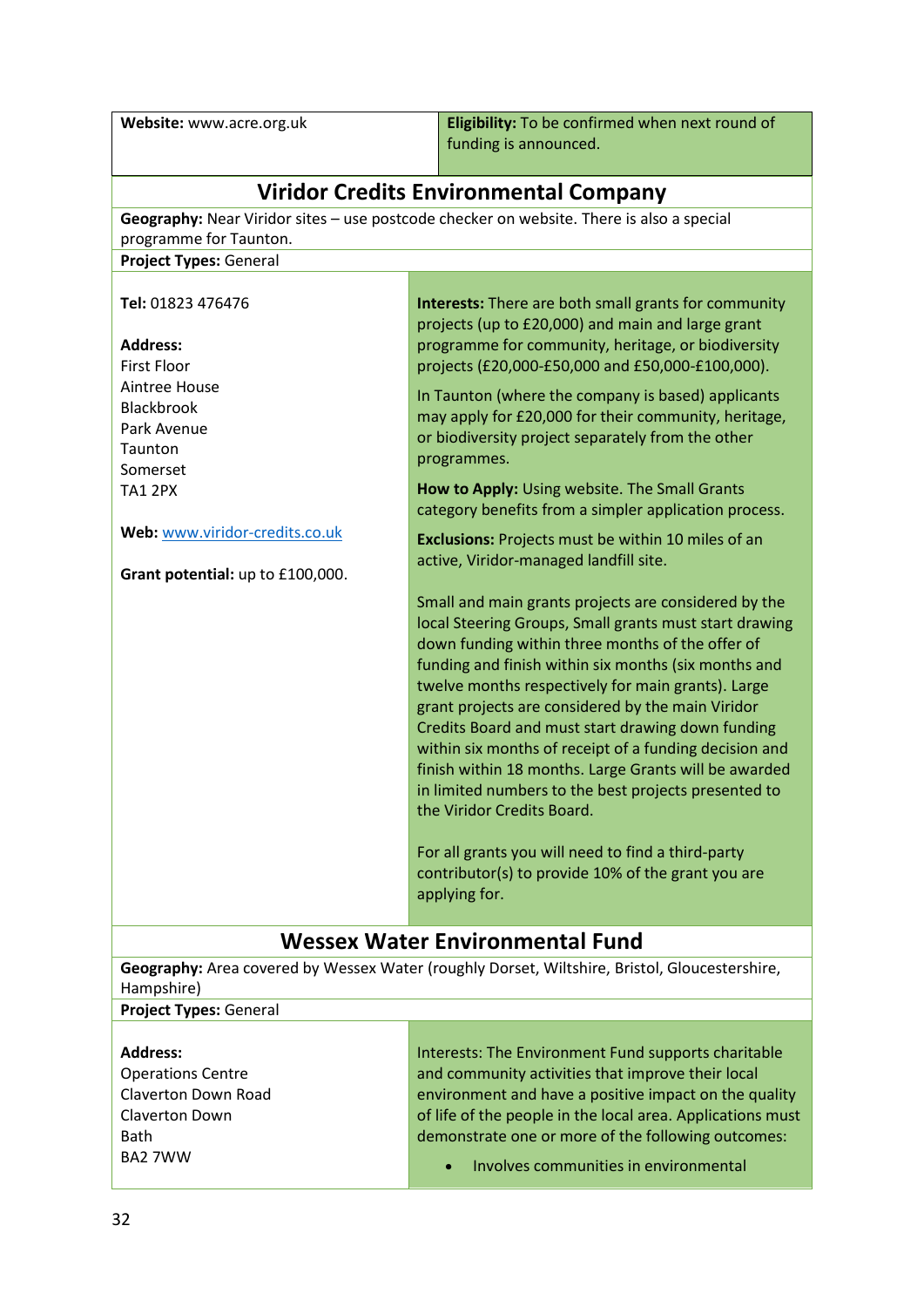**Website:** www.acre.org.uk **Eligibility:** To be confirmed when next round of funding is announced.

| <b>Viridor Credits Environmental Company</b>                                                                |                                                                                                                                                                                                                                                                                                                                                                                                                                                                                                                                                                                                                                                                                                                                  |
|-------------------------------------------------------------------------------------------------------------|----------------------------------------------------------------------------------------------------------------------------------------------------------------------------------------------------------------------------------------------------------------------------------------------------------------------------------------------------------------------------------------------------------------------------------------------------------------------------------------------------------------------------------------------------------------------------------------------------------------------------------------------------------------------------------------------------------------------------------|
|                                                                                                             | Geography: Near Viridor sites - use postcode checker on website. There is also a special                                                                                                                                                                                                                                                                                                                                                                                                                                                                                                                                                                                                                                         |
| programme for Taunton.                                                                                      |                                                                                                                                                                                                                                                                                                                                                                                                                                                                                                                                                                                                                                                                                                                                  |
| Project Types: General                                                                                      |                                                                                                                                                                                                                                                                                                                                                                                                                                                                                                                                                                                                                                                                                                                                  |
|                                                                                                             |                                                                                                                                                                                                                                                                                                                                                                                                                                                                                                                                                                                                                                                                                                                                  |
| Tel: 01823 476476                                                                                           | <b>Interests:</b> There are both small grants for community                                                                                                                                                                                                                                                                                                                                                                                                                                                                                                                                                                                                                                                                      |
|                                                                                                             | projects (up to £20,000) and main and large grant                                                                                                                                                                                                                                                                                                                                                                                                                                                                                                                                                                                                                                                                                |
| <b>Address:</b><br><b>First Floor</b>                                                                       | programme for community, heritage, or biodiversity<br>projects (£20,000-£50,000 and £50,000-£100,000).                                                                                                                                                                                                                                                                                                                                                                                                                                                                                                                                                                                                                           |
| Aintree House                                                                                               |                                                                                                                                                                                                                                                                                                                                                                                                                                                                                                                                                                                                                                                                                                                                  |
| Blackbrook                                                                                                  | In Taunton (where the company is based) applicants                                                                                                                                                                                                                                                                                                                                                                                                                                                                                                                                                                                                                                                                               |
| Park Avenue                                                                                                 | may apply for £20,000 for their community, heritage,                                                                                                                                                                                                                                                                                                                                                                                                                                                                                                                                                                                                                                                                             |
| Taunton                                                                                                     | or biodiversity project separately from the other                                                                                                                                                                                                                                                                                                                                                                                                                                                                                                                                                                                                                                                                                |
| Somerset                                                                                                    | programmes.                                                                                                                                                                                                                                                                                                                                                                                                                                                                                                                                                                                                                                                                                                                      |
| <b>TA1 2PX</b>                                                                                              | How to Apply: Using website. The Small Grants                                                                                                                                                                                                                                                                                                                                                                                                                                                                                                                                                                                                                                                                                    |
|                                                                                                             | category benefits from a simpler application process.                                                                                                                                                                                                                                                                                                                                                                                                                                                                                                                                                                                                                                                                            |
| Web: www.viridor-credits.co.uk                                                                              | Exclusions: Projects must be within 10 miles of an                                                                                                                                                                                                                                                                                                                                                                                                                                                                                                                                                                                                                                                                               |
|                                                                                                             | active, Viridor-managed landfill site.                                                                                                                                                                                                                                                                                                                                                                                                                                                                                                                                                                                                                                                                                           |
| Grant potential: up to £100,000.                                                                            |                                                                                                                                                                                                                                                                                                                                                                                                                                                                                                                                                                                                                                                                                                                                  |
|                                                                                                             | Small and main grants projects are considered by the<br>local Steering Groups, Small grants must start drawing<br>down funding within three months of the offer of<br>funding and finish within six months (six months and<br>twelve months respectively for main grants). Large<br>grant projects are considered by the main Viridor<br>Credits Board and must start drawing down funding<br>within six months of receipt of a funding decision and<br>finish within 18 months. Large Grants will be awarded<br>in limited numbers to the best projects presented to<br>the Viridor Credits Board.<br>For all grants you will need to find a third-party<br>contributor(s) to provide 10% of the grant you are<br>applying for. |
| <b>Wessex Water Environmental Fund</b>                                                                      |                                                                                                                                                                                                                                                                                                                                                                                                                                                                                                                                                                                                                                                                                                                                  |
| Geography: Area covered by Wessex Water (roughly Dorset, Wiltshire, Bristol, Gloucestershire,<br>Hampshire) |                                                                                                                                                                                                                                                                                                                                                                                                                                                                                                                                                                                                                                                                                                                                  |
| <b>Project Types: General</b>                                                                               |                                                                                                                                                                                                                                                                                                                                                                                                                                                                                                                                                                                                                                                                                                                                  |

| <b>Address:</b>          | Interests: The Environment Fund supports charitable        |
|--------------------------|------------------------------------------------------------|
| <b>Operations Centre</b> | and community activities that improve their local          |
| Claverton Down Road      | environment and have a positive impact on the quality      |
| <b>Claverton Down</b>    | of life of the people in the local area. Applications must |
| <b>Bath</b>              | demonstrate one or more of the following outcomes:         |
| BA2 7WW                  | • Involves communities in environmental                    |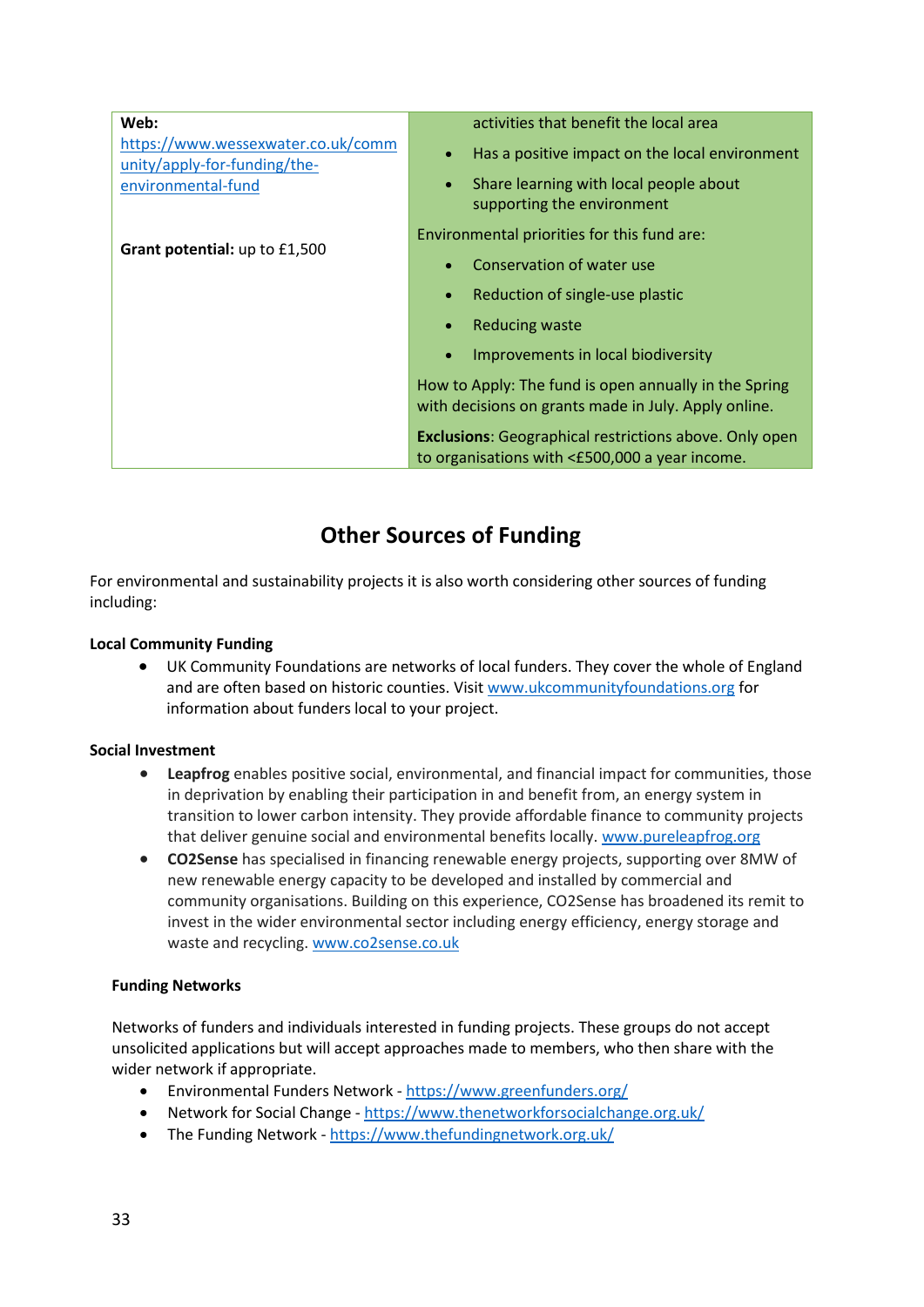| Web:<br>https://www.wessexwater.co.uk/comm         | activities that benefit the local area<br>Has a positive impact on the local environment<br>$\bullet$           |
|----------------------------------------------------|-----------------------------------------------------------------------------------------------------------------|
| unity/apply-for-funding/the-<br>environmental-fund | Share learning with local people about<br>$\bullet$<br>supporting the environment                               |
| Grant potential: up to £1,500                      | Environmental priorities for this fund are:                                                                     |
|                                                    | Conservation of water use                                                                                       |
|                                                    | Reduction of single-use plastic                                                                                 |
|                                                    | <b>Reducing waste</b><br>$\bullet$                                                                              |
|                                                    | Improvements in local biodiversity<br>$\bullet$                                                                 |
|                                                    | How to Apply: The fund is open annually in the Spring<br>with decisions on grants made in July. Apply online.   |
|                                                    | <b>Exclusions:</b> Geographical restrictions above. Only open<br>to organisations with <£500,000 a year income. |

## **Other Sources of Funding**

For environmental and sustainability projects it is also worth considering other sources of funding including:

#### **Local Community Funding**

• UK Community Foundations are networks of local funders. They cover the whole of England and are often based on historic counties. Visit [www.ukcommunityfoundations.org](http://www.ukcommunityfoundations.org/) for information about funders local to your project.

#### **Social Investment**

- **Leapfrog** enables positive social, environmental, and financial impact for communities, those in deprivation by enabling their participation in and benefit from, an energy system in transition to lower carbon intensity. They provide affordable finance to community projects that deliver genuine social and environmental benefits locally. [www.pureleapfrog.org](http://www.pureleapfrog.org/)
- **CO2Sense** has specialised in financing renewable energy projects, supporting over 8MW of new renewable energy capacity to be developed and installed by commercial and community organisations. Building on this experience, CO2Sense has broadened its remit to invest in the wider environmental sector including energy efficiency, energy storage and waste and recycling. [www.co2sense.co.uk](http://www.co2sense.co.uk/)

#### **Funding Networks**

Networks of funders and individuals interested in funding projects. These groups do not accept unsolicited applications but will accept approaches made to members, who then share with the wider network if appropriate.

- Environmental Funders Network <https://www.greenfunders.org/>
- Network for Social Change <https://www.thenetworkforsocialchange.org.uk/>
- The Funding Network <https://www.thefundingnetwork.org.uk/>